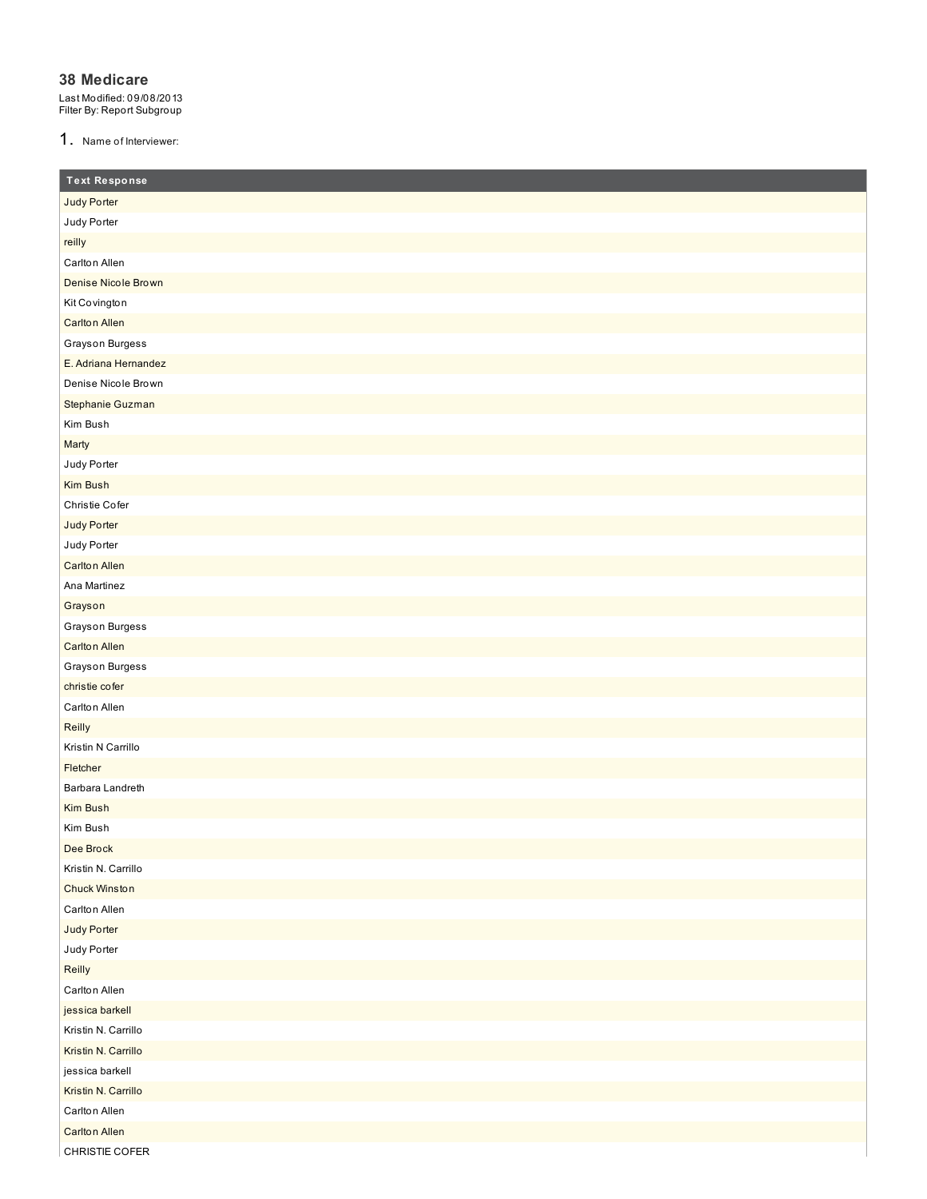#### **38 Medicare**

Last Modified: 09/08/2013 Filter By: Report Subgroup

1. Name of Interviewer:

| <b>Text Response</b> |
|----------------------|
| Judy Porter          |
| Judy Porter          |
| reilly               |
| Carlton Allen        |
| Denise Nicole Brown  |
| Kit Covington        |
| <b>Carlton Allen</b> |
| Grayson Burgess      |
| E. Adriana Hernandez |
| Denise Nicole Brown  |
| Stephanie Guzman     |
| Kim Bush             |
| Marty                |
| Judy Porter          |
| Kim Bush             |
| Christie Cofer       |
| Judy Porter          |
| Judy Porter          |
| <b>Carlton Allen</b> |
| Ana Martinez         |
| Grayson              |
| Grayson Burgess      |
| <b>Carlton Allen</b> |
| Grayson Burgess      |
| christie cofer       |
| Carlton Allen        |
| Reilly               |
| Kristin N Carrillo   |
| Fletcher             |
| Barbara Landreth     |
| Kim Bush             |
| Kim Bush             |
| Dee Brock            |
| Kristin N. Carrillo  |
| <b>Chuck Winston</b> |
| Carlton Allen        |
| Judy Porter          |
| Judy Porter          |
| Reilly               |
| Carlton Allen        |
| jessica barkell      |
| Kristin N. Carrillo  |
| Kristin N. Carrillo  |
| jessica barkell      |
| Kristin N. Carrillo  |
| Carlton Allen        |
| <b>Carlton Allen</b> |
| CHRISTIE COFER       |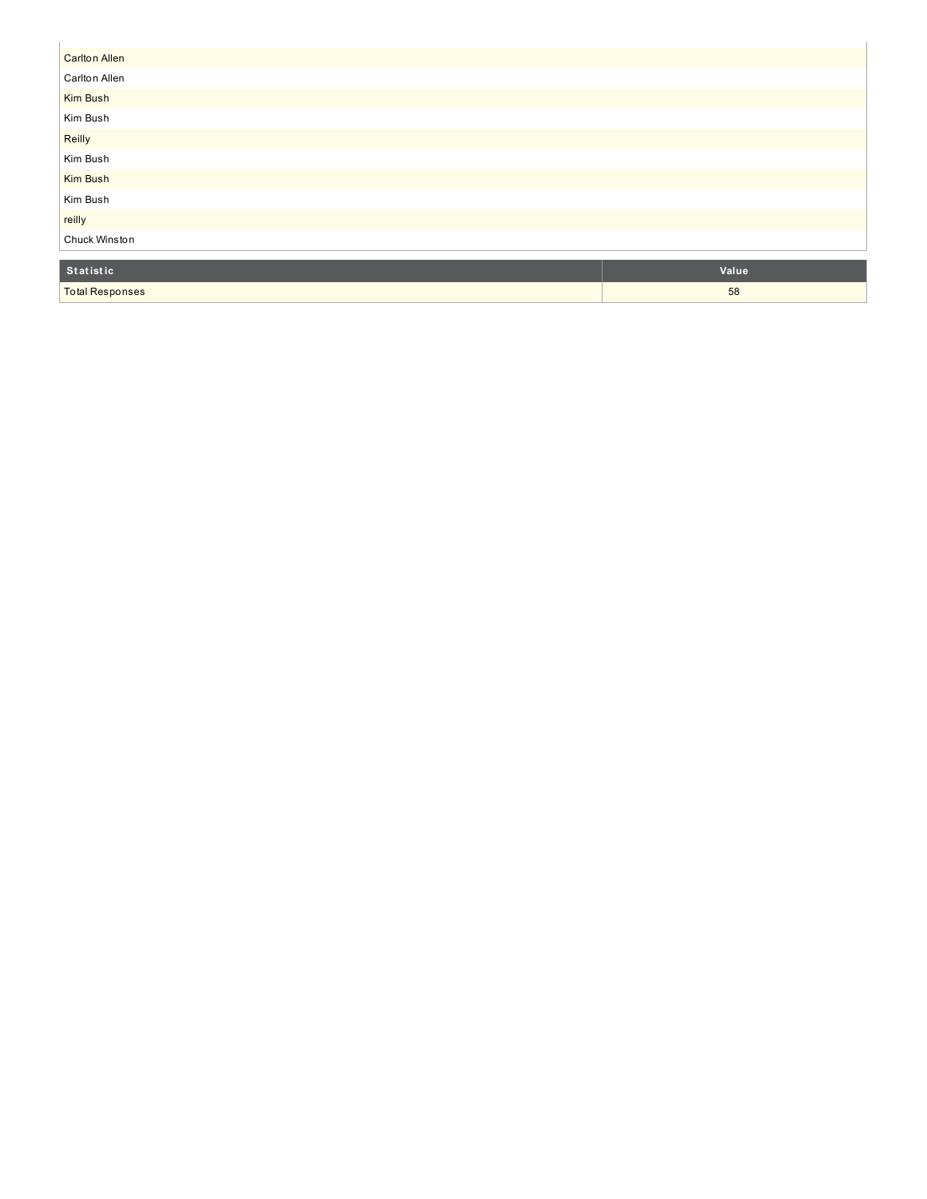| <b>Carlton Allen</b>   |       |
|------------------------|-------|
| Carlton Allen          |       |
| Kim Bush               |       |
| Kim Bush               |       |
| Reilly                 |       |
| Kim Bush               |       |
| Kim Bush               |       |
| Kim Bush               |       |
| reilly                 |       |
| Chuck Winston          |       |
|                        |       |
| Statistic              | Value |
| <b>Total Responses</b> | 58    |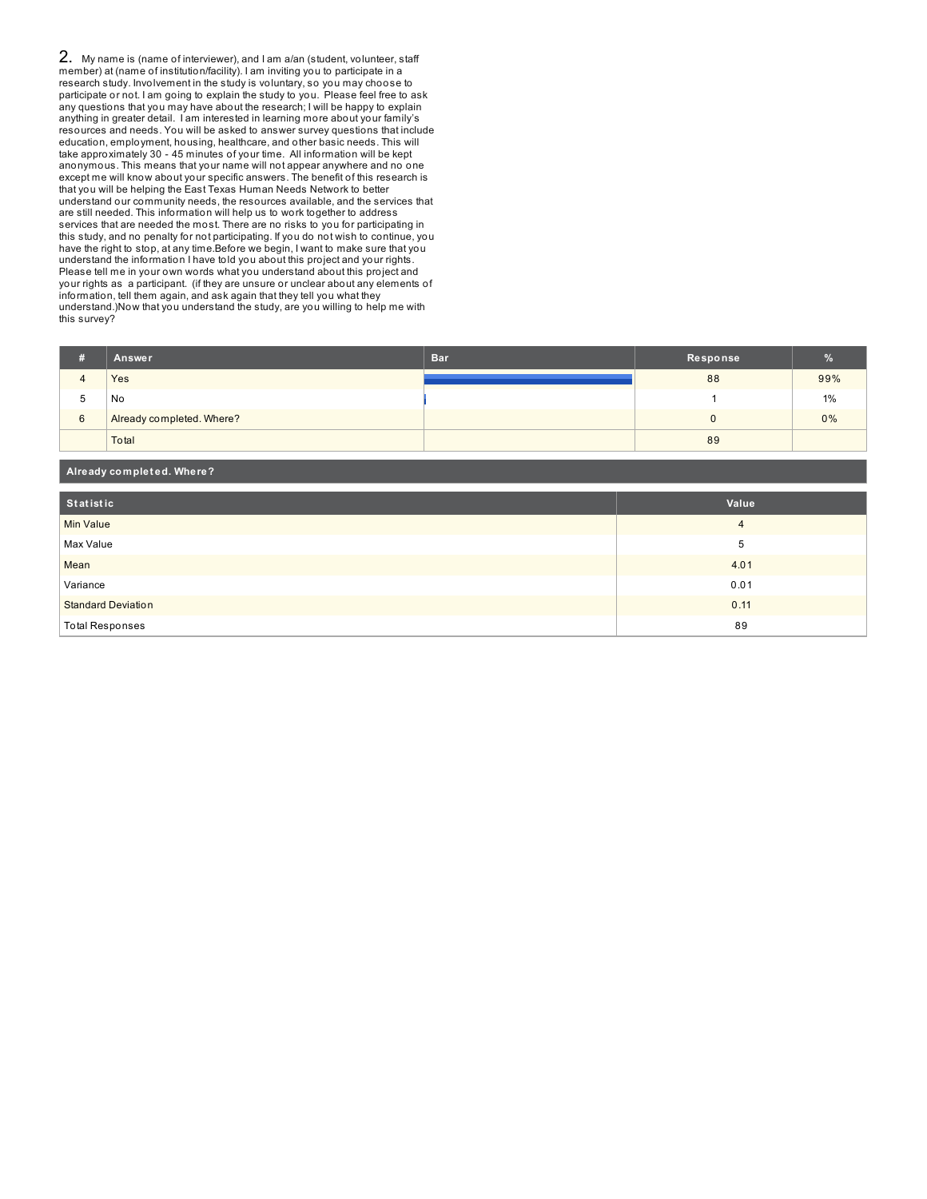2. My name is (name of interviewer), and I am a/an (student, volunteer, staff member) at (name of institution/facility). I am inviting you to participate in a research study. Involvement in the study is voluntary, so you may choose to participate or not. I am going to explain the study to you. Please feel free to ask any questions that you may have about the research; I will be happy to explain anything in greater detail. I am interested in learning more about your family's resources and needs. You will be asked to answer survey questions that include education, employment, housing, healthcare, and other basic needs. This will take approximately 30 - 45 minutes of your time. All information will be kept anonymous. This means that your name will not appear anywhere and no one except me will know about your specific answers. The benefit of this research is that you will be helping the East Texas Human Needs Network to better understand our community needs, the resources available, and the services that are still needed. This information will help us to work together to address services that are needed the most. There are no risks to you for participating in this study, and no penalty for not participating. If you do not wish to continue, you have the right to stop, at any time.Before we begin, I want to make sure that you understand the information I have told you about this project and your rights. Please tell me in your own words what you understand about this project and your rights as a participant. (if they are unsure or unclear about any elements of information, tell them again, and ask again that they tell you what they understand.)Now that you understand the study, are you willing to help me with this survey?

| # | Answer                    | <b>Bar</b> | Response | $\%$ |
|---|---------------------------|------------|----------|------|
| 4 | Yes                       |            | 88       | 99%  |
| w | No                        |            |          | 1%   |
| 6 | Already completed. Where? |            |          | 0%   |
|   | Total                     |            | 89       |      |

| Already completed. Where? |                |  |  |
|---------------------------|----------------|--|--|
| Statistic                 | Value          |  |  |
| Min Value                 | $\overline{4}$ |  |  |
| Max Value                 | 5              |  |  |
| Mean                      | 4.01           |  |  |
| Variance                  | 0.01           |  |  |
| <b>Standard Deviation</b> | 0.11           |  |  |
| <b>Total Responses</b>    | 89             |  |  |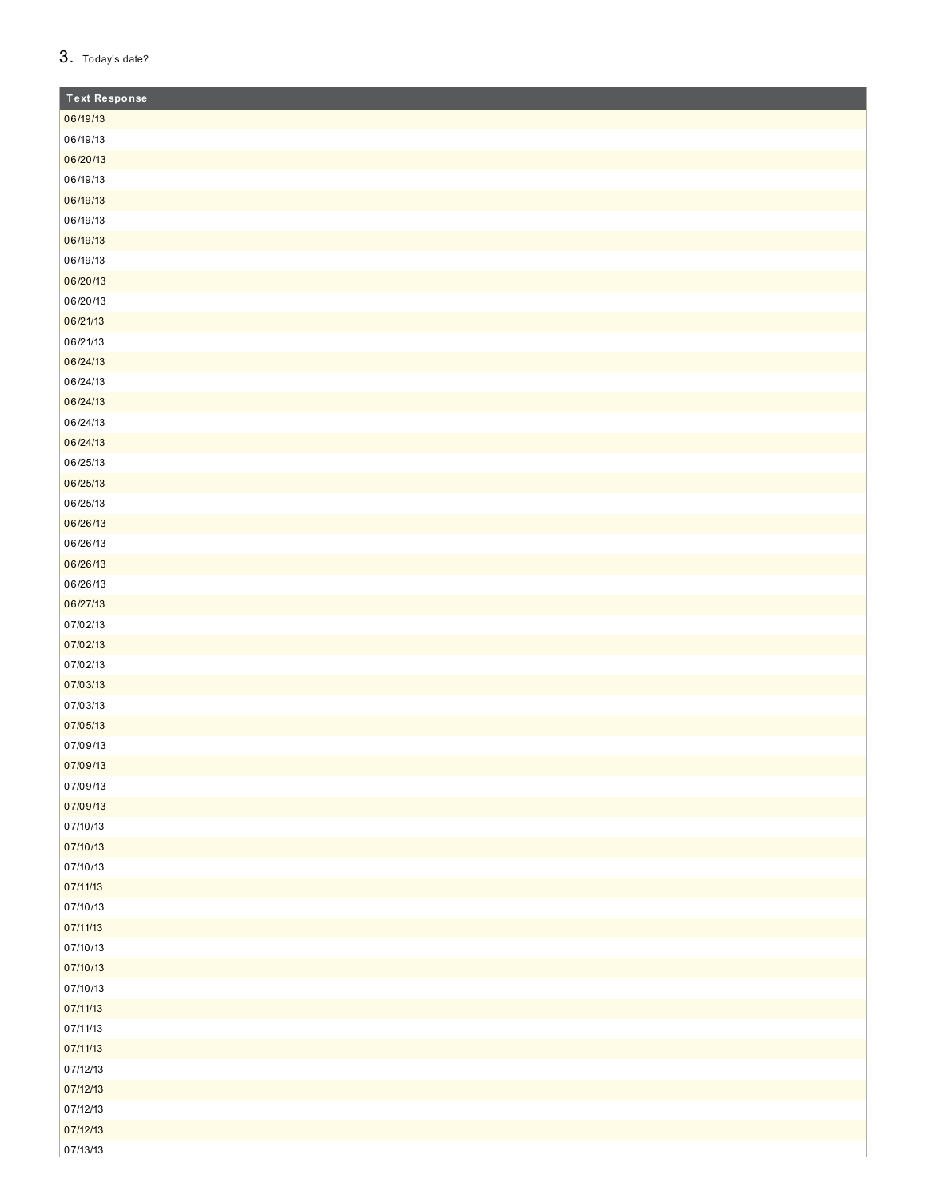| 3. |  | Today's date? |
|----|--|---------------|
|----|--|---------------|

| <b>Text Response</b> |
|----------------------|
| 06/19/13             |
| 06/19/13             |
| 06/20/13             |
| 06/19/13             |
| 06/19/13             |
| 06/19/13             |
| 06/19/13             |
| 06/19/13             |
| 06/20/13             |
| 06/20/13             |
| 06/21/13             |
| 06/21/13             |
| 06/24/13             |
| 06/24/13             |
| 06/24/13             |
| 06/24/13             |
| 06/24/13             |
| 06/25/13             |
| 06/25/13             |
| 06/25/13             |
| 06/26/13             |
| 06/26/13             |
| 06/26/13             |
| 06/26/13             |
| 06/27/13             |
| 07/02/13             |
| 07/02/13             |
| 07/02/13             |
| 07/03/13             |
| 07/03/13             |
| 07/05/13             |
| 07/09/13             |
| 07/09/13             |
| 07/09/13             |
| 07/09/13             |
| 07/10/13             |
| 07/10/13             |
| 07/10/13             |
| 07/11/13             |
| 07/10/13             |
| 07/11/13             |
| 07/10/13             |
| 07/10/13             |
| 07/10/13             |
| 07/11/13             |
| 07/11/13             |
| 07/11/13             |
| 07/12/13             |
| 07/12/13             |
| 07/12/13             |
| 07/12/13             |
| 07/13/13             |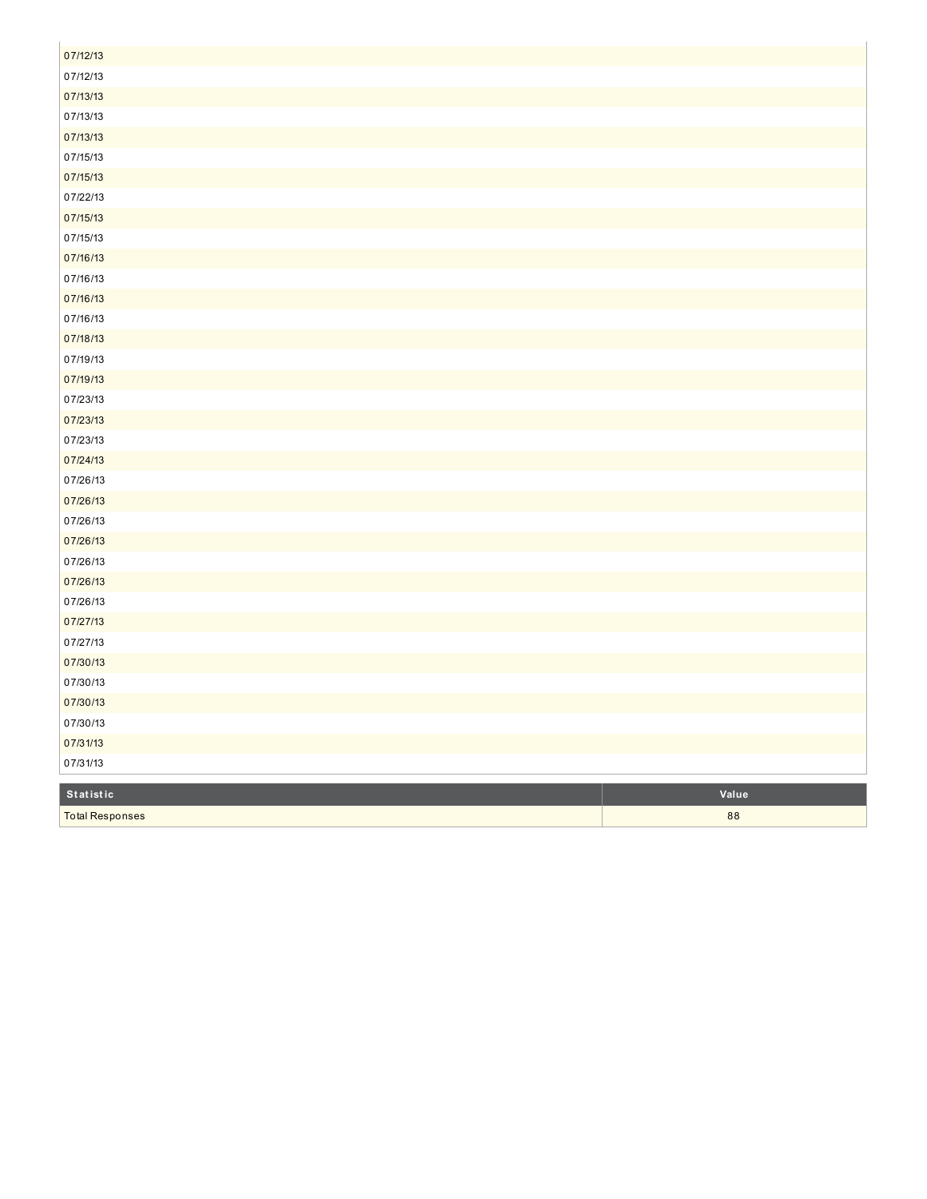| 07/12/13               |       |
|------------------------|-------|
| 07/12/13               |       |
| 07/13/13               |       |
| 07/13/13               |       |
| 07/13/13               |       |
| 07/15/13               |       |
| 07/15/13               |       |
| 07/22/13               |       |
| 07/15/13               |       |
| 07/15/13               |       |
| 07/16/13               |       |
| 07/16/13               |       |
| 07/16/13               |       |
| 07/16/13               |       |
| 07/18/13               |       |
| 07/19/13               |       |
| 07/19/13               |       |
| 07/23/13               |       |
| 07/23/13               |       |
| 07/23/13               |       |
| 07/24/13               |       |
| 07/26/13               |       |
| 07/26/13               |       |
| 07/26/13               |       |
| 07/26/13               |       |
| 07/26/13               |       |
| 07/26/13               |       |
| 07/26/13               |       |
| 07/27/13               |       |
| 07/27/13               |       |
| 07/30/13               |       |
| 07/30/13               |       |
| 07/30/13               |       |
| 07/30/13               |       |
| 07/31/13               |       |
| 07/31/13               |       |
| Statistic              | Value |
|                        | 88    |
| <b>Total Responses</b> |       |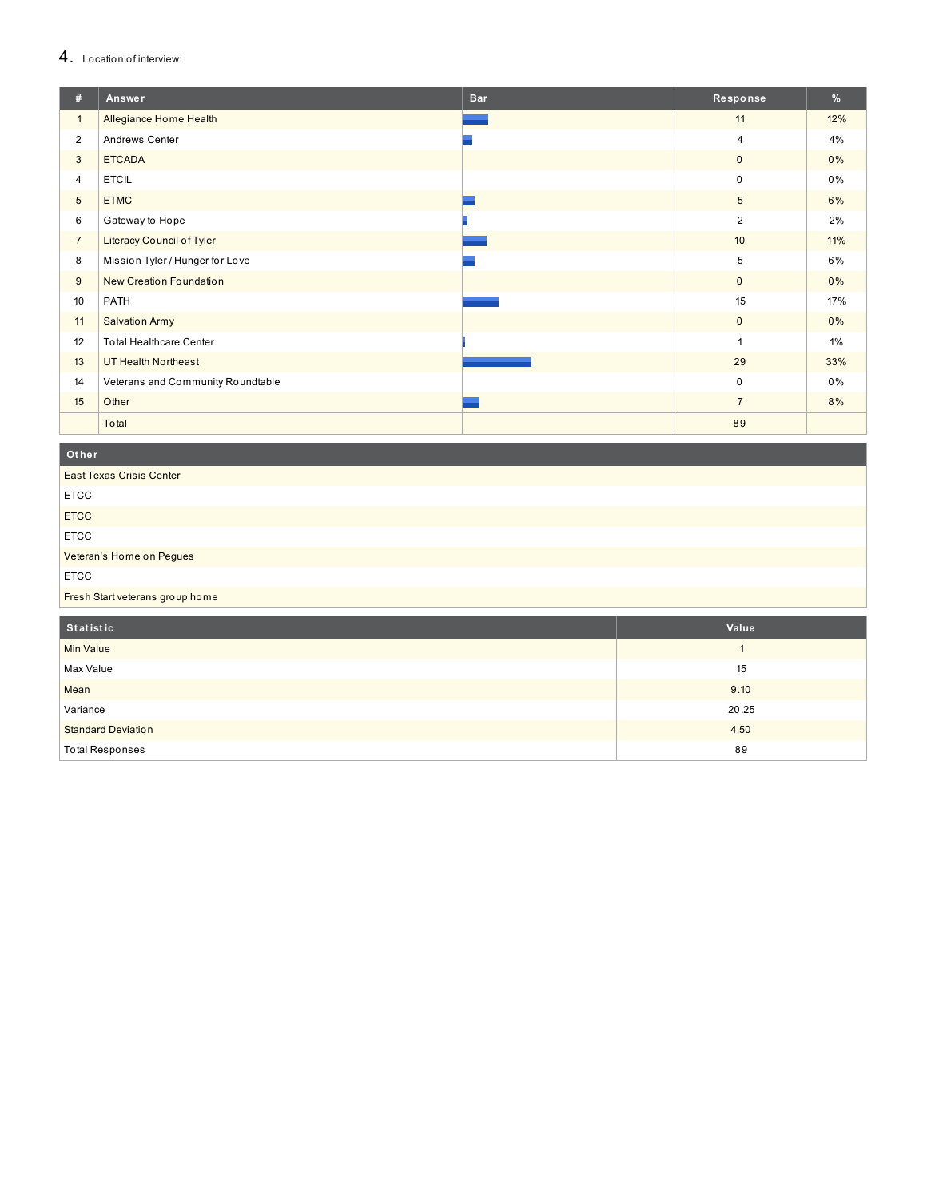#### 4. Location of interview:

| #              | Answer                            | <b>Bar</b> | Response       | %   |
|----------------|-----------------------------------|------------|----------------|-----|
| $\mathbf{1}$   | Allegiance Home Health            |            | 11             | 12% |
| $\overline{2}$ | Andrews Center                    |            | 4              | 4%  |
| 3              | <b>ETCADA</b>                     |            | $\mathbf 0$    | 0%  |
| $\overline{4}$ | <b>ETCIL</b>                      |            | 0              | 0%  |
| 5              | <b>ETMC</b>                       |            | 5              | 6%  |
| 6              | Gateway to Hope                   |            | $\overline{2}$ | 2%  |
| $\overline{7}$ | <b>Literacy Council of Tyler</b>  |            | 10             | 11% |
| 8              | Mission Tyler / Hunger for Love   |            | 5              | 6%  |
| 9              | New Creation Foundation           |            | $\mathbf{0}$   | 0%  |
| 10             | PATH                              |            | 15             | 17% |
| 11             | <b>Salvation Army</b>             |            | $\mathbf 0$    | 0%  |
| 12             | <b>Total Healthcare Center</b>    |            |                | 1%  |
| 13             | UT Health Northeast               |            | 29             | 33% |
| 14             | Veterans and Community Roundtable |            | $\mathbf 0$    | 0%  |
| 15             | Other                             |            | $\overline{7}$ | 8%  |
|                | Total                             |            | 89             |     |

**O t h e r**

| <b>East Texas Crisis Center</b> |              |
|---------------------------------|--------------|
| <b>ETCC</b>                     |              |
| <b>ETCC</b>                     |              |
| <b>ETCC</b>                     |              |
| Veteran's Home on Pegues        |              |
| <b>ETCC</b>                     |              |
| Fresh Start veterans group home |              |
|                                 |              |
|                                 |              |
| Statistic                       | Value        |
| <b>Min Value</b>                | $\mathbf{1}$ |
| Max Value                       | 15           |
| Mean                            | 9.10         |
| Variance                        | 20.25        |
| <b>Standard Deviation</b>       | 4.50         |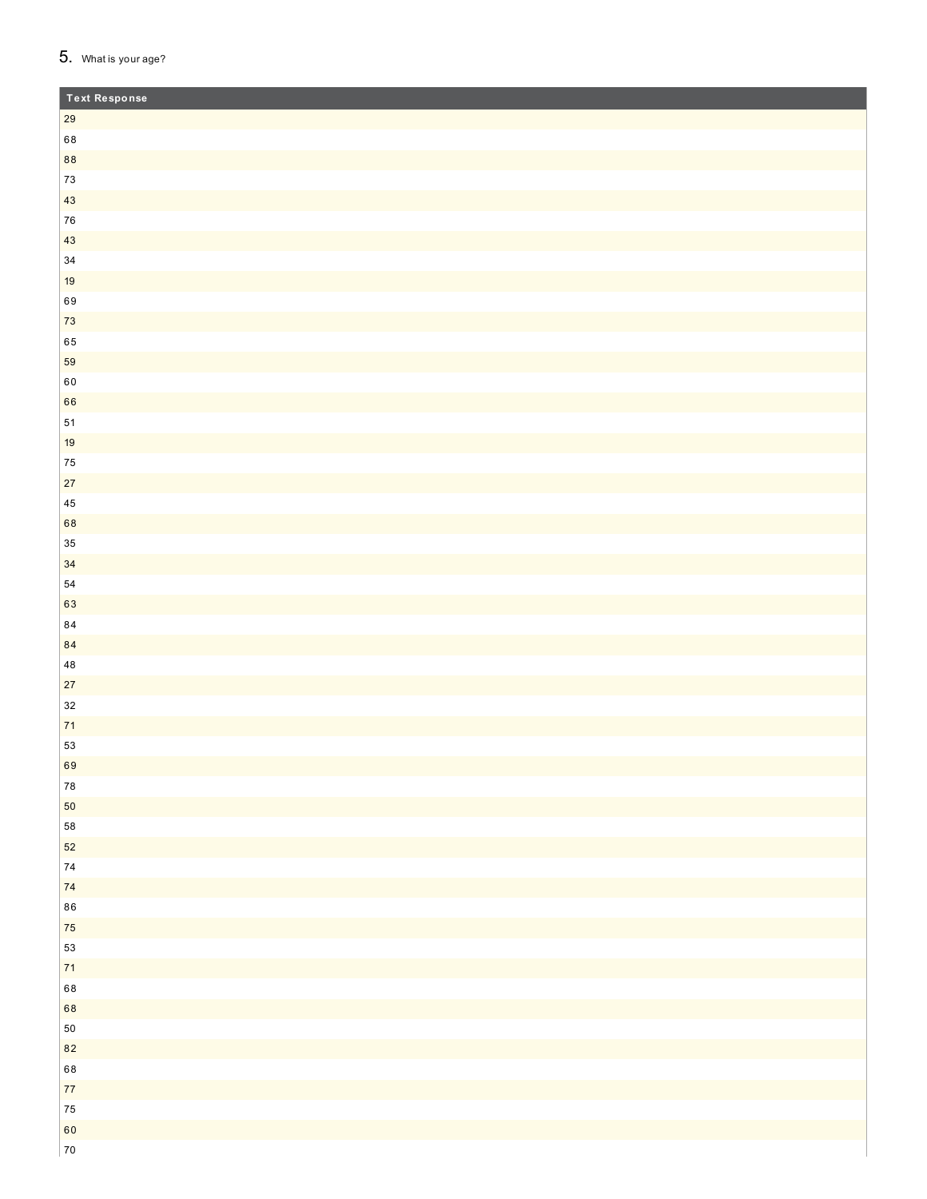## 5. What is your age?

| <b>Text Response</b> |  |
|----------------------|--|
| 29                   |  |
| 68                   |  |
| 88                   |  |
| $73\,$               |  |
| 43                   |  |
| ${\bf 76}$           |  |
| 43                   |  |
| $34\,$               |  |
| 19                   |  |
| 69                   |  |
| $73\,$               |  |
| 65                   |  |
| 59                   |  |
| $60\,$               |  |
| 66                   |  |
| 51                   |  |
| 19                   |  |
| ${\bf 75}$           |  |
| $27\,$               |  |
| $\bf 45$             |  |
| 68                   |  |
| $35\,$               |  |
| 34                   |  |
| 54                   |  |
| 63<br>$\bf 84$       |  |
| $\bf 84$             |  |
| $\bf 48$             |  |
| $27\,$               |  |
| $32\,$               |  |
| $71$                 |  |
| 53                   |  |
| 69                   |  |
| ${\bf 78}$           |  |
| 50                   |  |
| 58                   |  |
| 52                   |  |
| ${\bf 74}$           |  |
| $\bf 74$             |  |
| ${\bf 86}$           |  |
| ${\bf 75}$           |  |
| 53                   |  |
| $\mathbf{71}$        |  |
| 68                   |  |
| 68                   |  |
| 50                   |  |
| 82                   |  |
| 68                   |  |
| $77\,$               |  |
| ${\bf 75}$           |  |
| 60                   |  |
| $70\,$               |  |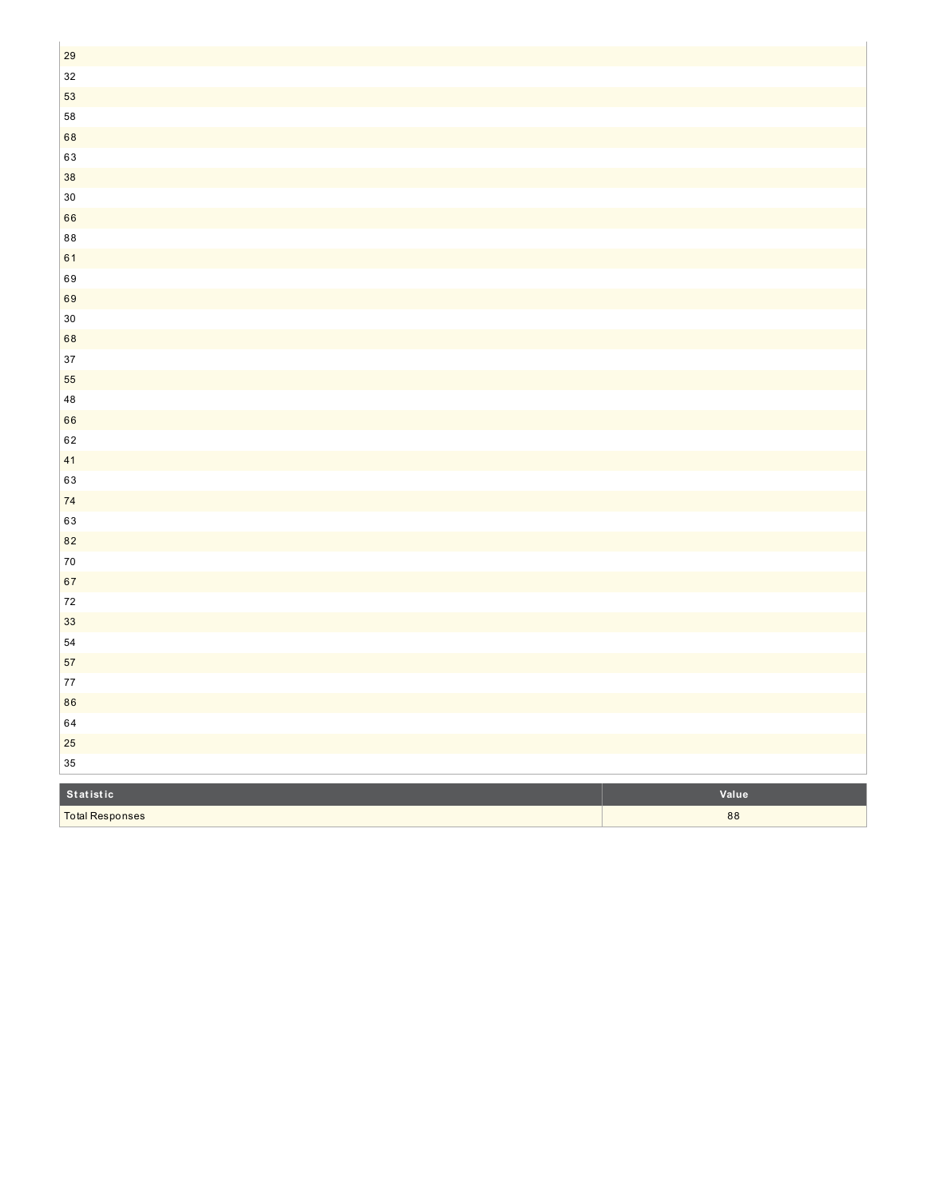| <b>Total Responses</b> | 88    |
|------------------------|-------|
| Statistic              | Value |
| $35\,$                 |       |
| 25                     |       |
| 64                     |       |
| 86                     |       |
| $77 \,$                |       |
| 57                     |       |
| ${\bf 54}$             |       |
| 33                     |       |
| $72\,$                 |       |
| 67                     |       |
| $70\,$                 |       |
| 82                     |       |
| 63                     |       |
| $74$                   |       |
| 63                     |       |
| 41                     |       |
| 62                     |       |
| 66                     |       |
| 48                     |       |
| 55                     |       |
| 37                     |       |
| 68                     |       |
| $30\,$                 |       |
| 69                     |       |
| 69                     |       |
| 61                     |       |
| $\bf 88$               |       |
| 66                     |       |
| $30\,$                 |       |
| 38                     |       |
| 63                     |       |
| 68                     |       |
| 58                     |       |
| 53                     |       |
| $32\,$                 |       |
| 29                     |       |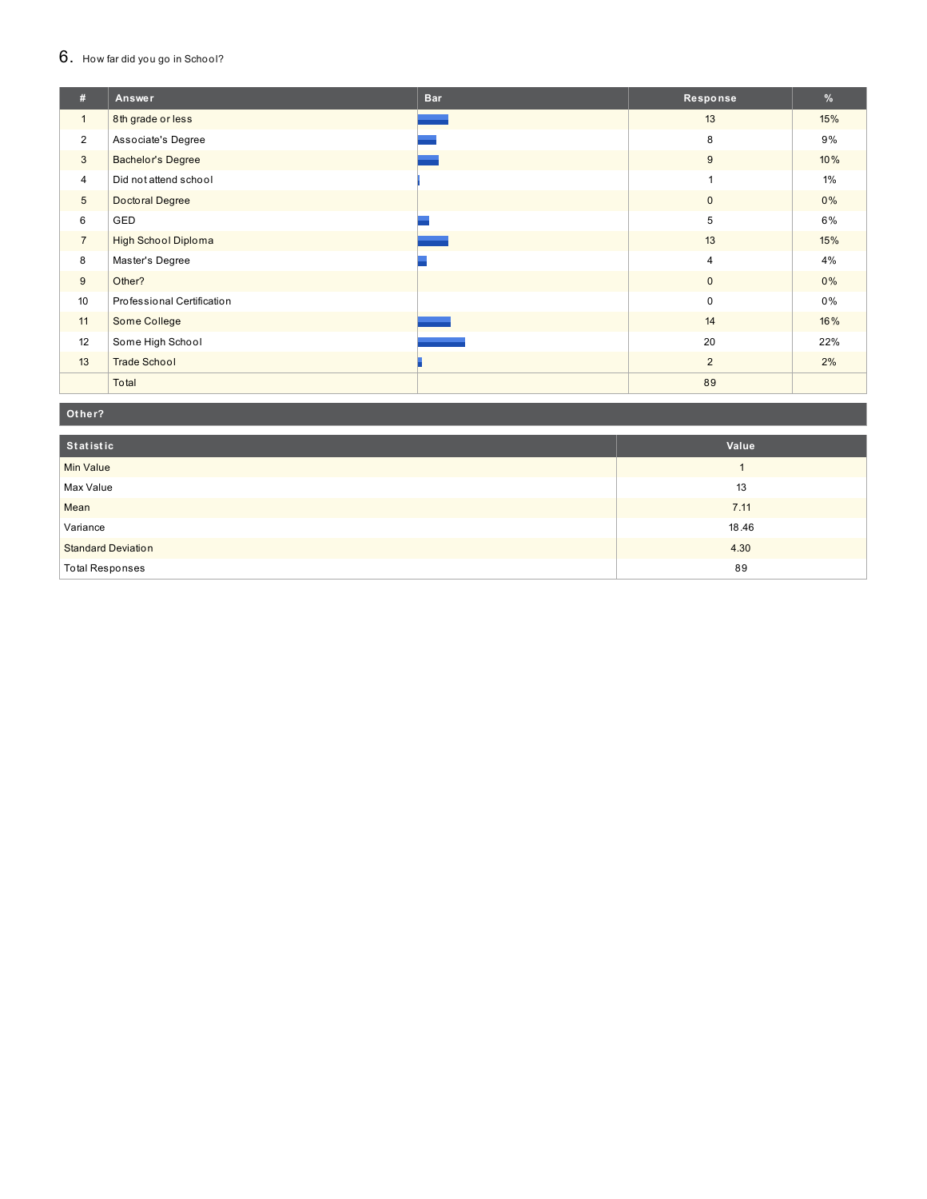#### 6. How far did you go in School?

| #               | Answer                     | <b>Bar</b> | Response       | %     |
|-----------------|----------------------------|------------|----------------|-------|
| $\mathbf{1}$    | 8th grade or less          |            | 13             | 15%   |
| $\overline{2}$  | Associate's Degree         |            | 8              | 9%    |
| 3               | <b>Bachelor's Degree</b>   |            | 9              | 10%   |
| $\overline{4}$  | Did not attend school      |            |                | $1\%$ |
| $5\phantom{.0}$ | Doctoral Degree            |            | $\mathbf 0$    | $0\%$ |
| 6               | GED                        |            | 5              | $6\%$ |
| $\overline{7}$  | <b>High School Diploma</b> |            | 13             | 15%   |
| 8               | Master's Degree            |            | $\overline{4}$ | 4%    |
| 9               | Other?                     |            | $\mathbf{0}$   | 0%    |
| 10              | Professional Certification |            | $\mathsf 0$    | $0\%$ |
| 11              | Some College               |            | 14             | 16%   |
| 12              | Some High School           |            | 20             | 22%   |
| 13              | <b>Trade School</b>        |            | $\overline{2}$ | 2%    |
|                 | Total                      |            | 89             |       |

#### Other?

| Statistic                 | Value |
|---------------------------|-------|
| <b>Min Value</b>          |       |
| Max Value                 | 13    |
| Mean                      | 7.11  |
| Variance                  | 18.46 |
| <b>Standard Deviation</b> | 4.30  |
| <b>Total Responses</b>    | 89    |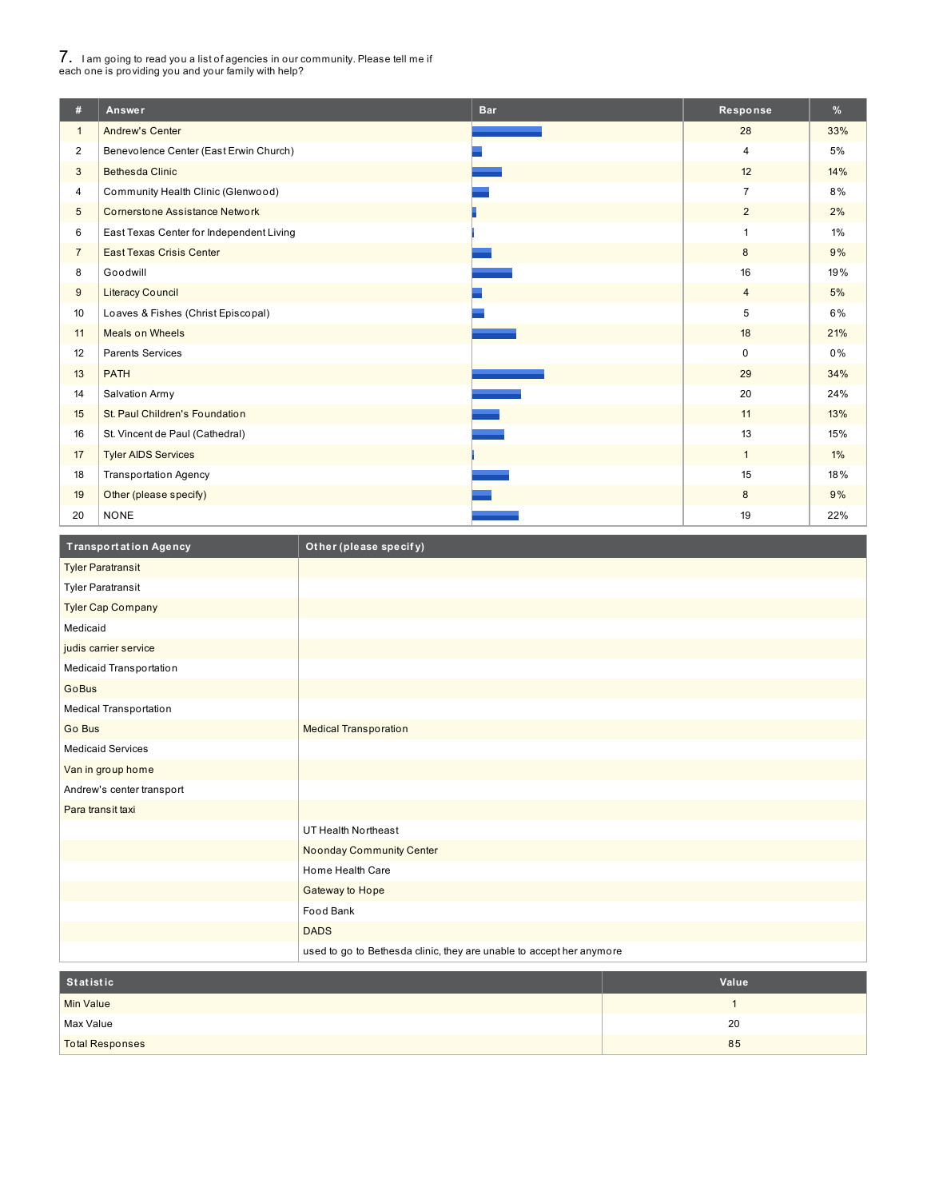# 7. <sup>I</sup> am going to read you <sup>a</sup> list of agencies in our community. Please tell me if each one is providing you and your family with help?

I

| #               | Answer                                   | <b>Bar</b> | Response       | %     |
|-----------------|------------------------------------------|------------|----------------|-------|
| $\mathbf{1}$    | <b>Andrew's Center</b>                   |            | 28             | 33%   |
| $\overline{2}$  | Benevolence Center (East Erwin Church)   |            | 4              | 5%    |
| 3               | <b>Bethesda Clinic</b>                   |            | 12             | 14%   |
| 4               | Community Health Clinic (Glenwood)       |            | $\overline{7}$ | 8%    |
| $5\phantom{.0}$ | <b>Cornerstone Assistance Network</b>    |            | $\overline{2}$ | 2%    |
| 6               | East Texas Center for Independent Living |            | 1              | $1\%$ |
| $\overline{7}$  | East Texas Crisis Center                 |            | 8              | 9%    |
| 8               | Goodwill                                 |            | 16             | 19%   |
| 9               | <b>Literacy Council</b>                  |            | $\overline{4}$ | 5%    |
| 10              | Loaves & Fishes (Christ Episcopal)       |            | 5              | 6%    |
| 11              | <b>Meals on Wheels</b>                   |            | 18             | 21%   |
| 12              | <b>Parents Services</b>                  |            | $\mathbf 0$    | 0%    |
| 13              | <b>PATH</b>                              |            | 29             | 34%   |
| 14              | Salvation Army                           |            | 20             | 24%   |
| 15              | St. Paul Children's Foundation           |            | 11             | 13%   |
| 16              | St. Vincent de Paul (Cathedral)          |            | 13             | 15%   |
| 17              | <b>Tyler AIDS Services</b>               |            | $\mathbf{1}$   | $1\%$ |
| 18              | <b>Transportation Agency</b>             |            | 15             | 18%   |
| 19              | Other (please specify)                   |            | 8              | 9%    |
| 20              | <b>NONE</b>                              |            | 19             | 22%   |

| <b>Transportation Agency</b> | Other (please specify)                                               |
|------------------------------|----------------------------------------------------------------------|
| <b>Tyler Paratransit</b>     |                                                                      |
| <b>Tyler Paratransit</b>     |                                                                      |
| <b>Tyler Cap Company</b>     |                                                                      |
| Medicaid                     |                                                                      |
| judis carrier service        |                                                                      |
| Medicaid Transportation      |                                                                      |
| GoBus                        |                                                                      |
| Medical Transportation       |                                                                      |
| Go Bus                       | <b>Medical Transporation</b>                                         |
| <b>Medicaid Services</b>     |                                                                      |
| Van in group home            |                                                                      |
| Andrew's center transport    |                                                                      |
| Para transit taxi            |                                                                      |
|                              | UT Health Northeast                                                  |
|                              | <b>Noonday Community Center</b>                                      |
|                              | Home Health Care                                                     |
|                              | Gateway to Hope                                                      |
|                              | Food Bank                                                            |
|                              | <b>DADS</b>                                                          |
|                              | used to go to Bethesda clinic, they are unable to accept her anymore |

| Statistic              | Value |
|------------------------|-------|
| <b>Min Value</b>       |       |
| Max Value              | 20    |
| <b>Total Responses</b> | 85    |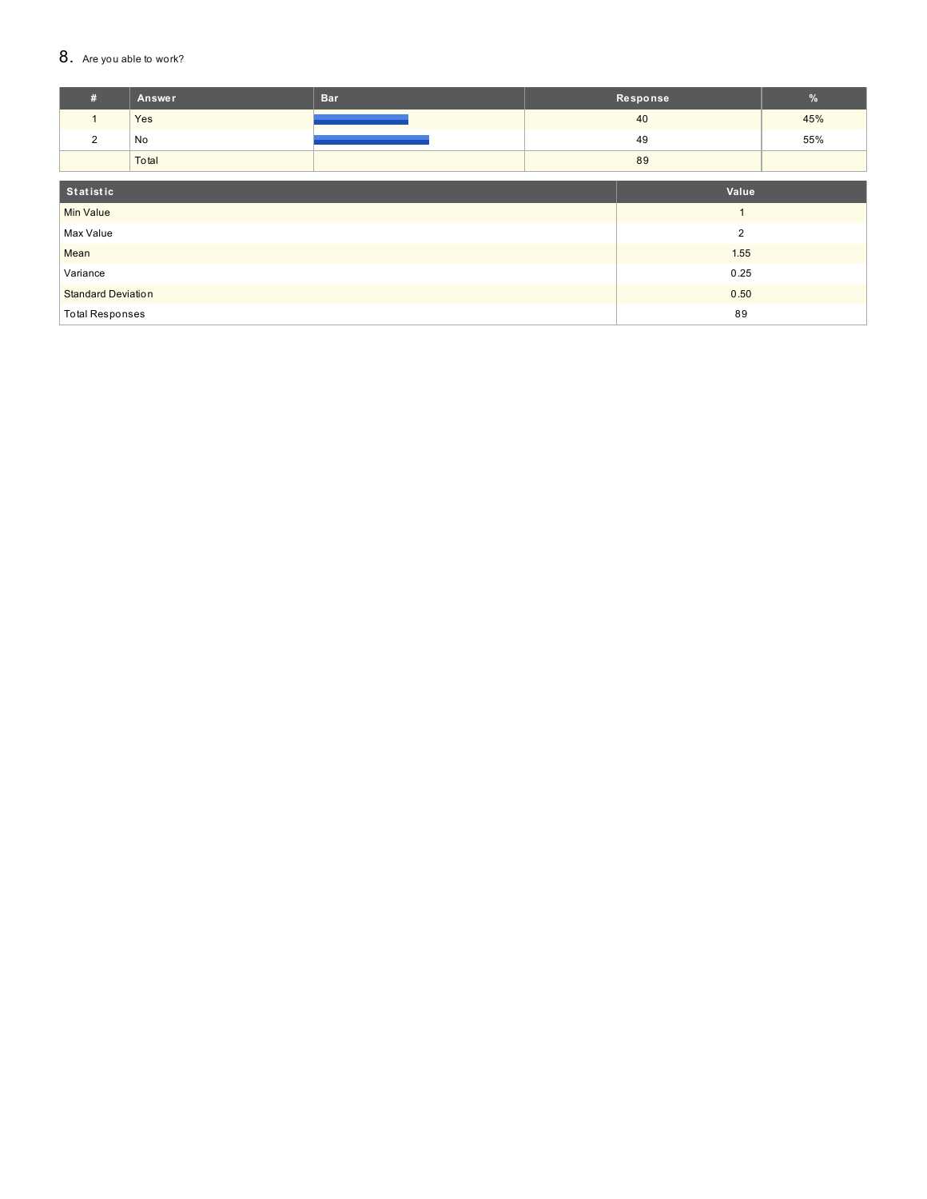#### 8. Are you able to work?

| #                            | Answer                            | <b>Bar</b> |  | Response       | $\%$ |
|------------------------------|-----------------------------------|------------|--|----------------|------|
|                              | Yes                               |            |  | 40             | 45%  |
| $\overline{2}$               | No                                |            |  | 49             | 55%  |
|                              | Total                             |            |  | 89             |      |
| Statistic                    |                                   |            |  | Value          |      |
|                              |                                   |            |  |                |      |
| <b>Min Value</b>             |                                   |            |  |                |      |
| Max Value                    |                                   |            |  | $\overline{2}$ |      |
| Mean                         |                                   | 1.55       |  |                |      |
| Variance                     |                                   | 0.25       |  |                |      |
|                              | <b>Standard Deviation</b><br>0.50 |            |  |                |      |
| 89<br><b>Total Responses</b> |                                   |            |  |                |      |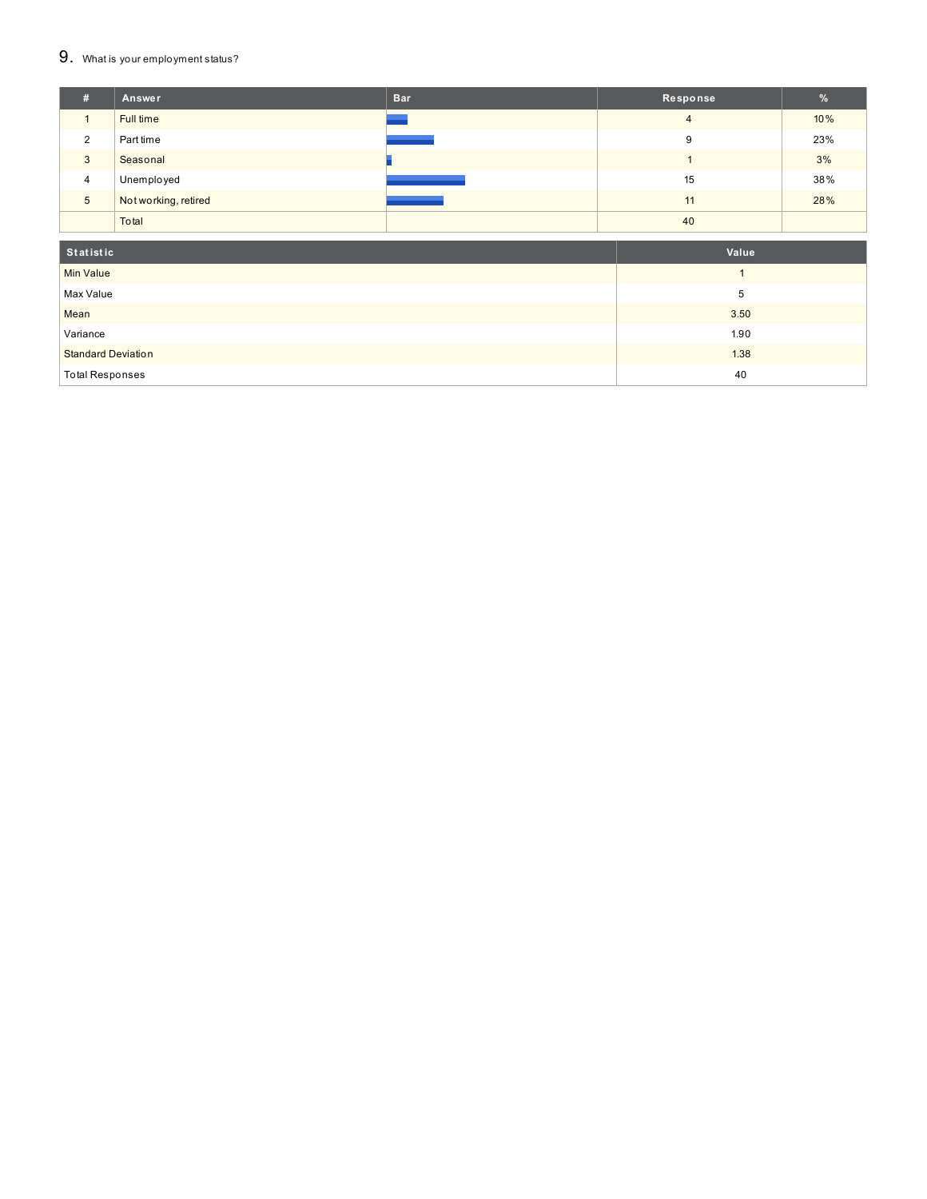#### $9.$  What is your employment status?

| # | Answer               | <b>Bar</b>                                                                                                            | Response       | $\%$ |
|---|----------------------|-----------------------------------------------------------------------------------------------------------------------|----------------|------|
|   | Full time            |                                                                                                                       | $\overline{4}$ | 10%  |
| 2 | Part time            |                                                                                                                       | 9              | 23%  |
| 3 | Seasonal             |                                                                                                                       |                | 3%   |
| 4 | Unemployed           | <b>Contract Contract Contract Contract Contract Contract Contract Contract Contract Contract Contract Contract Co</b> | 15             | 38%  |
| 5 | Not working, retired |                                                                                                                       | 11             | 28%  |
|   | Total                |                                                                                                                       | 40             |      |
|   |                      |                                                                                                                       |                |      |

| Statistic                 | Value |
|---------------------------|-------|
| <b>Min Value</b>          |       |
| Max Value                 |       |
| Mean                      | 3.50  |
| Variance                  | 1.90  |
| <b>Standard Deviation</b> | 1.38  |
| Total Responses           | 40    |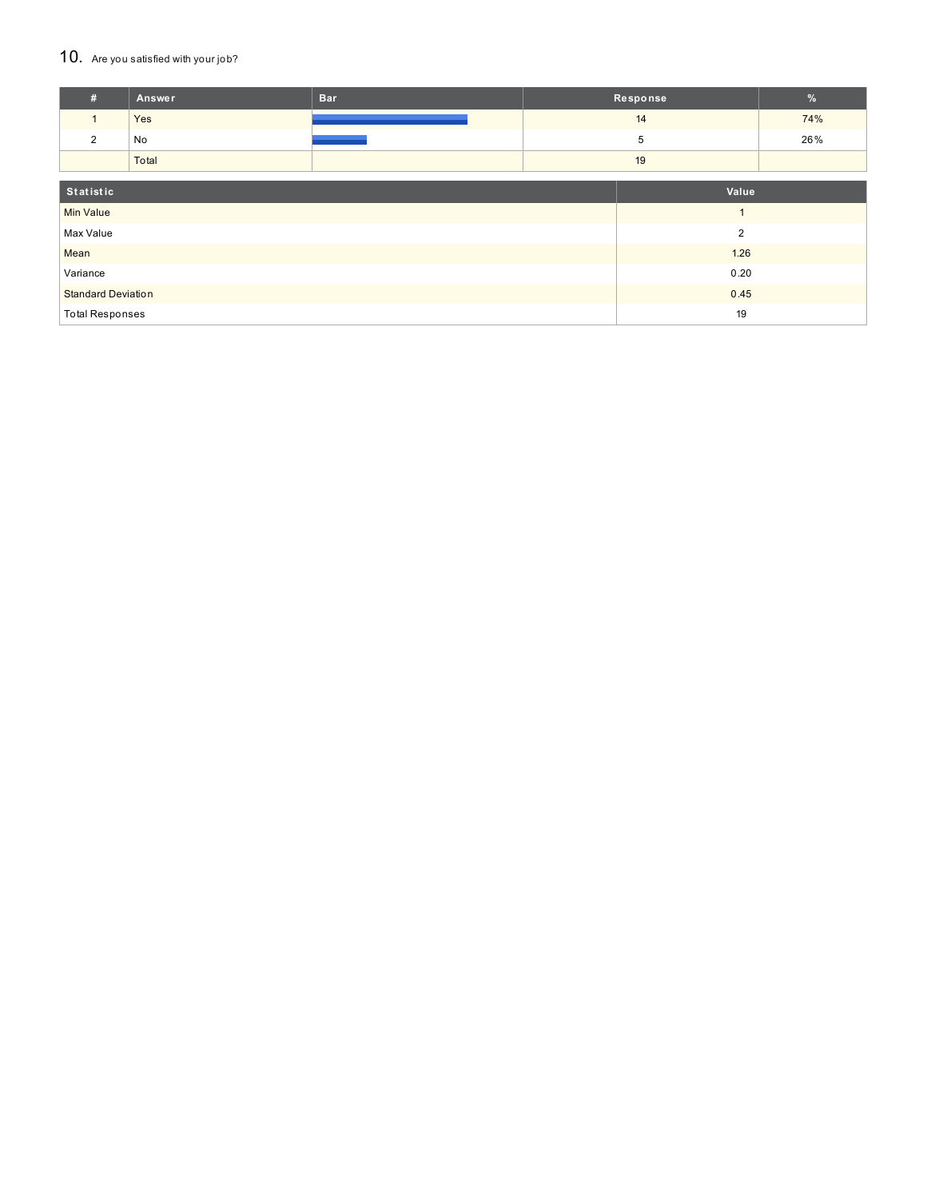#### 10. Are you satisfied with your job?

| #                      | <b>Answer</b>                     | <b>Bar</b> | Response       | $\frac{9}{6}$ |
|------------------------|-----------------------------------|------------|----------------|---------------|
| $\mathbf{1}$           | Yes                               |            | 14             | 74%           |
| 2                      | No                                |            | 5              | 26%           |
|                        | Total                             |            | 19             |               |
|                        |                                   |            |                |               |
| Statistic              |                                   |            | Value          |               |
| <b>Min Value</b>       |                                   |            |                |               |
| Max Value              |                                   |            | $\overline{2}$ |               |
| Mean                   |                                   |            | 1.26           |               |
| Variance               |                                   |            | 0.20           |               |
|                        | 0.45<br><b>Standard Deviation</b> |            |                |               |
| <b>Total Responses</b> |                                   |            | 19             |               |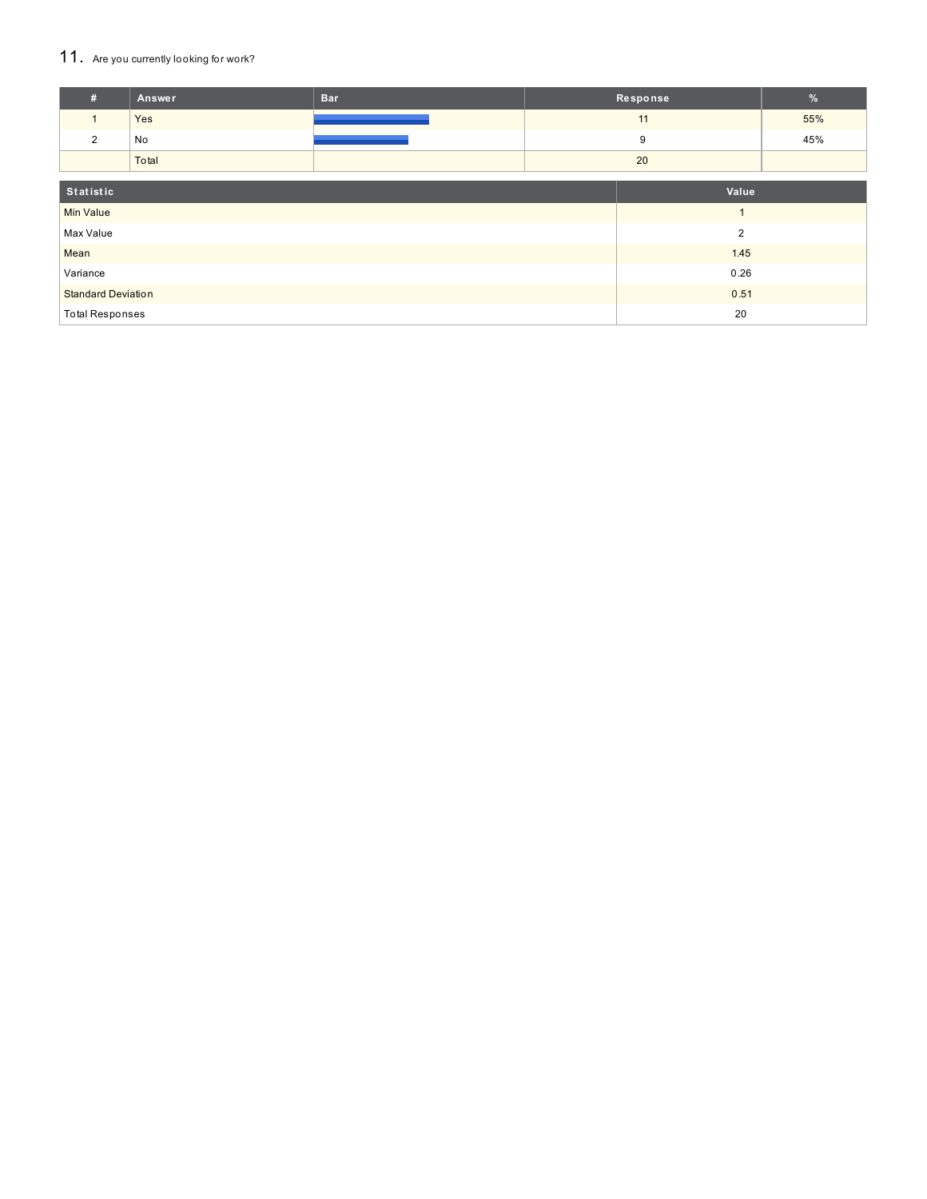## 11. Are you currently looking for work?

| #                                 | Answer | <b>Bar</b> | Response       | $\%$ |
|-----------------------------------|--------|------------|----------------|------|
|                                   | Yes    |            | 11             | 55%  |
| $\overline{2}$                    | No     |            | 9              | 45%  |
|                                   | Total  |            | 20             |      |
| Statistic                         |        |            | Value          |      |
| <b>Min Value</b>                  |        |            | $\overline{A}$ |      |
| Max Value                         |        |            | $\overline{2}$ |      |
| Mean                              |        |            | 1.45           |      |
| Variance                          |        |            | 0.26           |      |
| <b>Standard Deviation</b><br>0.51 |        |            |                |      |
| <b>Total Responses</b>            |        |            | 20             |      |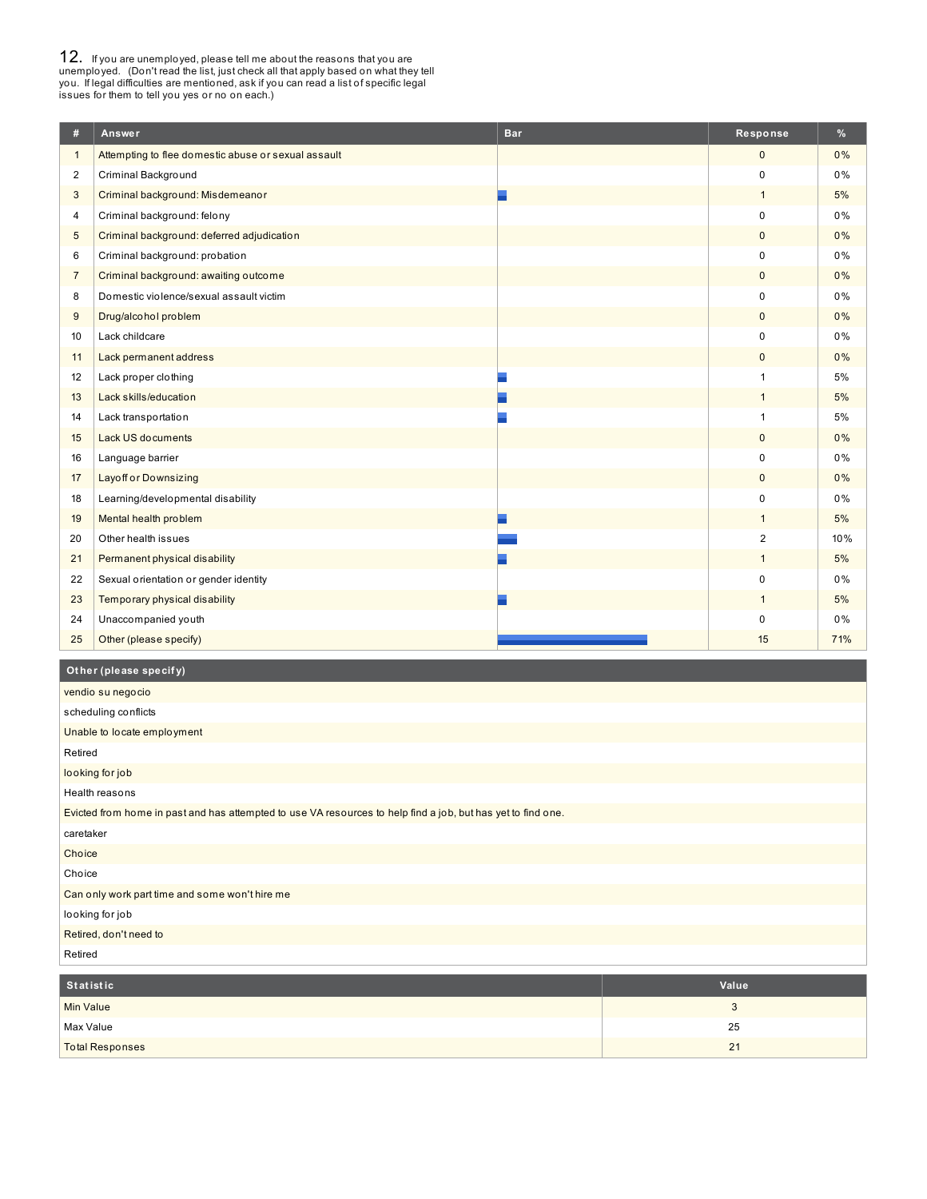**12.** If you are unemployed, please tell me about the reasons that you are unemployed. (Don't read the list, just check all that apply based on what they tell you. If legal difficulties are mentioned, ask if you can read a

| #              | Answer                                              | <b>Bar</b> | Response       | %   |
|----------------|-----------------------------------------------------|------------|----------------|-----|
| $\mathbf{1}$   | Attempting to flee domestic abuse or sexual assault |            | $\mathbf{0}$   | 0%  |
| 2              | Criminal Background                                 |            | $\mathbf 0$    | 0%  |
| 3              | Criminal background: Misdemeanor                    |            | $\mathbf{1}$   | 5%  |
| 4              | Criminal background: felony                         |            | 0              | 0%  |
| 5              | Criminal background: deferred adjudication          |            | $\mathbf{0}$   | 0%  |
| 6              | Criminal background: probation                      |            | 0              | 0%  |
| $\overline{7}$ | Criminal background: awaiting outcome               |            | $\mathbf 0$    | 0%  |
| 8              | Domestic violence/sexual assault victim             |            | $\Omega$       | 0%  |
| 9              | Drug/alcohol problem                                |            | $\mathbf{0}$   | 0%  |
| 10             | Lack childcare                                      |            | $\Omega$       | 0%  |
| 11             | Lack permanent address                              |            | $\mathbf{0}$   | 0%  |
| 12             | Lack proper clothing                                |            | $\mathbf{1}$   | 5%  |
| 13             | Lack skills/education                               |            | $\mathbf{1}$   | 5%  |
| 14             | Lack transportation                                 |            | $\overline{1}$ | 5%  |
| 15             | <b>Lack US documents</b>                            |            | $\mathbf{0}$   | 0%  |
| 16             | Language barrier                                    |            | $\mathbf 0$    | 0%  |
| 17             | <b>Layoff or Downsizing</b>                         |            | $\mathbf{0}$   | 0%  |
| 18             | Learning/developmental disability                   |            | $\mathbf 0$    | 0%  |
| 19             | Mental health problem                               |            | $\mathbf{1}$   | 5%  |
| 20             | Other health issues                                 |            | $\overline{2}$ | 10% |
| 21             | Permanent physical disability                       |            | $\mathbf{1}$   | 5%  |
| 22             | Sexual orientation or gender identity               |            | $\mathbf 0$    | 0%  |
| 23             | Temporary physical disability                       |            | $\mathbf{1}$   | 5%  |
| 24             | Unaccompanied youth                                 |            | $\Omega$       | 0%  |
| 25             | Other (please specify)                              |            | 15             | 71% |

#### **Ot her (please specif y)**

| vendio su negocio                                                                                            |
|--------------------------------------------------------------------------------------------------------------|
| scheduling conflicts                                                                                         |
| Unable to locate employment                                                                                  |
| Retired                                                                                                      |
| looking for job                                                                                              |
| Health reasons                                                                                               |
| Evicted from home in past and has attempted to use VA resources to help find a job, but has yet to find one. |
| caretaker                                                                                                    |
| Choice                                                                                                       |
| Choice                                                                                                       |
| Can only work part time and some won't hire me                                                               |
| looking for job                                                                                              |
| Retired, don't need to                                                                                       |
| Retired                                                                                                      |

| Statistic              | Value          |
|------------------------|----------------|
| Min Value              | w              |
| Max Value              | 25             |
| <b>Total Responses</b> | 2 <sup>1</sup> |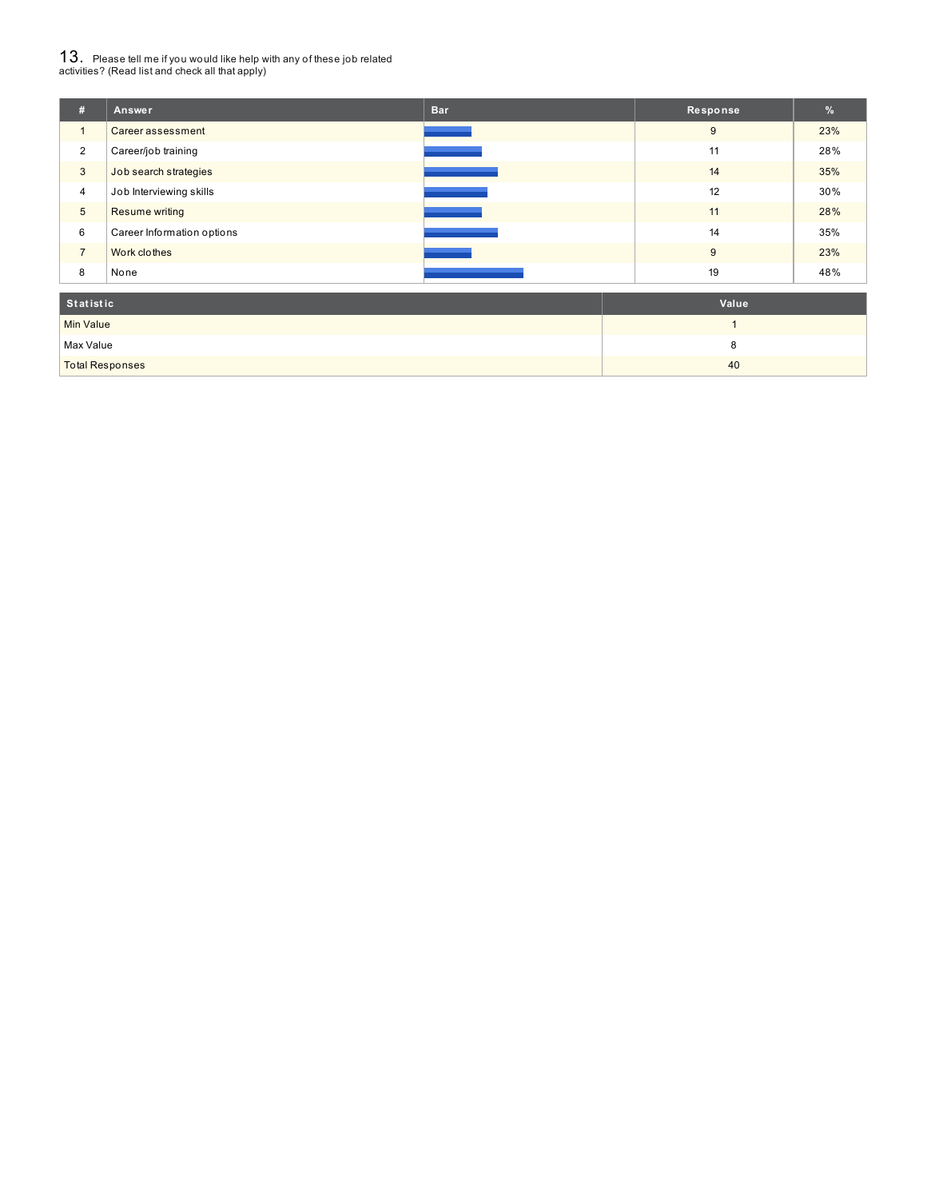# $13_\cdot$  Please tell me if you would like help with any of these job related<br>activities? (Read list and check all that apply)

| #              | Answer                     | <b>Bar</b> | Response | %   |
|----------------|----------------------------|------------|----------|-----|
| $\overline{A}$ | Career assessment          |            | 9        | 23% |
| 2              | Career/job training        |            | 11       | 28% |
| 3              | Job search strategies      |            | 14       | 35% |
| 4              | Job Interviewing skills    |            | 12       | 30% |
| 5              | Resume writing             |            | 11       | 28% |
| 6              | Career Information options |            | 14       | 35% |
| $\overline{7}$ | Work clothes               |            | 9        | 23% |
| 8              | None                       |            | 19       | 48% |
| .              |                            |            |          |     |

| Statistic              | Value |
|------------------------|-------|
| Min Value              |       |
| Max Value              |       |
| <b>Total Responses</b> | 40    |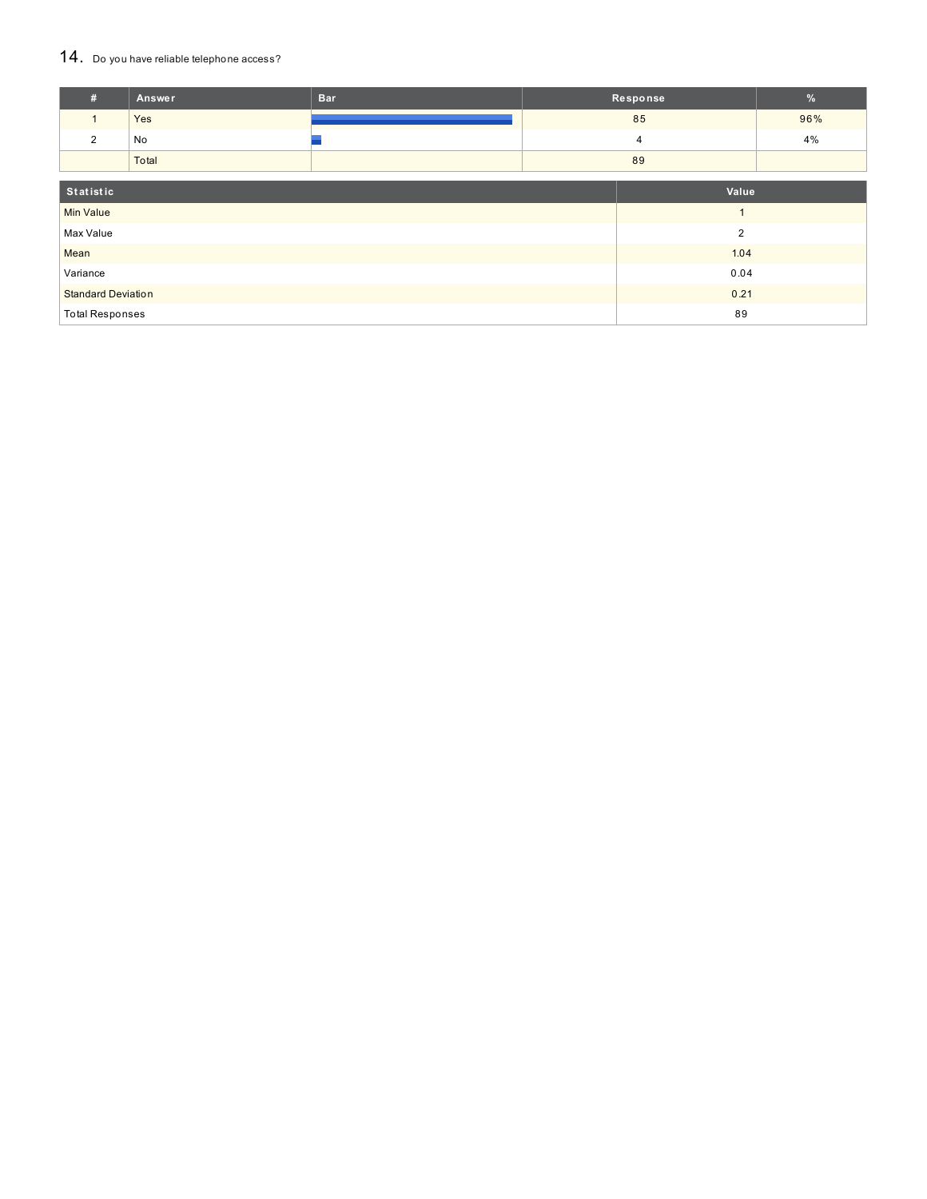#### 14. Do you have reliable telephone access?

| #                         | Answer | <b>Bar</b> |                | Response       | $\%$ |
|---------------------------|--------|------------|----------------|----------------|------|
| $\mathbf{1}$              | Yes    |            |                | 85             | 96%  |
| 2                         | No     |            |                | 4              | 4%   |
|                           | Total  |            |                | 89             |      |
| Statistic<br>Value        |        |            |                |                |      |
| <b>Min Value</b>          |        |            |                | $\overline{A}$ |      |
| Max Value                 |        |            | $\overline{2}$ |                |      |
| Mean                      |        |            | 1.04           |                |      |
| Variance                  |        | 0.04       |                |                |      |
| <b>Standard Deviation</b> |        |            | 0.21           |                |      |
| <b>Total Responses</b>    |        | 89         |                |                |      |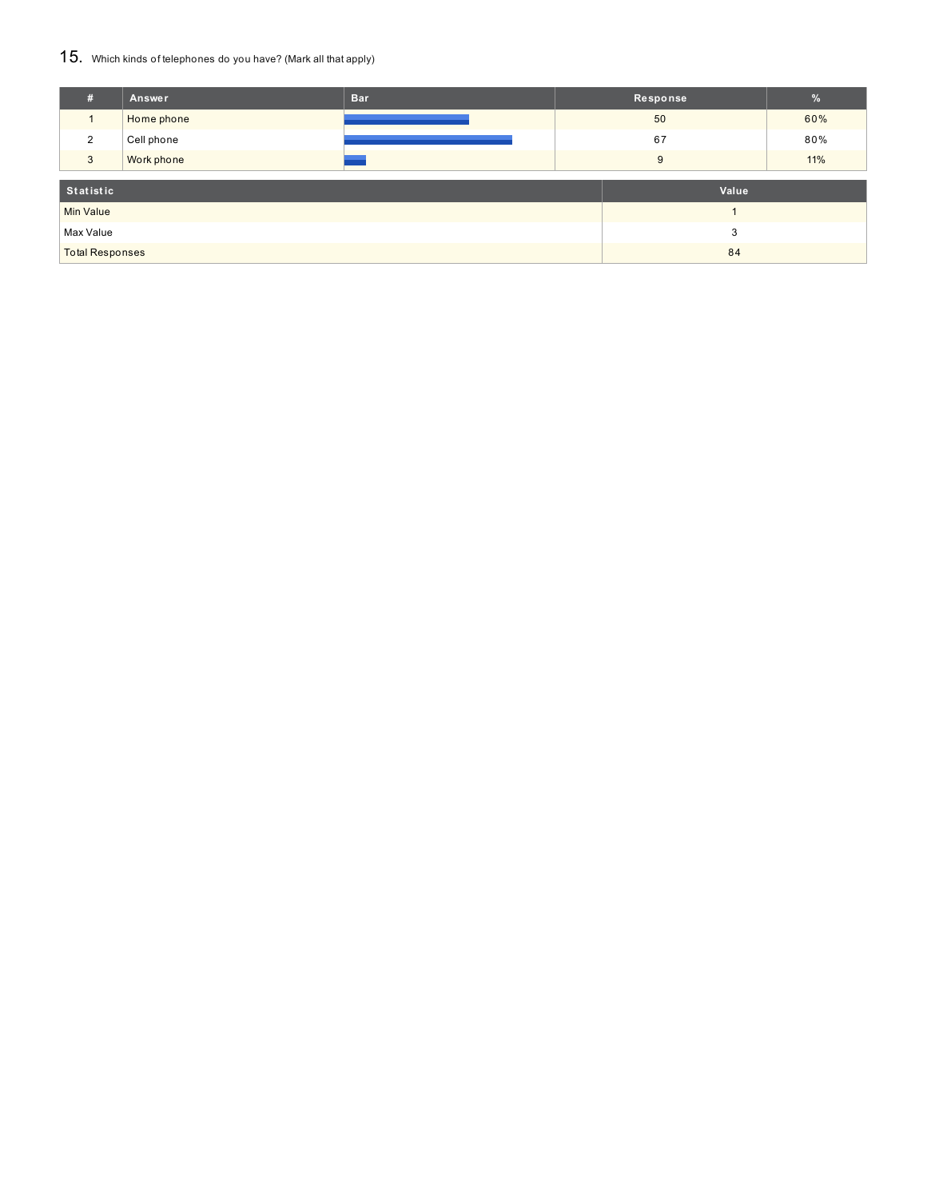### 15. Which kinds of telephones do you have? (Mark all that apply)

| #                      | Answer     | <b>Bar</b> | Response |    | $\%$ |
|------------------------|------------|------------|----------|----|------|
|                        | Home phone |            |          | 50 | 60%  |
| 2                      | Cell phone |            |          | 67 | 80%  |
| 3                      | Work phone |            |          | 9  | 11%  |
| Statistic              |            |            | Value    |    |      |
|                        |            |            |          |    |      |
| <b>Min Value</b>       |            |            |          |    |      |
| Max Value              |            |            | 3        |    |      |
| <b>Total Responses</b> |            | 84         |          |    |      |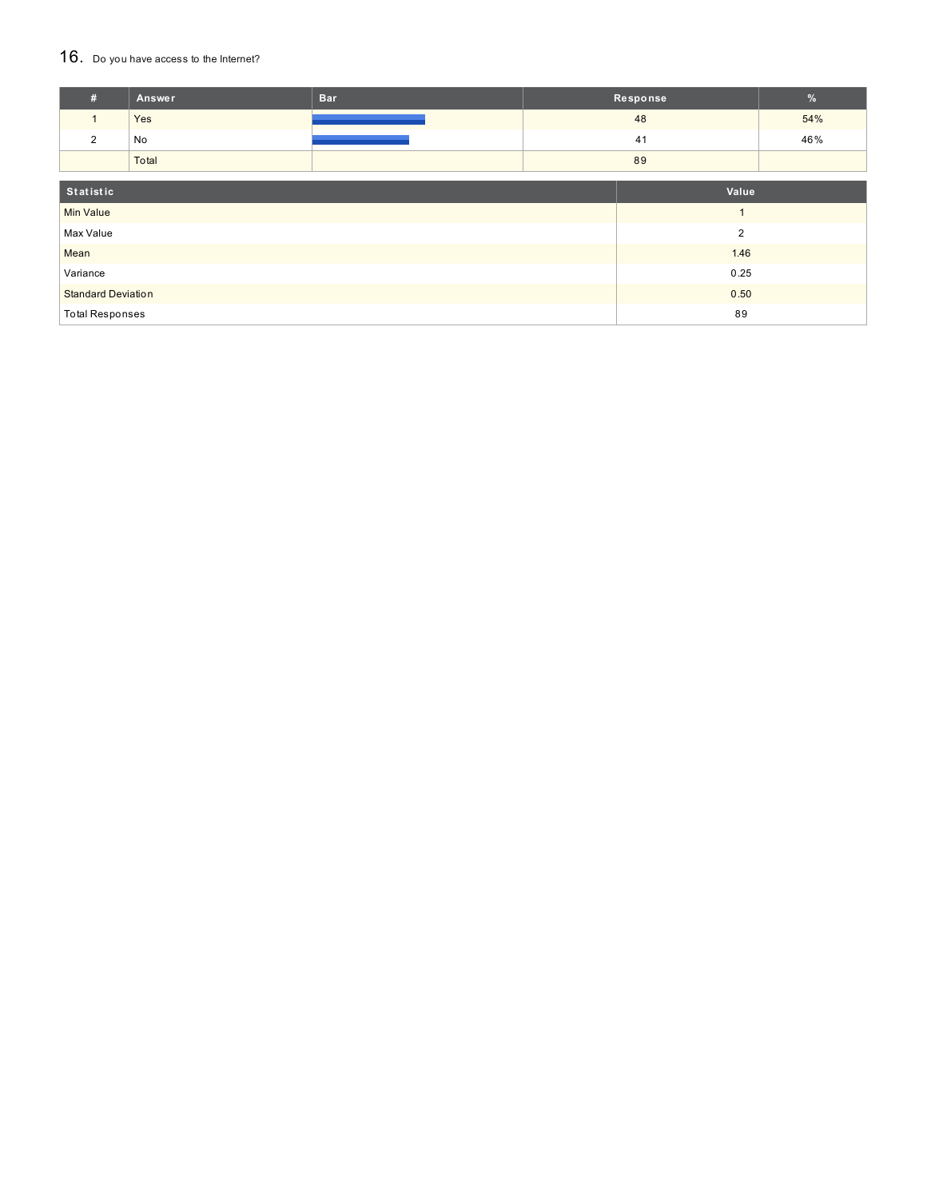### 16. Do you have access to the Internet?

| #                         | Answer | <b>Bar</b> |                | Response       | $\frac{9}{6}$ |
|---------------------------|--------|------------|----------------|----------------|---------------|
| $\mathbf{1}$              | Yes    |            |                | 48             | 54%           |
| 2                         | No     |            |                | 41             | 46%           |
|                           | Total  |            | 89             |                |               |
| Statistic                 |        |            |                | Value          |               |
| <b>Min Value</b>          |        |            |                | $\overline{ }$ |               |
| Max Value                 |        |            | $\overline{2}$ |                |               |
| Mean                      |        |            |                | 1.46           |               |
| Variance                  |        |            |                | 0.25           |               |
| <b>Standard Deviation</b> |        |            | 0.50           |                |               |
| <b>Total Responses</b>    |        |            | 89             |                |               |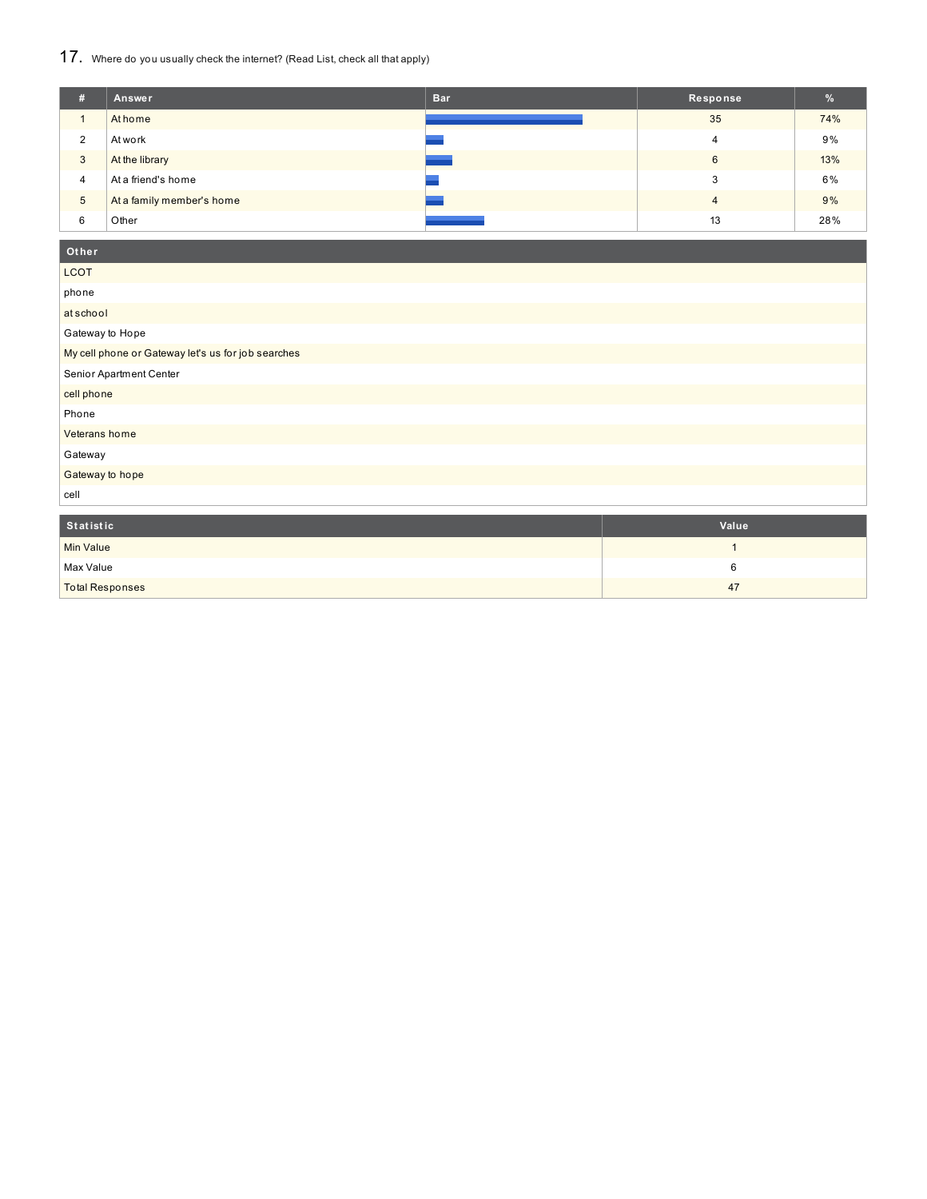## 17. Where do you usually check the internet? (Read List, check all that apply)

| # | Answer                    | <b>Bar</b> | Response       | %   |
|---|---------------------------|------------|----------------|-----|
|   | At home                   |            | 35             | 74% |
| 2 | At work                   |            | 4              | 9%  |
| 3 | At the library            |            | 6              | 13% |
| 4 | At a friend's home        |            | 3              | 6%  |
| 5 | At a family member's home |            | $\overline{4}$ | 9%  |
| 6 | Other                     |            | 13             | 28% |

### **Ot her**

| <b>LCOT</b>                                        |
|----------------------------------------------------|
| phone                                              |
| atschool                                           |
| Gateway to Hope                                    |
| My cell phone or Gateway let's us for job searches |
| Senior Apartment Center                            |
| cell phone                                         |
| Phone                                              |
| Veterans home                                      |
| Gateway                                            |
| Gateway to hope                                    |
|                                                    |

cell

| Statistic              | Value |
|------------------------|-------|
| <b>Min Value</b>       |       |
| Max Value              |       |
| <b>Total Responses</b> | 47    |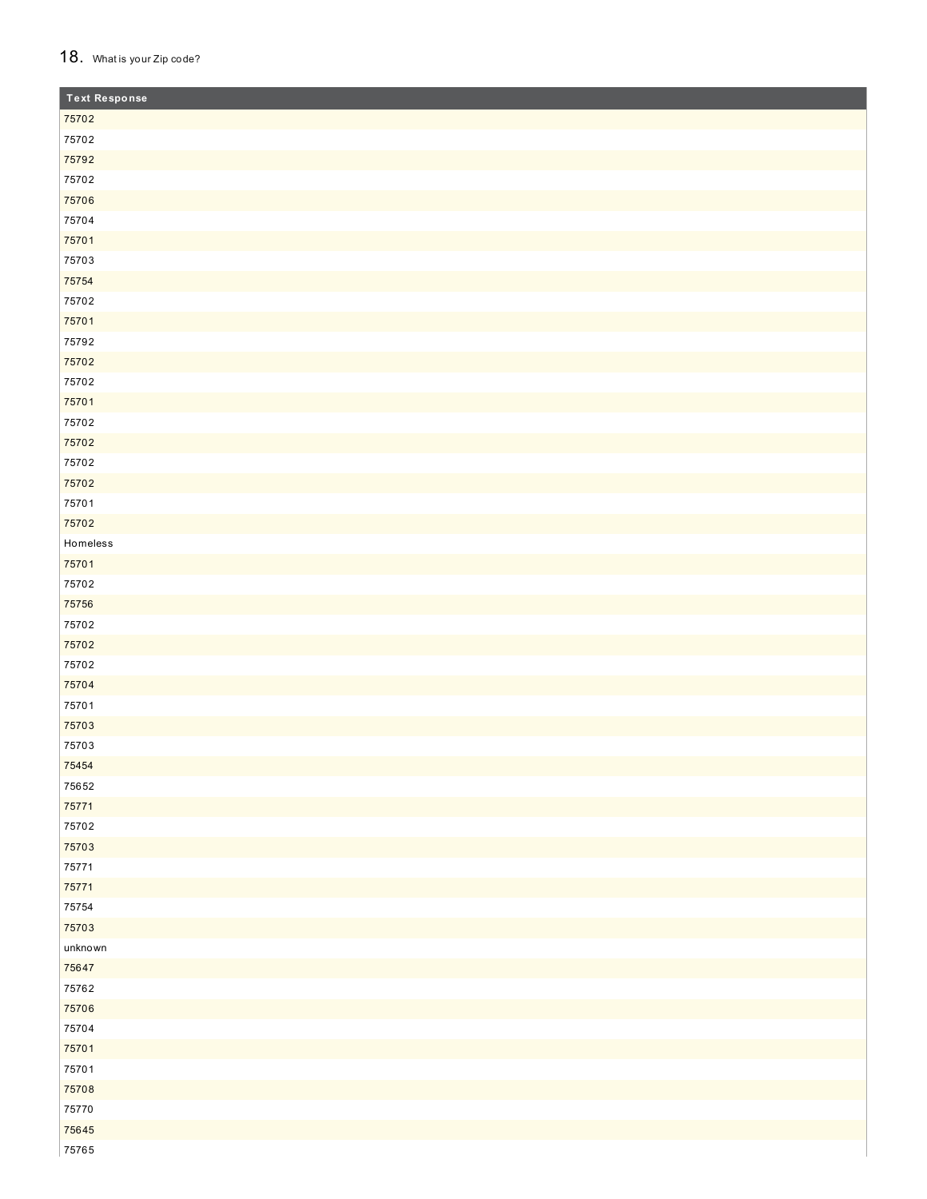#### 18. What is your Zip code?

| <b>Text Response</b> |  |
|----------------------|--|
| 75702                |  |
| 75702                |  |
| 75792                |  |
| 75702                |  |
| 75706                |  |
| 75704                |  |
| 75701                |  |
| 75703                |  |
| 75754                |  |
| 75702                |  |
| 75701                |  |
| 75792                |  |
| 75702                |  |
| 75702                |  |
| 75701                |  |
| 75702                |  |
| 75702                |  |
| 75702                |  |
| 75702                |  |
| 75701                |  |
| 75702                |  |
| Homeless             |  |
| 75701                |  |
| 75702                |  |
| 75756                |  |
| 75702                |  |
| 75702                |  |
| 75702                |  |
| 75704                |  |
| 75701                |  |
| 75703                |  |
| 75703                |  |
| 75454                |  |
| 75652                |  |
| 75771                |  |
| 75702                |  |
| 75703                |  |
| 75771                |  |
| 75771                |  |
| 75754                |  |
| 75703                |  |
| unknown              |  |
| 75647                |  |
| 75762                |  |
| 75706                |  |
| 75704                |  |
| 75701                |  |
| 75701                |  |
| 75708                |  |
| 75770                |  |
| 75645                |  |
| 75765                |  |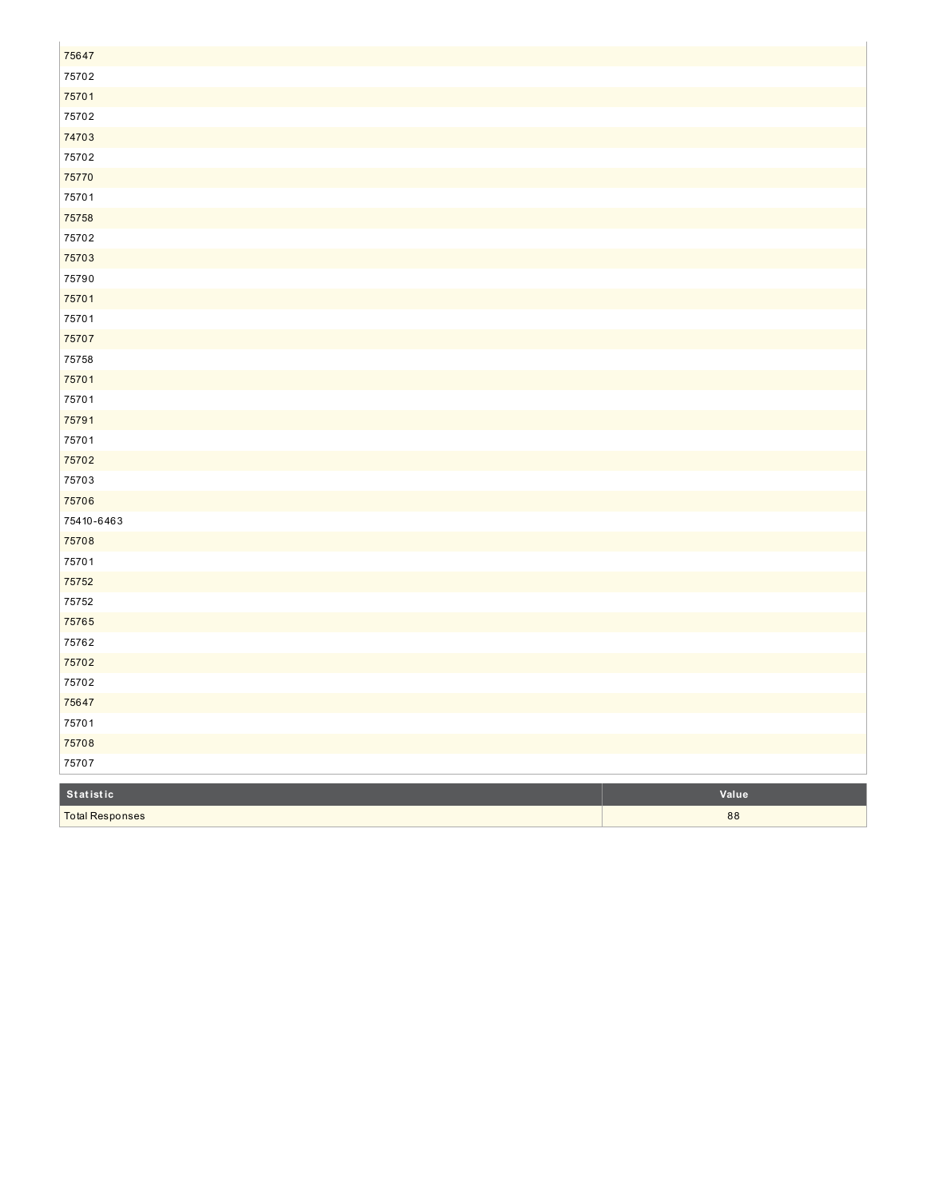| 75647                  |       |
|------------------------|-------|
| 75702                  |       |
| 75701                  |       |
| 75702                  |       |
| 74703                  |       |
| 75702                  |       |
| 75770                  |       |
| 75701                  |       |
| 75758                  |       |
| 75702                  |       |
| 75703                  |       |
| 75790                  |       |
| 75701                  |       |
| 75701                  |       |
| 75707                  |       |
| 75758                  |       |
| 75701                  |       |
| 75701                  |       |
| 75791                  |       |
| 75701                  |       |
| 75702                  |       |
| 75703                  |       |
| 75706                  |       |
| 75410-6463             |       |
| 75708                  |       |
| 75701                  |       |
| 75752                  |       |
| 75752                  |       |
| 75765                  |       |
| 75762                  |       |
| 75702                  |       |
| 75702                  |       |
| 75647                  |       |
| 75701                  |       |
| 75708                  |       |
| 75707                  |       |
| Statistic              | Value |
|                        |       |
| <b>Total Responses</b> | 88    |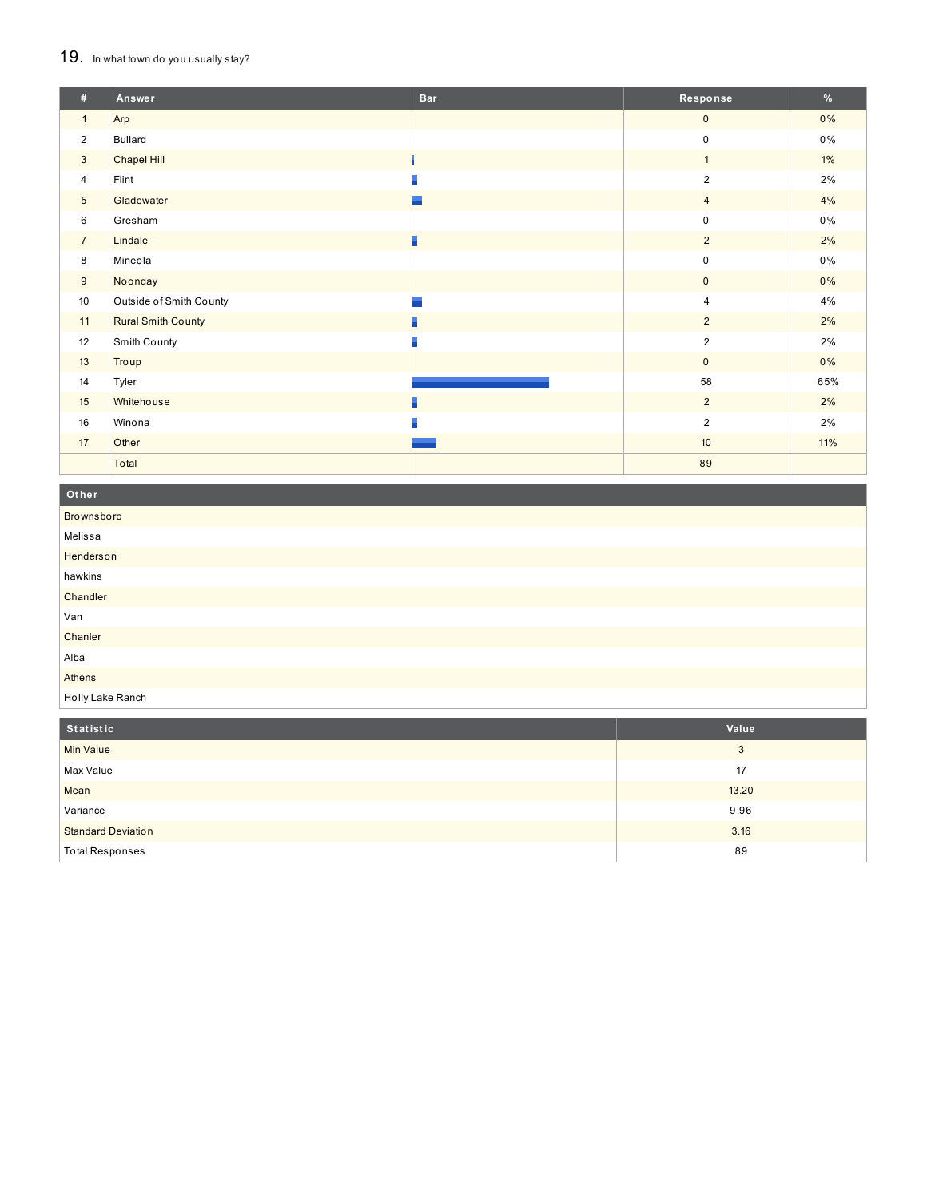#### 19. In what town do you usually stay?

| #               | Answer                    | <b>Bar</b> | Response         | %     |
|-----------------|---------------------------|------------|------------------|-------|
| $\mathbf{1}$    | Arp                       |            | $\mathbf{0}$     | 0%    |
| $\overline{2}$  | <b>Bullard</b>            |            | $\mathsf 0$      | $0\%$ |
| 3               | Chapel Hill               |            | $\mathbf{1}$     | $1\%$ |
| $\overline{4}$  | Flint                     |            | $\overline{2}$   | 2%    |
| $5\phantom{.0}$ | Gladewater                |            | $\overline{4}$   | 4%    |
| 6               | Gresham                   |            | $\mathbf 0$      | $0\%$ |
| $\overline{7}$  | Lindale                   |            | $\overline{2}$   | 2%    |
| 8               | Mineola                   |            | $\mathsf 0$      | 0%    |
| 9               | Noonday                   |            | $\mathbf{0}$     | 0%    |
| 10              | Outside of Smith County   |            | $\overline{4}$   | 4%    |
| 11              | <b>Rural Smith County</b> |            | $\overline{2}$   | 2%    |
| 12              | Smith County              |            | $\overline{2}$   | 2%    |
| 13              | Troup                     |            | $\mathbf{0}$     | 0%    |
| 14              | Tyler                     |            | 58               | 65%   |
| 15              | Whitehouse                |            | $\overline{2}$   | 2%    |
| 16              | Winona                    |            | $\overline{2}$   | 2%    |
| 17              | Other                     |            | 10 <sup>10</sup> | 11%   |
|                 | Total                     |            | 89               |       |

#### **O t h e r**

| Brownsboro       |
|------------------|
| Melissa          |
| Henderson        |
| hawkins          |
| Chandler         |
| Van              |
| Chanler          |
| Alba             |
| Athens           |
| Holly Lake Ranch |

| Statistic                 | Value |
|---------------------------|-------|
| <b>Min Value</b>          | 3     |
| Max Value                 | 17    |
| Mean                      | 13.20 |
| Variance                  | 9.96  |
| <b>Standard Deviation</b> | 3.16  |
| <b>Total Responses</b>    | 89    |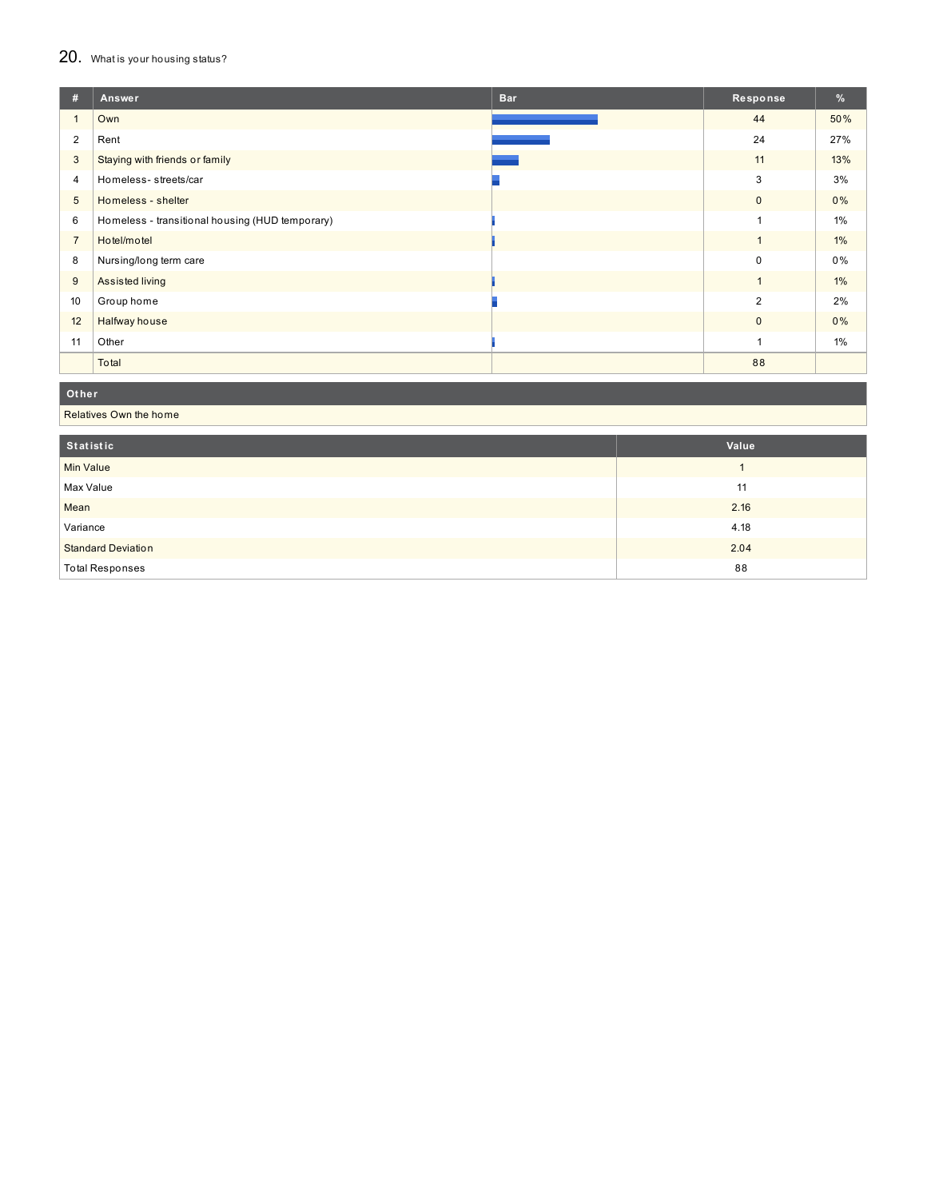## 20. What is your housing status?

| #               | Answer                                          | <b>Bar</b> | Response       | %     |
|-----------------|-------------------------------------------------|------------|----------------|-------|
|                 | Own                                             |            | 44             | 50%   |
| 2               | Rent                                            |            | 24             | 27%   |
| $\mathbf{3}$    | Staying with friends or family                  |            | 11             | 13%   |
| $\overline{4}$  | Homeless-streets/car                            |            | 3              | 3%    |
| $5\overline{)}$ | Homeless - shelter                              |            | $\mathbf{0}$   | $0\%$ |
| 6               | Homeless - transitional housing (HUD temporary) |            | 1              | $1\%$ |
| $\overline{7}$  | Hotel/motel                                     |            | $\mathbf{1}$   | 1%    |
| 8               | Nursing/long term care                          |            | 0              | 0%    |
| 9               | Assisted living                                 |            | $\mathbf{1}$   | $1\%$ |
| 10              | Group home                                      |            | $\overline{2}$ | 2%    |
| 12              | Halfway house                                   |            | $\mathbf{0}$   | 0%    |
| 11              | Other                                           |            | 1              | $1\%$ |
|                 | Total                                           |            | 88             |       |

**Ot her**

Relatives Own the home

| Statistic                 | Value |
|---------------------------|-------|
| Min Value                 |       |
| Max Value                 | 11    |
| Mean                      | 2.16  |
| Variance                  | 4.18  |
| <b>Standard Deviation</b> | 2.04  |
| <b>Total Responses</b>    | 88    |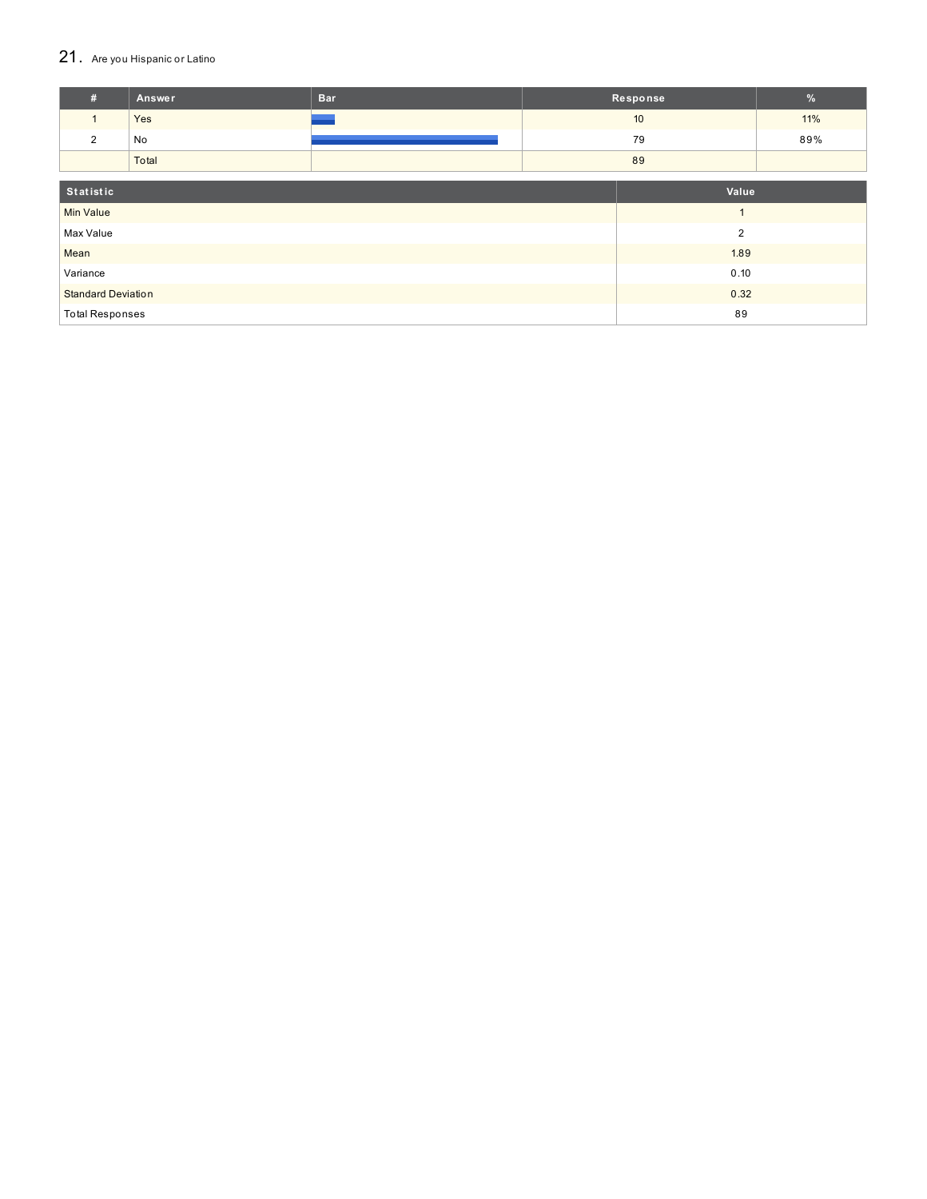## 21. Are you Hispanic or Latino

| #                                 | <b>Answer</b>  | <b>Bar</b> | Response |       | $\frac{9}{6}$ |
|-----------------------------------|----------------|------------|----------|-------|---------------|
| $\mathbf{1}$                      | Yes            |            |          | 10    | 11%           |
| 2                                 | No             |            |          | 79    | 89%           |
|                                   | Total          |            |          | 89    |               |
|                                   |                |            |          |       |               |
| Statistic                         |                |            |          | Value |               |
| <b>Min Value</b>                  |                |            |          |       |               |
| Max Value                         | $\overline{2}$ |            |          |       |               |
| Mean                              |                | 1.89       |          |       |               |
| Variance                          |                | 0.10       |          |       |               |
| 0.32<br><b>Standard Deviation</b> |                |            |          |       |               |
| 89<br><b>Total Responses</b>      |                |            |          |       |               |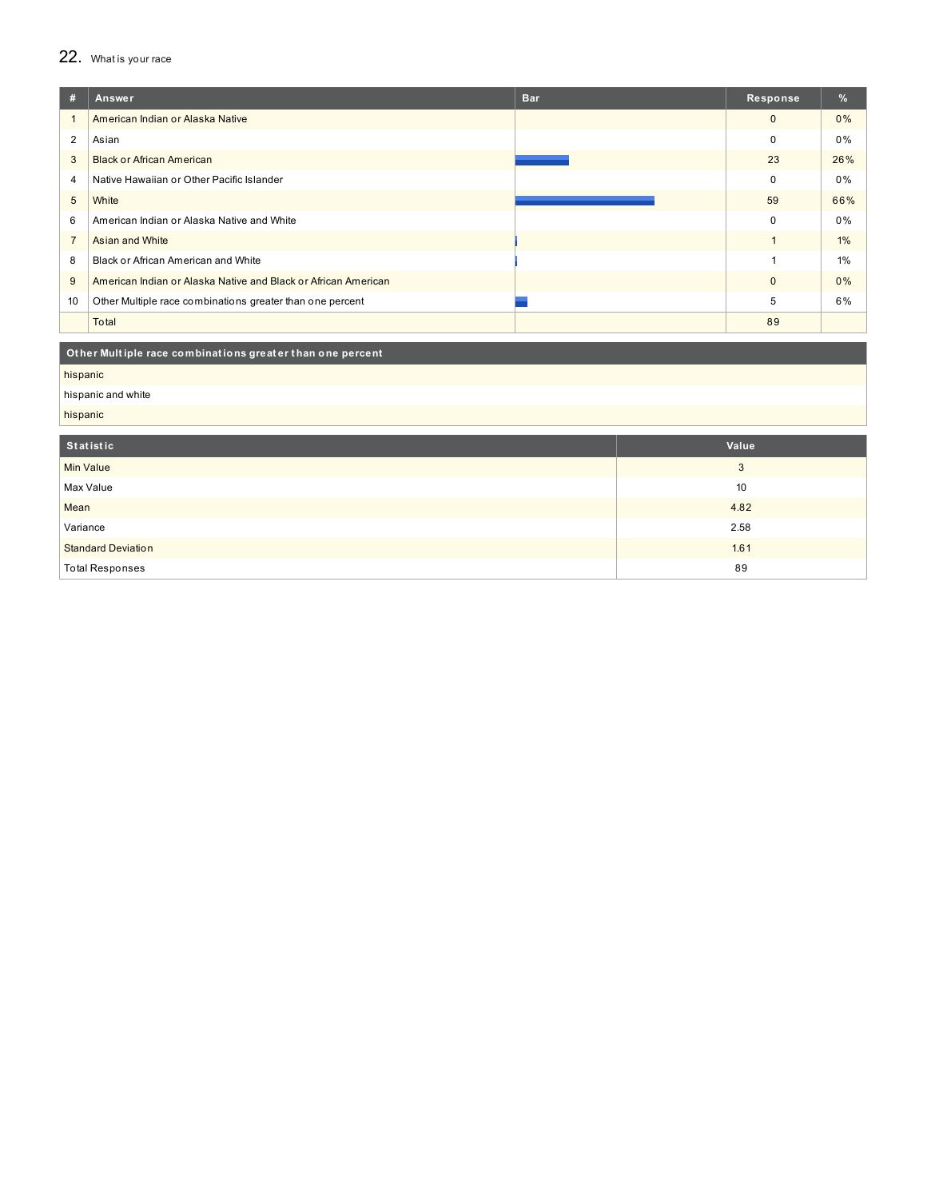## 22. What is your race

| #              | Answer                                                         | <b>Bar</b> | Response     | %     |
|----------------|----------------------------------------------------------------|------------|--------------|-------|
|                | American Indian or Alaska Native                               |            | $\mathbf{0}$ | $0\%$ |
| 2              | Asian                                                          |            | $\mathbf 0$  | $0\%$ |
| 3              | <b>Black or African American</b>                               |            | 23           | 26%   |
| 4              | Native Hawaiian or Other Pacific Islander                      |            | $\mathbf 0$  | $0\%$ |
| 5              | White                                                          |            | 59           | 66%   |
| 6              | American Indian or Alaska Native and White                     |            | $\mathbf 0$  | $0\%$ |
| $\overline{7}$ | Asian and White                                                |            |              | $1\%$ |
| 8              | Black or African American and White                            |            |              | 1%    |
| 9              | American Indian or Alaska Native and Black or African American |            | $\mathbf{0}$ | $0\%$ |
| 10             | Other Multiple race combinations greater than one percent      |            | 5            | 6%    |
|                | Total                                                          |            | 89           |       |

Other Multiple race combinations greater than one percent

hispanic

hispanic and white

hispanic

| Statistic                 | Value |
|---------------------------|-------|
| Min Value                 | 3     |
| Max Value                 | 10    |
| Mean                      | 4.82  |
| Variance                  | 2.58  |
| <b>Standard Deviation</b> | 1.61  |
| <b>Total Responses</b>    | 89    |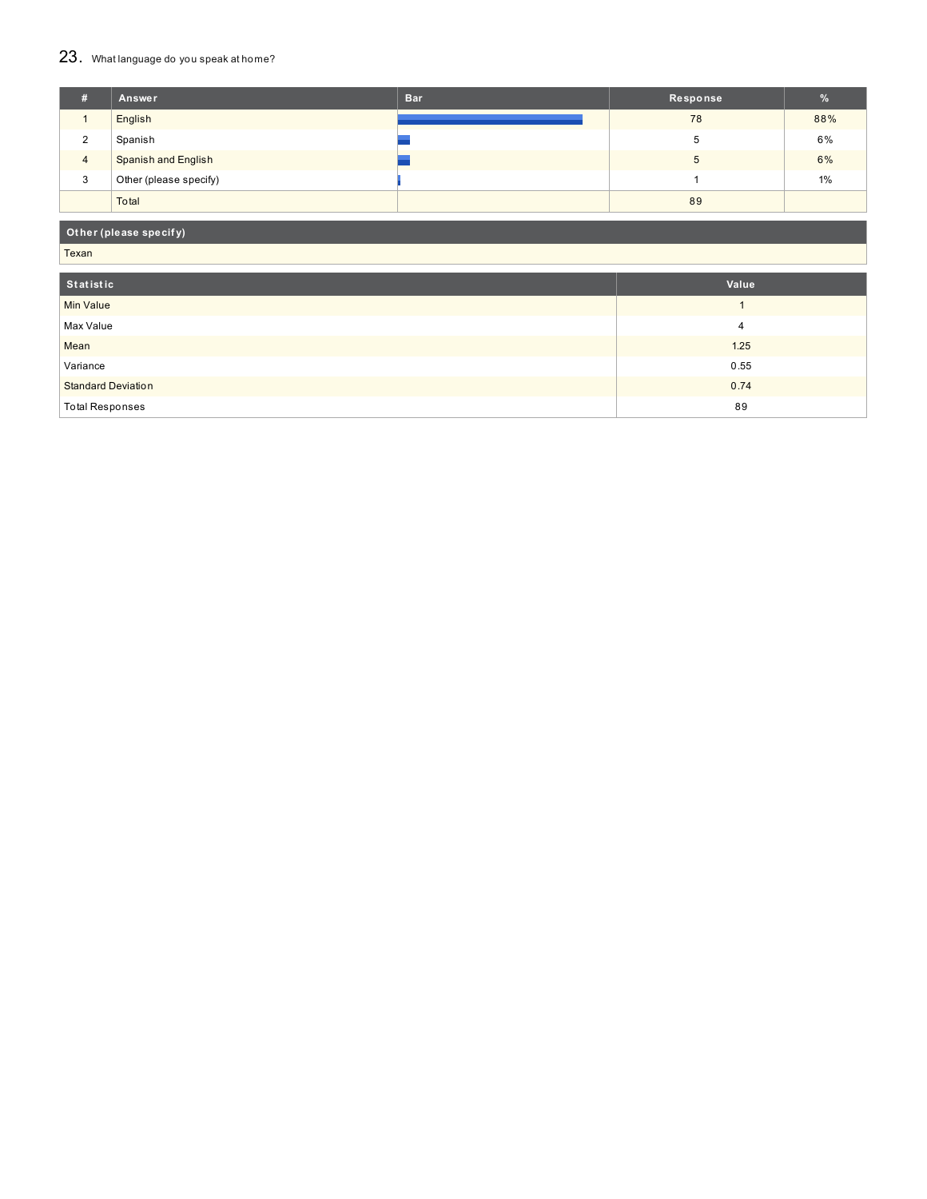## 23. What language do you speak at home?

| #              | Answer                     | <b>Bar</b> | Response | $\frac{9}{6}$ |
|----------------|----------------------------|------------|----------|---------------|
|                | English                    |            | 78       | 88%           |
| 2              | Spanish                    |            |          | 6%            |
| $\overline{4}$ | <b>Spanish and English</b> |            |          | 6%            |
| 3              | Other (please specify)     |            |          | 1%            |
|                | Total                      |            | 89       |               |

## **Ot her (please specif y)**

Texan

| Statistic                 | Value |
|---------------------------|-------|
| Min Value                 |       |
| Max Value                 | 4     |
| Mean                      | 1.25  |
| Variance                  | 0.55  |
| <b>Standard Deviation</b> | 0.74  |
| <b>Total Responses</b>    | 89    |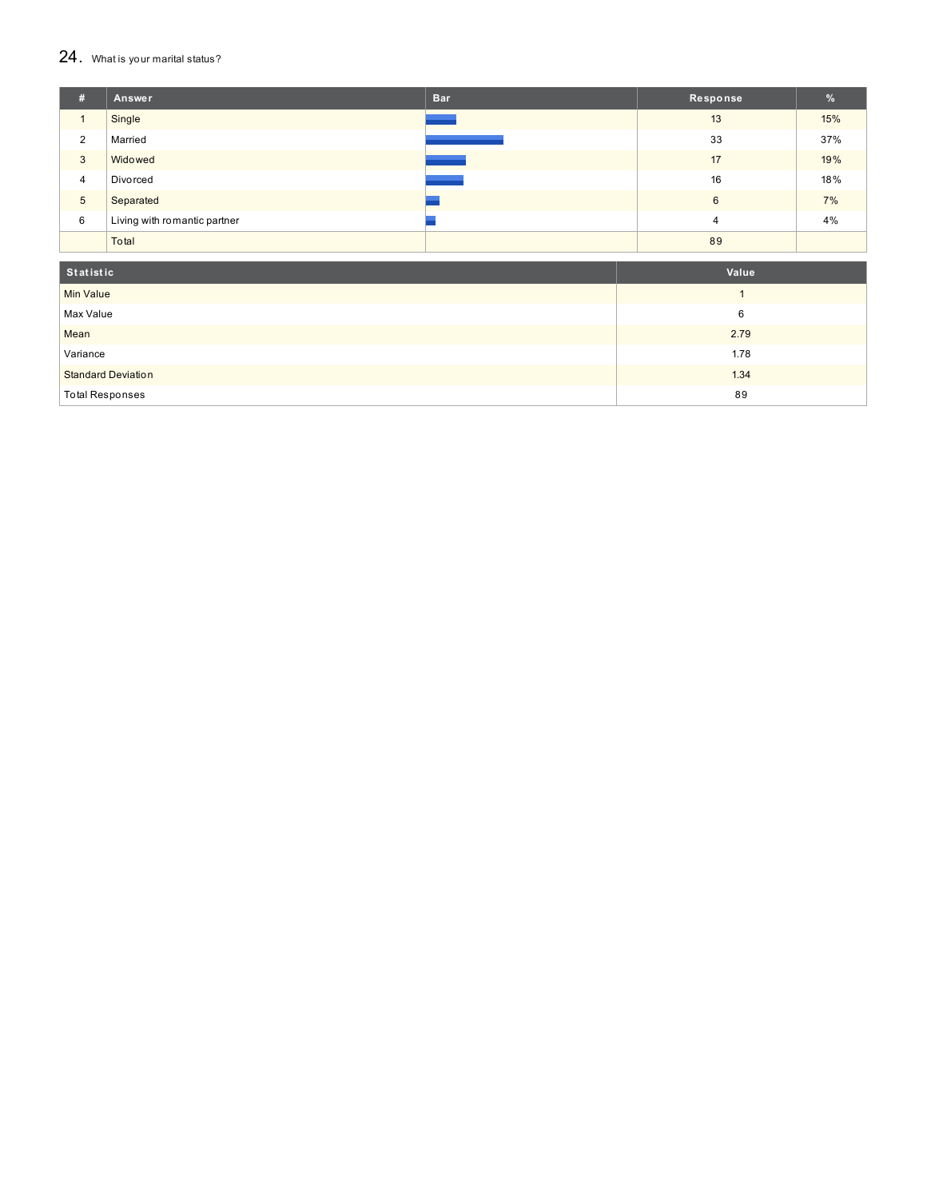#### $24.$  What is your marital status?

| #               | Answer                       | <b>Bar</b> | Response       | $\frac{9}{6}$ |
|-----------------|------------------------------|------------|----------------|---------------|
|                 | Single                       |            | 13             | 15%           |
| 2               | Married                      |            | 33             | 37%           |
| 3               | Widowed                      |            | 17             | 19%           |
| 4               | Divorced                     |            | 16             | 18%           |
| $5\phantom{.0}$ | Separated                    |            | 6              | 7%            |
| 6               | Living with romantic partner |            | $\overline{4}$ | 4%            |
|                 | Total                        |            | 89             |               |

| Statistic                 | Value |
|---------------------------|-------|
| <b>Min Value</b>          |       |
| Max Value                 | 6     |
| Mean                      | 2.79  |
| Variance                  | 1.78  |
| <b>Standard Deviation</b> | 1.34  |
| <b>Total Responses</b>    | 89    |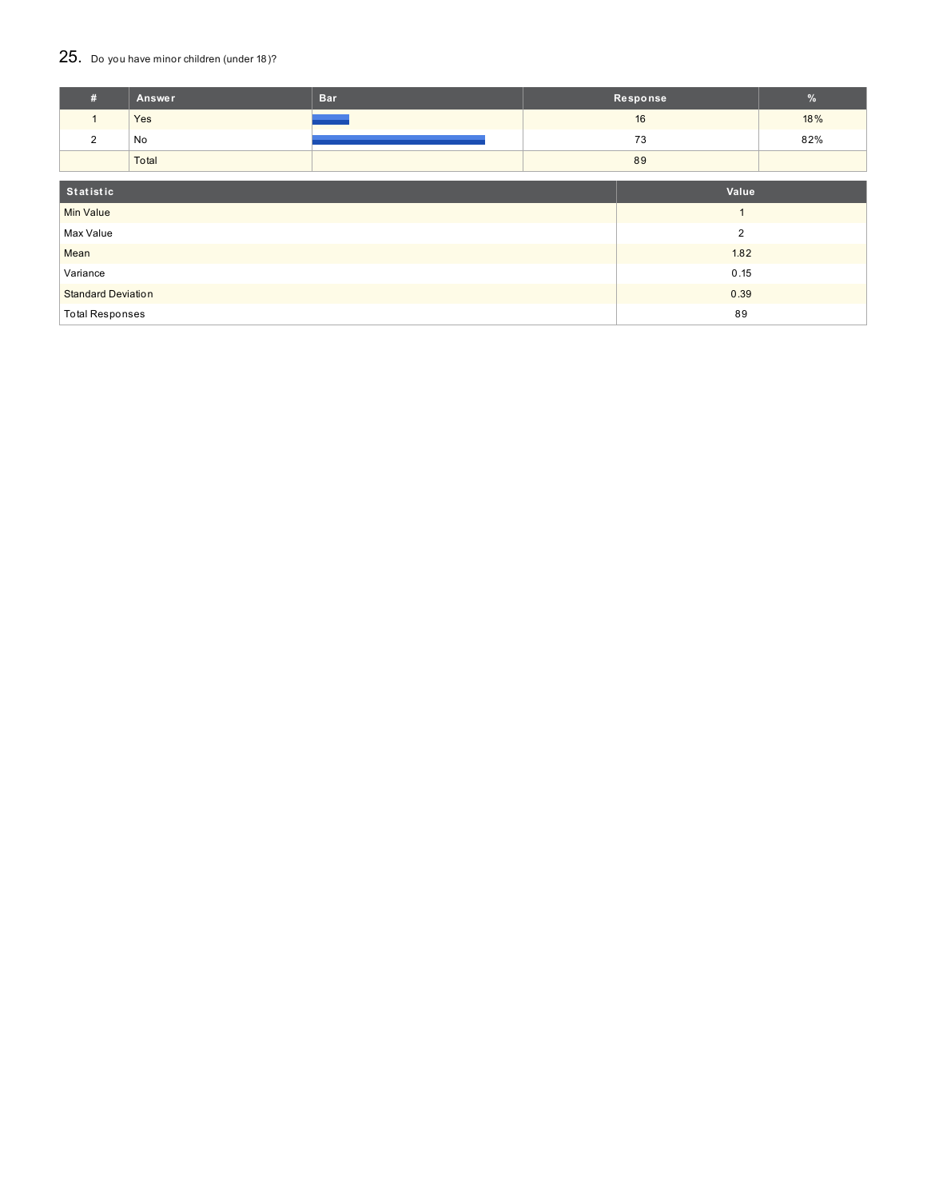## 25. Do you have minor children (under 18)?

| #                                 | Answer | <b>Bar</b> |                | Response | $\frac{9}{6}$ |
|-----------------------------------|--------|------------|----------------|----------|---------------|
| $\mathbf{1}$                      | Yes    |            |                | 16       | 18%           |
| 2                                 | No     |            |                | 73       | 82%           |
|                                   | Total  |            |                | 89       |               |
| Statistic<br>Value                |        |            |                |          |               |
| <b>Min Value</b>                  |        |            | $\overline{A}$ |          |               |
| Max Value<br>$\overline{2}$       |        |            |                |          |               |
| Mean                              |        |            |                | 1.82     |               |
| Variance                          |        |            | 0.15           |          |               |
| <b>Standard Deviation</b><br>0.39 |        |            |                |          |               |
| <b>Total Responses</b>            |        |            |                | 89       |               |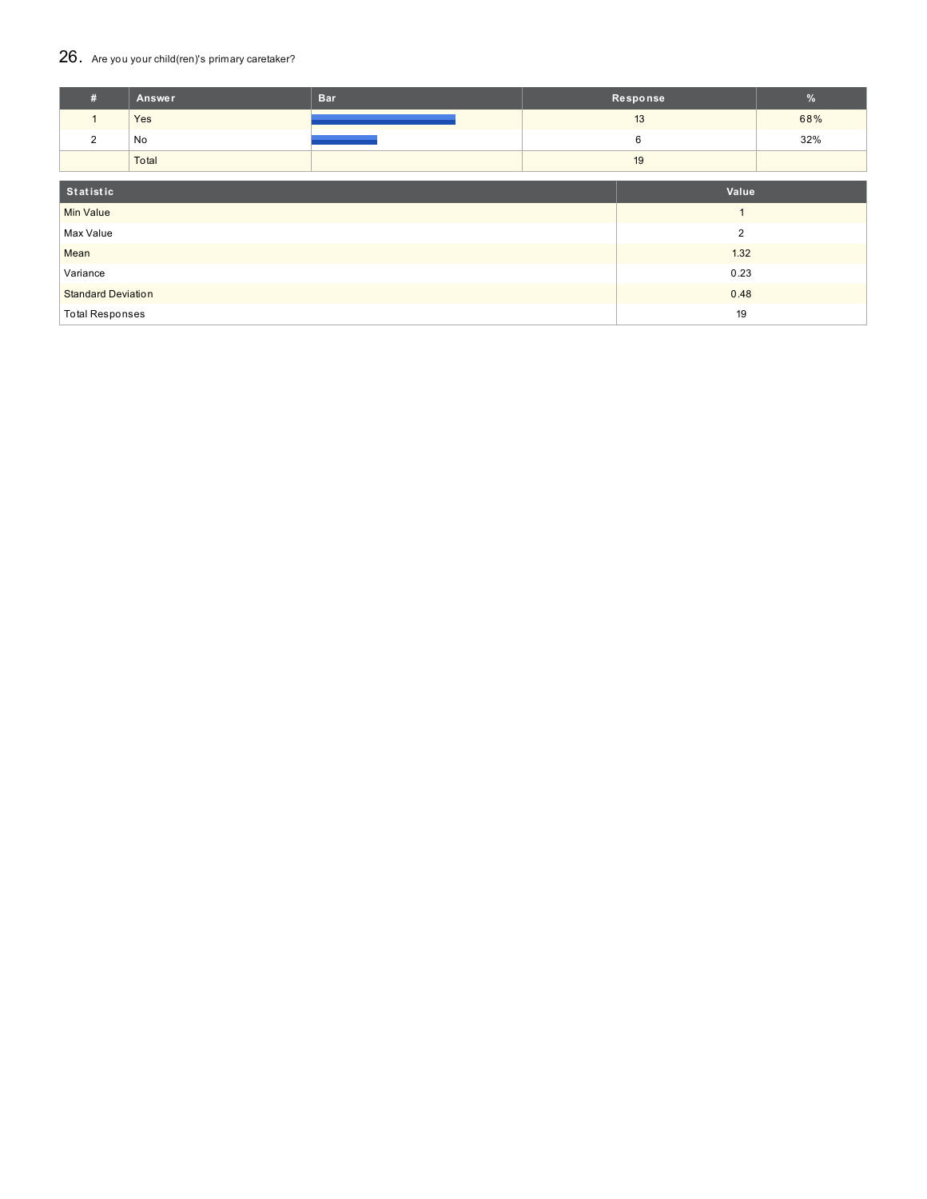## 26. Are you your child(ren)'s primary caretaker?

| #                                 | Answer | <b>Bar</b> |      | Response       | $\%$ |
|-----------------------------------|--------|------------|------|----------------|------|
| $\mathbf{1}$                      | Yes    |            |      | 13             | 68%  |
| 2                                 | No     |            |      | 6              | 32%  |
|                                   | Total  |            |      | 19             |      |
| Statistic<br>Value                |        |            |      |                |      |
|                                   |        |            |      | $\overline{A}$ |      |
| <b>Min Value</b>                  |        |            |      |                |      |
| Max Value<br>$\overline{2}$       |        |            |      |                |      |
| Mean                              |        |            |      | 1.32           |      |
| Variance                          |        |            | 0.23 |                |      |
| <b>Standard Deviation</b><br>0.48 |        |            |      |                |      |
| <b>Total Responses</b>            |        |            |      | 19             |      |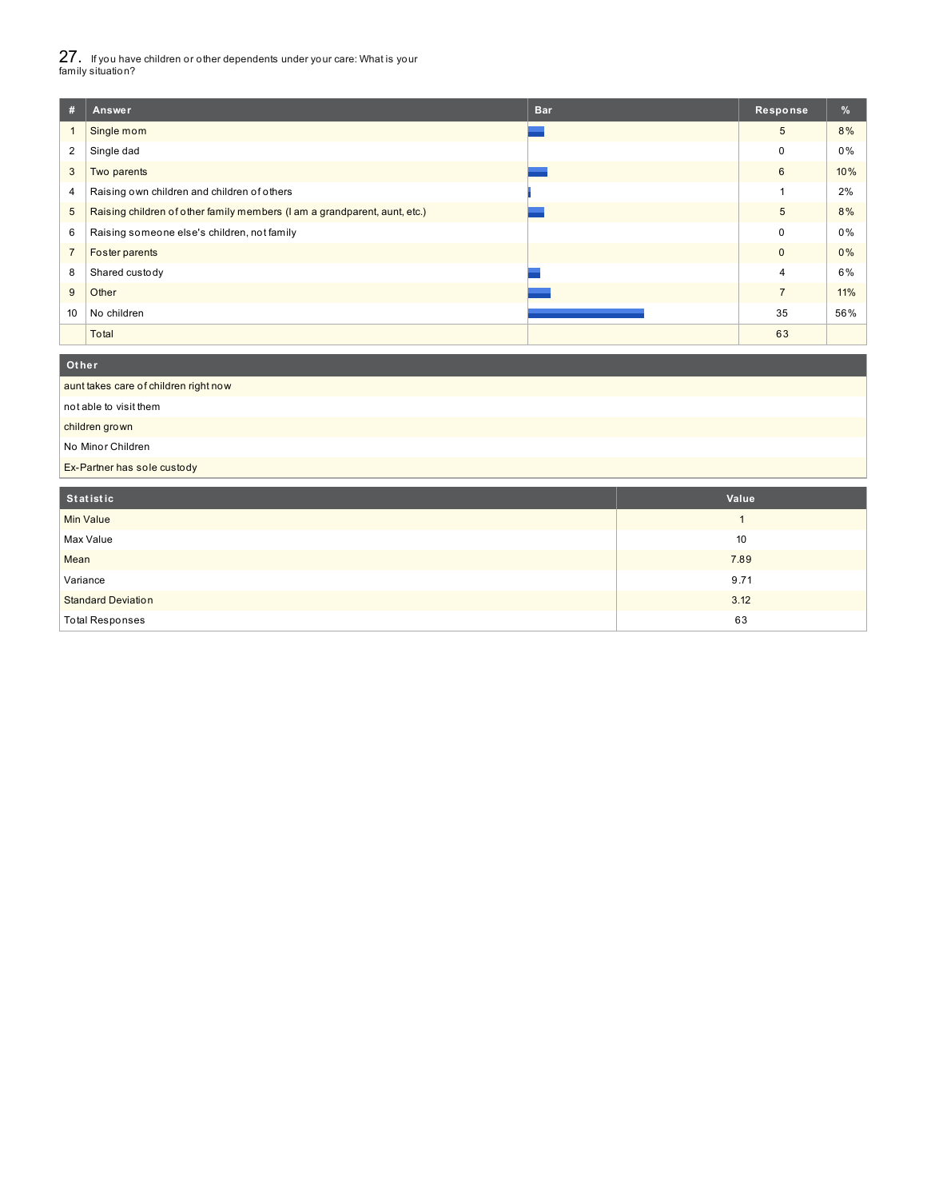27. If you have children or other dependents under your care: What is your family situation?

| #              | Answer                                                                    | <b>Bar</b> | Response,      | %   |
|----------------|---------------------------------------------------------------------------|------------|----------------|-----|
|                | Single mom                                                                |            | 5              | 8%  |
| 2              | Single dad                                                                |            | 0              | 0%  |
| 3              | Two parents                                                               |            | 6              | 10% |
| 4              | Raising own children and children of others                               |            |                | 2%  |
| 5              | Raising children of other family members (I am a grandparent, aunt, etc.) |            | 5              | 8%  |
| 6              | Raising someone else's children, not family                               |            | 0              | 0%  |
| $\overline{7}$ | Foster parents                                                            |            | $\mathbf{0}$   | 0%  |
| 8              | Shared custody                                                            |            | 4              | 6%  |
| 9              | Other                                                                     |            | $\overline{7}$ | 11% |
| 10             | No children                                                               |            | 35             | 56% |
|                | Total                                                                     |            | 63             |     |

### aunt takes care of children right now not able to visit them children grown No Minor Children Ex-Partner has sole custody **Ot her**

| Statistic                 | Value |
|---------------------------|-------|
| Min Value                 |       |
| Max Value                 | 10    |
| Mean                      | 7.89  |
| Variance                  | 9.71  |
| <b>Standard Deviation</b> | 3.12  |
| <b>Total Responses</b>    | 63    |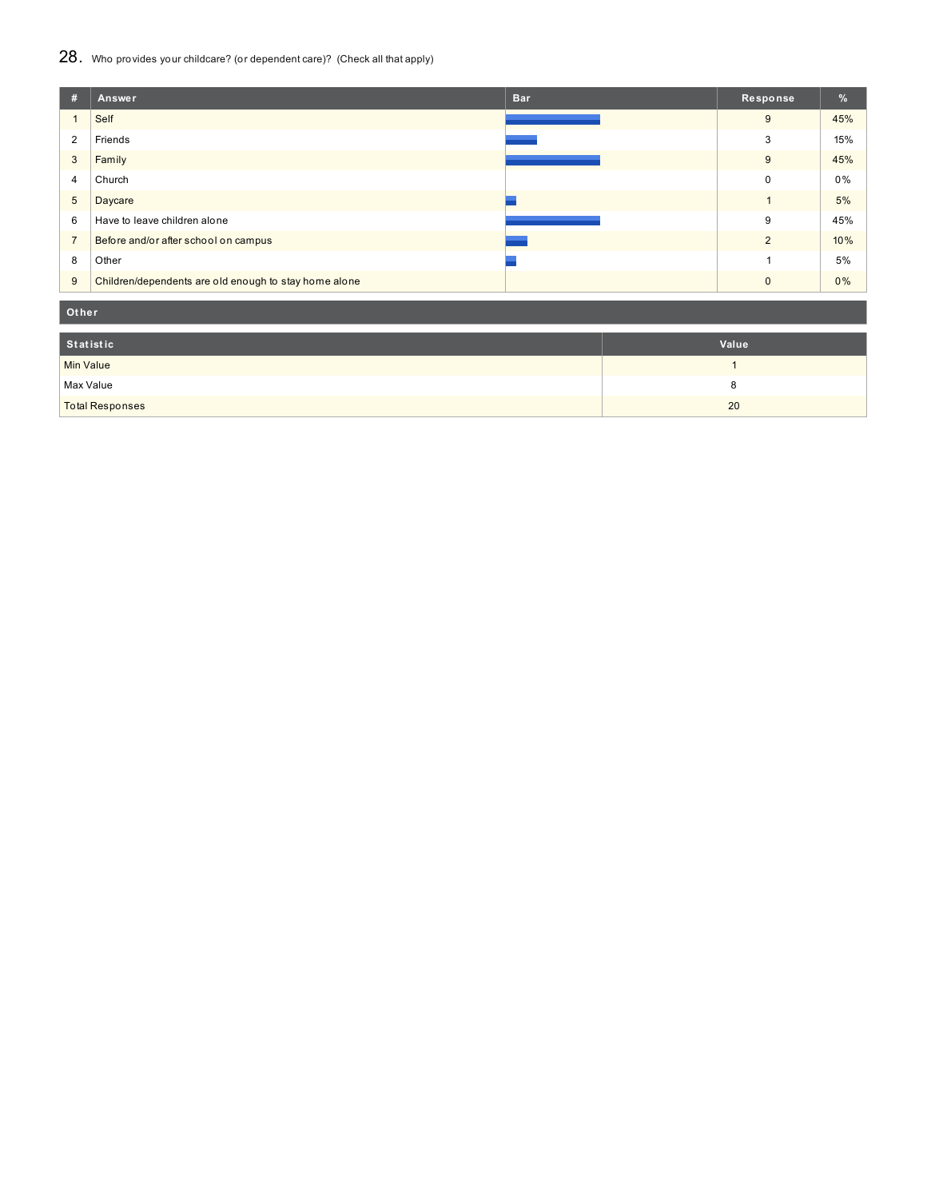## 28. Who provides your childcare? (or dependent care)? (Check all that apply)

| #              | <b>Bar</b><br>Answer                                  | Response,      | $\%$  |
|----------------|-------------------------------------------------------|----------------|-------|
|                | Self                                                  | 9              | 45%   |
| $\overline{2}$ | Friends                                               | 3              | 15%   |
| 3              | Family                                                | 9              | 45%   |
| 4              | Church                                                | $\Omega$       | $0\%$ |
| 5              | Daycare                                               |                | 5%    |
| 6              | Have to leave children alone                          | 9              | 45%   |
| $\overline{7}$ | Before and/or after school on campus                  | $\overline{2}$ | 10%   |
| 8              | Other                                                 |                | 5%    |
| 9              | Children/dependents are old enough to stay home alone | $\Omega$       | 0%    |

**Ot her**

| Statistic              | Value |
|------------------------|-------|
| Min Value              |       |
| Max Value              |       |
| <b>Total Responses</b> | 20    |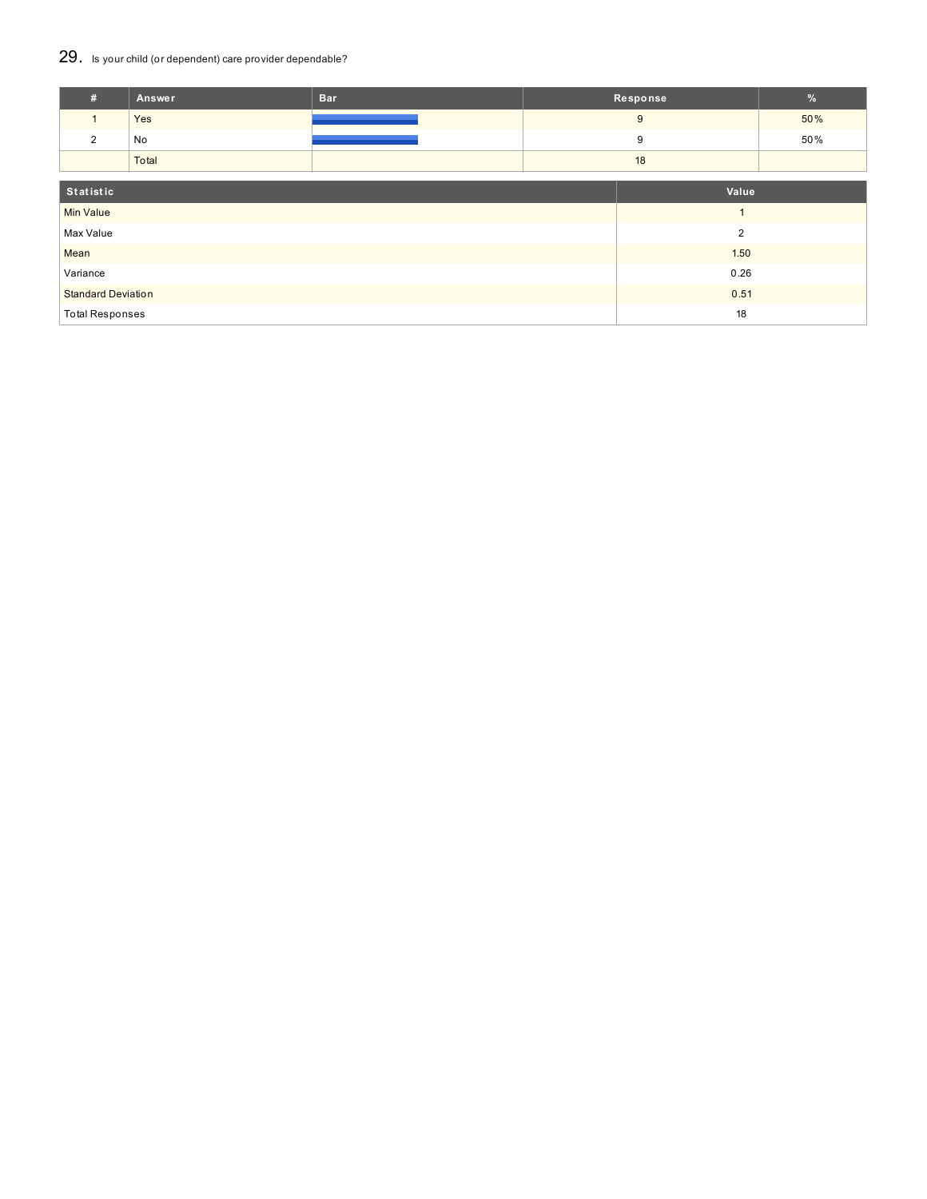## 29. Is your child (or dependent) care provider dependable?

| #                         | Answer                 | <b>Bar</b> |      | Response       | $\%$ |
|---------------------------|------------------------|------------|------|----------------|------|
|                           | Yes                    |            |      | 9              | 50%  |
| 2                         | No                     |            |      | 9              | 50%  |
|                           | Total                  |            | 18   |                |      |
| Statistic                 |                        | Value      |      |                |      |
| <b>Min Value</b>          |                        |            |      | $\overline{A}$ |      |
| Max Value                 |                        |            |      | $\overline{2}$ |      |
| Mean                      |                        |            |      | 1.50           |      |
| Variance                  |                        | 0.26       |      |                |      |
| <b>Standard Deviation</b> |                        |            | 0.51 |                |      |
|                           | <b>Total Responses</b> |            |      |                |      |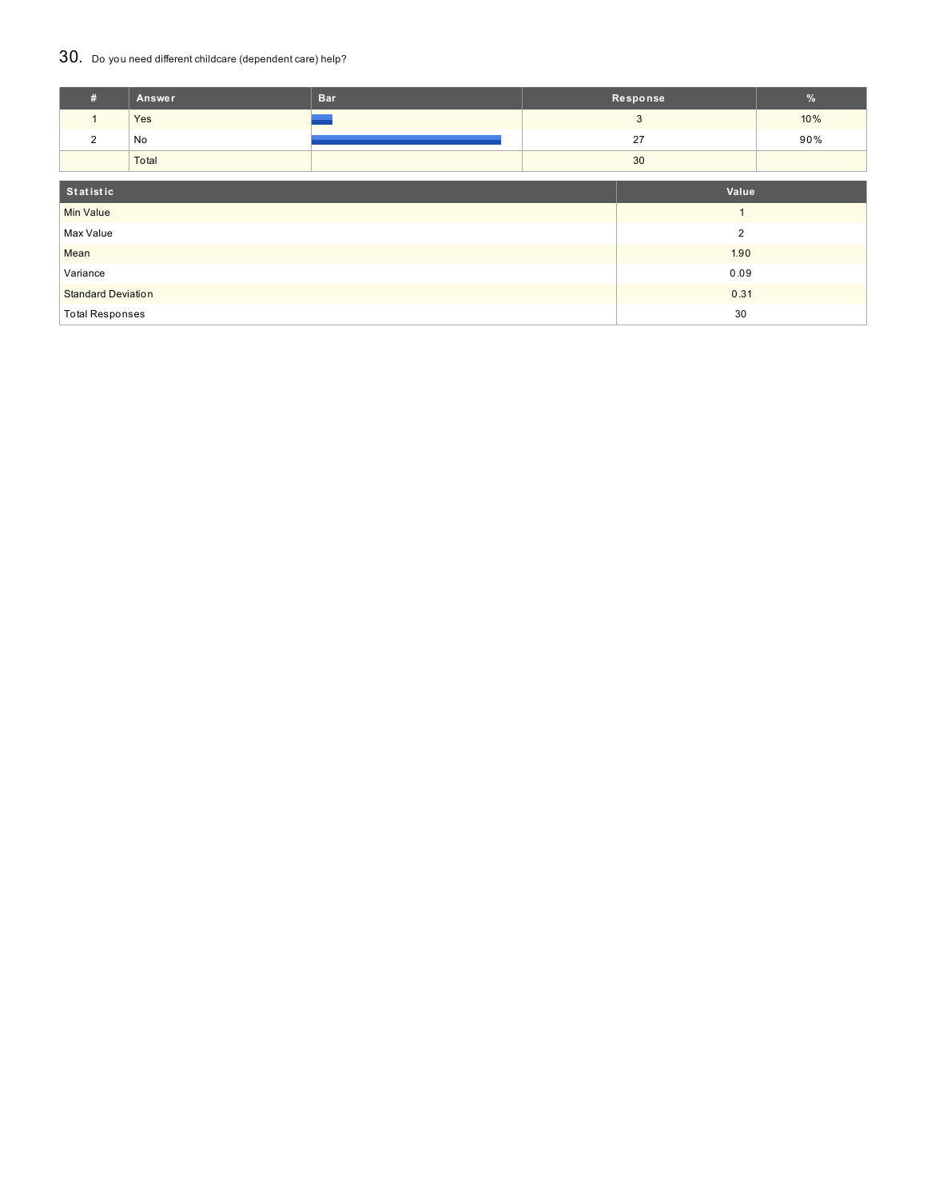## 30. Do you need different childcare (dependent care) help?

| #                         | Answer | <b>Bar</b> |       | Response       | $\frac{9}{6}$ |
|---------------------------|--------|------------|-------|----------------|---------------|
| $\mathbf{1}$              | Yes    |            |       | 3              | 10%           |
| $\overline{2}$            | No     |            |       | 27             | 90%           |
|                           | Total  |            | 30    |                |               |
|                           |        |            |       |                |               |
| Statistic                 |        |            | Value |                |               |
| <b>Min Value</b>          |        |            |       | и              |               |
| Max Value                 |        |            |       | $\overline{2}$ |               |
| Mean                      |        | 1.90       |       |                |               |
| Variance                  |        | 0.09       |       |                |               |
| <b>Standard Deviation</b> |        |            | 0.31  |                |               |
| <b>Total Responses</b>    |        |            |       | 30             |               |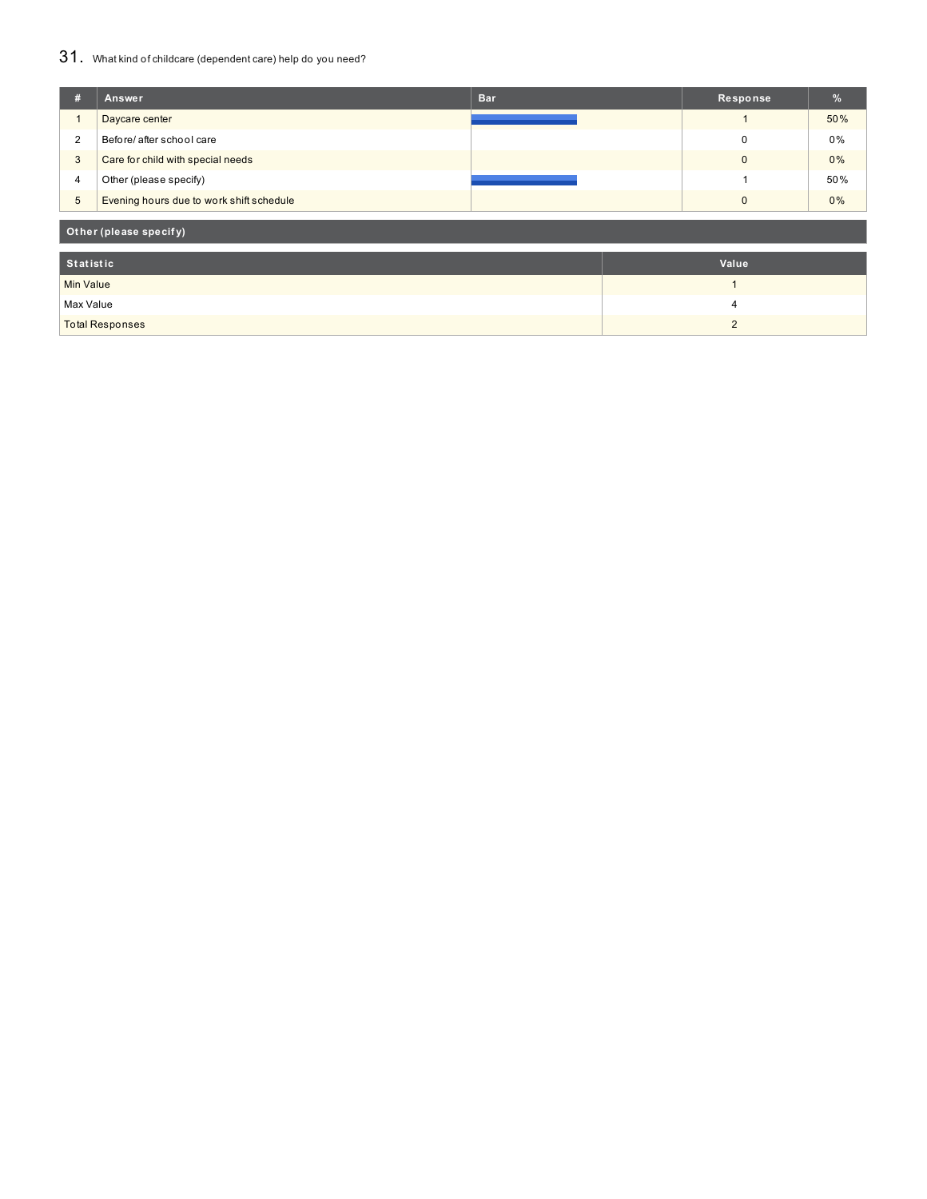## 31. What kind of childcare (dependent care) help do you need?

| #                      | Answer                                   | <b>Bar</b> | Response       | $\frac{9}{6}$ |  |
|------------------------|------------------------------------------|------------|----------------|---------------|--|
|                        | Daycare center                           |            |                | 50%           |  |
| 2                      | Before/ after school care                |            | 0              | 0%            |  |
| $\mathbf{3}$           | Care for child with special needs        |            | $\mathbf{0}$   | 0%            |  |
| 4                      | Other (please specify)                   |            |                | 50%           |  |
| $\overline{5}$         | Evening hours due to work shift schedule |            | $\mathbf{0}$   | 0%            |  |
| Other (please specify) |                                          |            |                |               |  |
| <b>Statistic</b>       |                                          |            | Value          |               |  |
| <b>Min Value</b>       |                                          |            | $\overline{ }$ |               |  |
| Max Value              |                                          |            | 4              |               |  |
| <b>Total Responses</b> |                                          |            | $\overline{2}$ |               |  |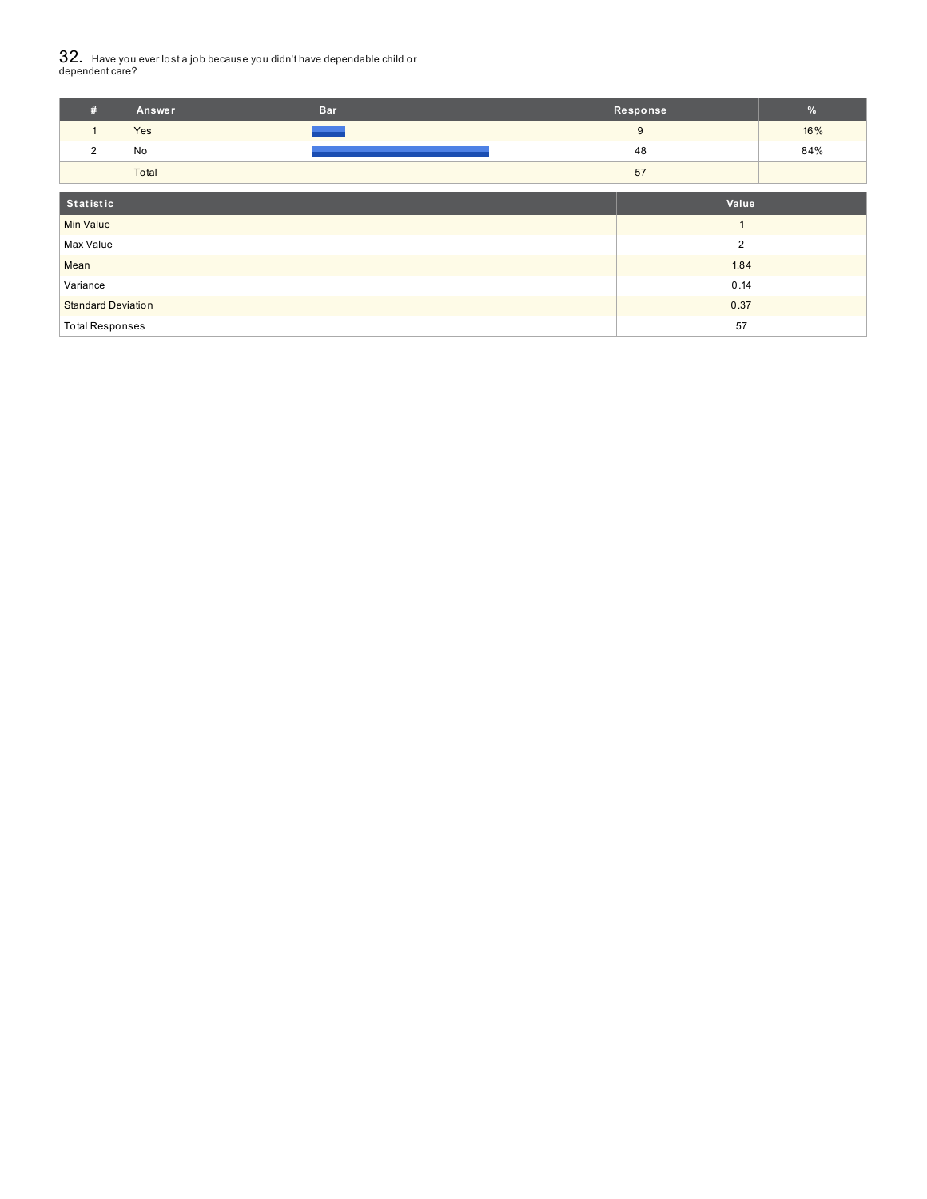# $32_\cdot\,$  Have you ever lost a job because you didn't have dependable child or<br>dependent care?

| #                         | Answer | <b>Bar</b> |       | Response       | $\frac{9}{6}$ |
|---------------------------|--------|------------|-------|----------------|---------------|
| $\mathbf{1}$              | Yes    |            |       | 9              | 16%           |
| 2                         | No     |            | 48    |                | 84%           |
|                           | Total  |            | 57    |                |               |
| Statistic                 |        |            | Value |                |               |
| <b>Min Value</b>          |        |            |       | $\overline{A}$ |               |
| Max Value                 |        |            |       | $\overline{2}$ |               |
| Mean                      |        |            |       | 1.84           |               |
| Variance                  |        | 0.14       |       |                |               |
| <b>Standard Deviation</b> |        |            |       | 0.37           |               |
| <b>Total Responses</b>    |        |            |       | 57             |               |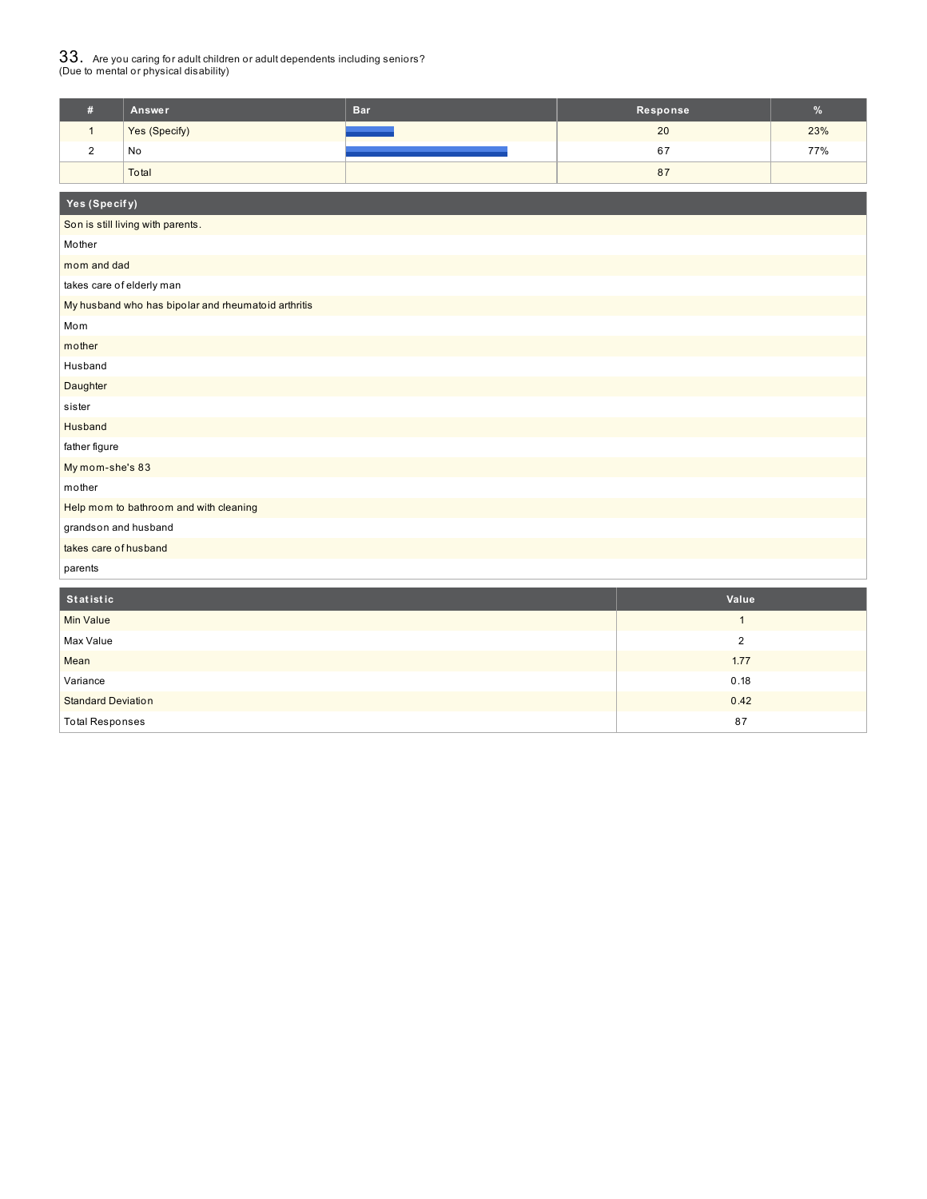# $33_\cdot$  Are you caring for adult children or adult dependents including seniors?<br>(Due to mental or physical disability)

| Answer        | <b>Bar</b> | Response | $\%$ |
|---------------|------------|----------|------|
| Yes (Specify) |            | 20       | 23%  |
| No            |            | 67       | 77%  |
| Total         |            | 87       |      |

| Yes (Specify)                                       |                  |
|-----------------------------------------------------|------------------|
| Son is still living with parents.                   |                  |
| Mother                                              |                  |
| mom and dad                                         |                  |
| takes care of elderly man                           |                  |
| My husband who has bipolar and rheumatoid arthritis |                  |
| Mom                                                 |                  |
| mother                                              |                  |
| Husband                                             |                  |
| Daughter                                            |                  |
| sister                                              |                  |
| Husband                                             |                  |
| father figure                                       |                  |
| My mom-she's 83                                     |                  |
| mother                                              |                  |
| Help mom to bathroom and with cleaning              |                  |
| grandson and husband                                |                  |
| takes care of husband                               |                  |
| parents                                             |                  |
| Statistic                                           | Value            |
| Min Value                                           | $\mathbf{1}$     |
| Max Value                                           | $\boldsymbol{2}$ |
| Mean                                                | 1.77             |
| Variance                                            | 0.18             |
| <b>Standard Deviation</b>                           | 0.42             |

Total Responses 87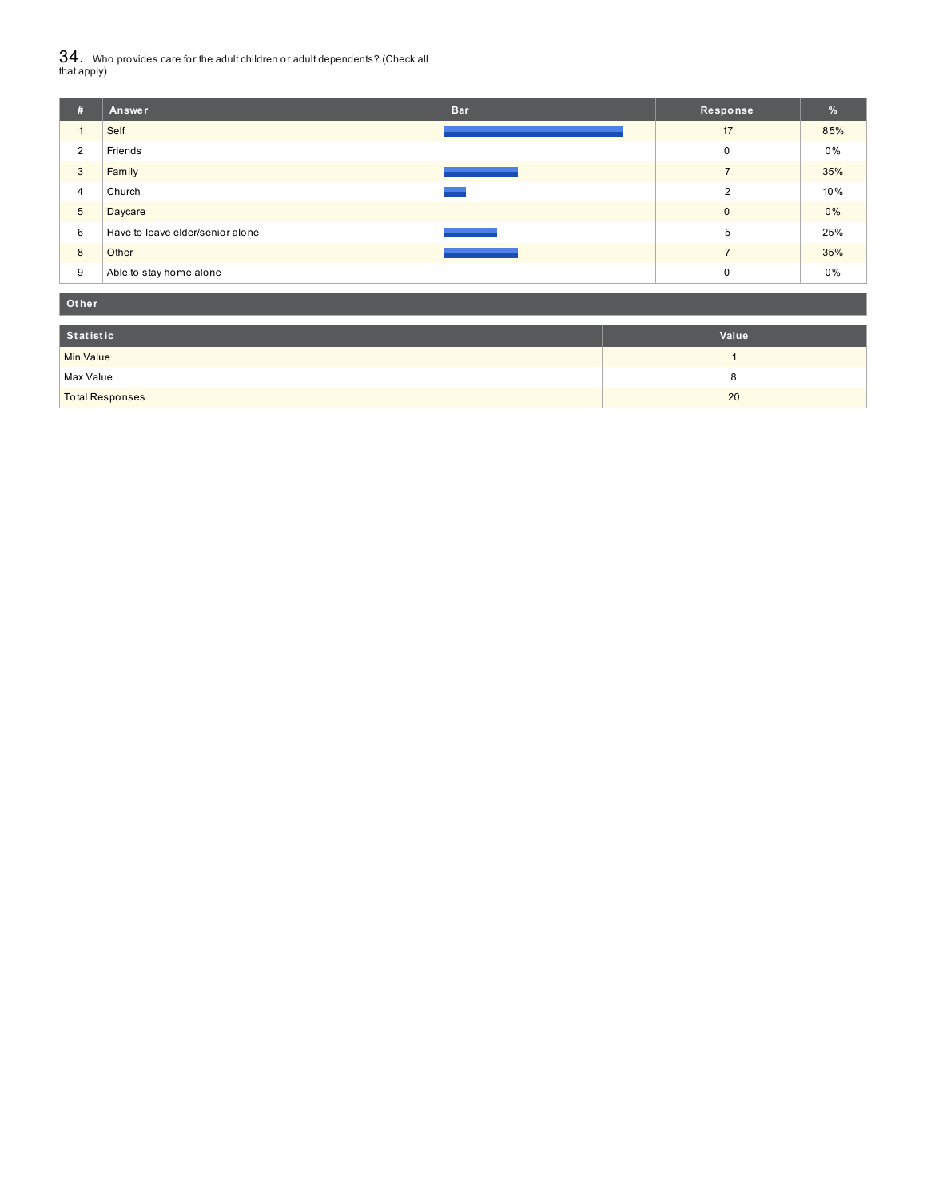${\bf 34}$  . Who provides care for the adult children or adult dependents? (Check all<br>that apply)

| #               | Answer                           | <b>Bar</b> | Response     | %     |
|-----------------|----------------------------------|------------|--------------|-------|
|                 | Self                             |            | 17           | 85%   |
| 2               | Friends                          |            | 0            | 0%    |
| 3               | Family                           |            |              | 35%   |
| $\overline{4}$  | Church                           |            | 2            | 10%   |
| $5\phantom{.0}$ | Daycare                          |            | $\mathbf{0}$ | $0\%$ |
| 6               | Have to leave elder/senior alone |            | 5            | 25%   |
| 8               | Other                            |            |              | 35%   |
| 9               | Able to stay home alone          |            | $\mathbf 0$  | 0%    |

| Other                  |       |  |  |  |
|------------------------|-------|--|--|--|
| Statistic              | Value |  |  |  |
| Min Value              |       |  |  |  |
| Max Value              | c     |  |  |  |
| <b>Total Responses</b> | 20    |  |  |  |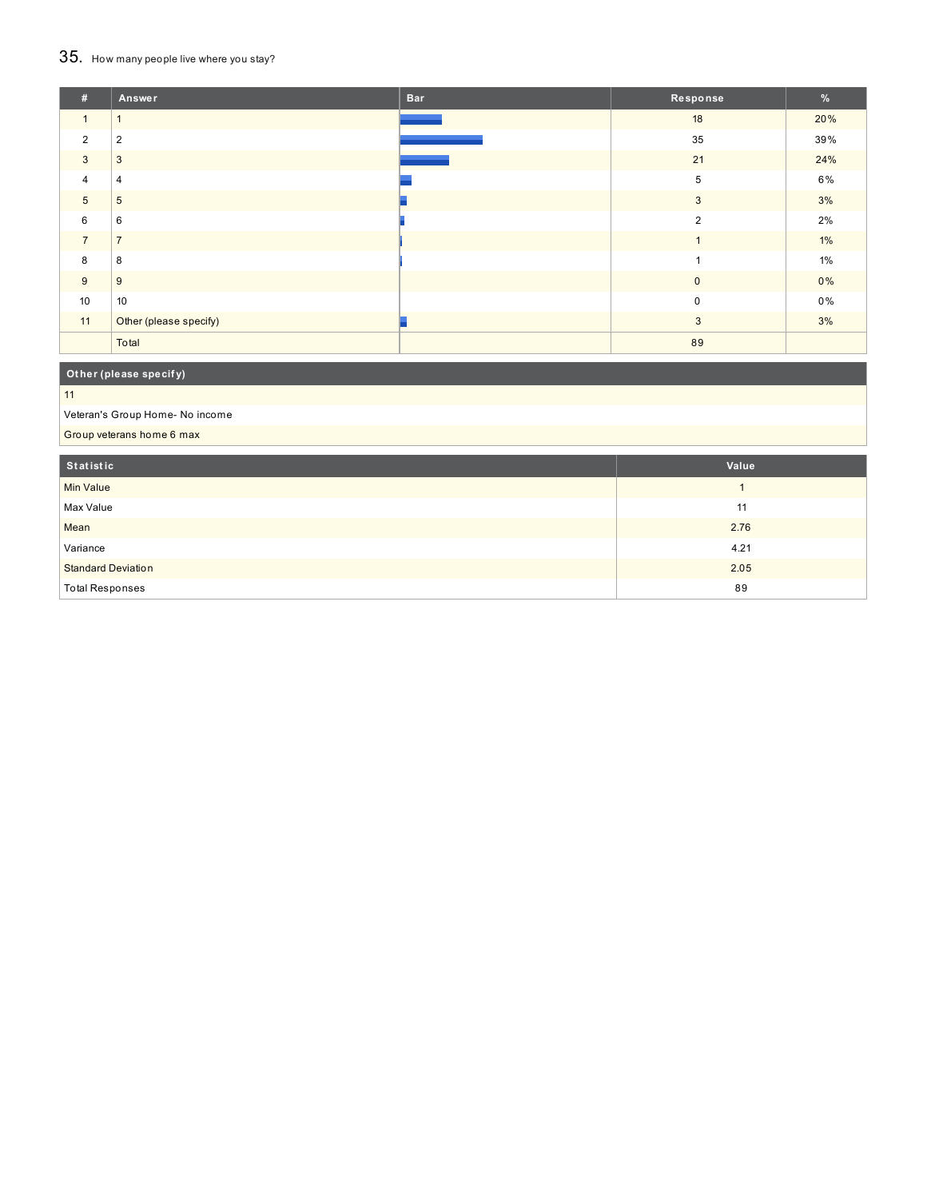# 35. How many people live where you stay?

| #              | Answer                 | <b>Bar</b> | Response       | $\frac{9}{6}$ |
|----------------|------------------------|------------|----------------|---------------|
| $\mathbf{1}$   | $\overline{A}$         |            | 18             | 20%           |
| $\overline{2}$ | $\overline{2}$         |            | 35             | 39%           |
| 3              | 3                      |            | 21             | 24%           |
| $\overline{4}$ | 4                      |            | 5              | 6%            |
| 5              | 5                      |            | 3              | 3%            |
| 6              | 6                      |            | $\overline{2}$ | 2%            |
| $\overline{7}$ | $\overline{7}$         |            |                | $1\%$         |
| 8              | 8                      |            |                | 1%            |
| 9              | 9                      |            | $\mathbf{0}$   | $0\%$         |
| 10             | 10                     |            | $\Omega$       | 0%            |
| 11             | Other (please specify) |            | 3              | 3%            |
|                | Total                  |            | 89             |               |

## **Ot her (please specif y)**

#### 11

Veteran's Group Home- No income

Group veterans home 6 max

| Statistic                 | Value |
|---------------------------|-------|
| Min Value                 |       |
| Max Value                 | 11    |
| Mean                      | 2.76  |
| Variance                  | 4.21  |
| <b>Standard Deviation</b> | 2.05  |
| <b>Total Responses</b>    | 89    |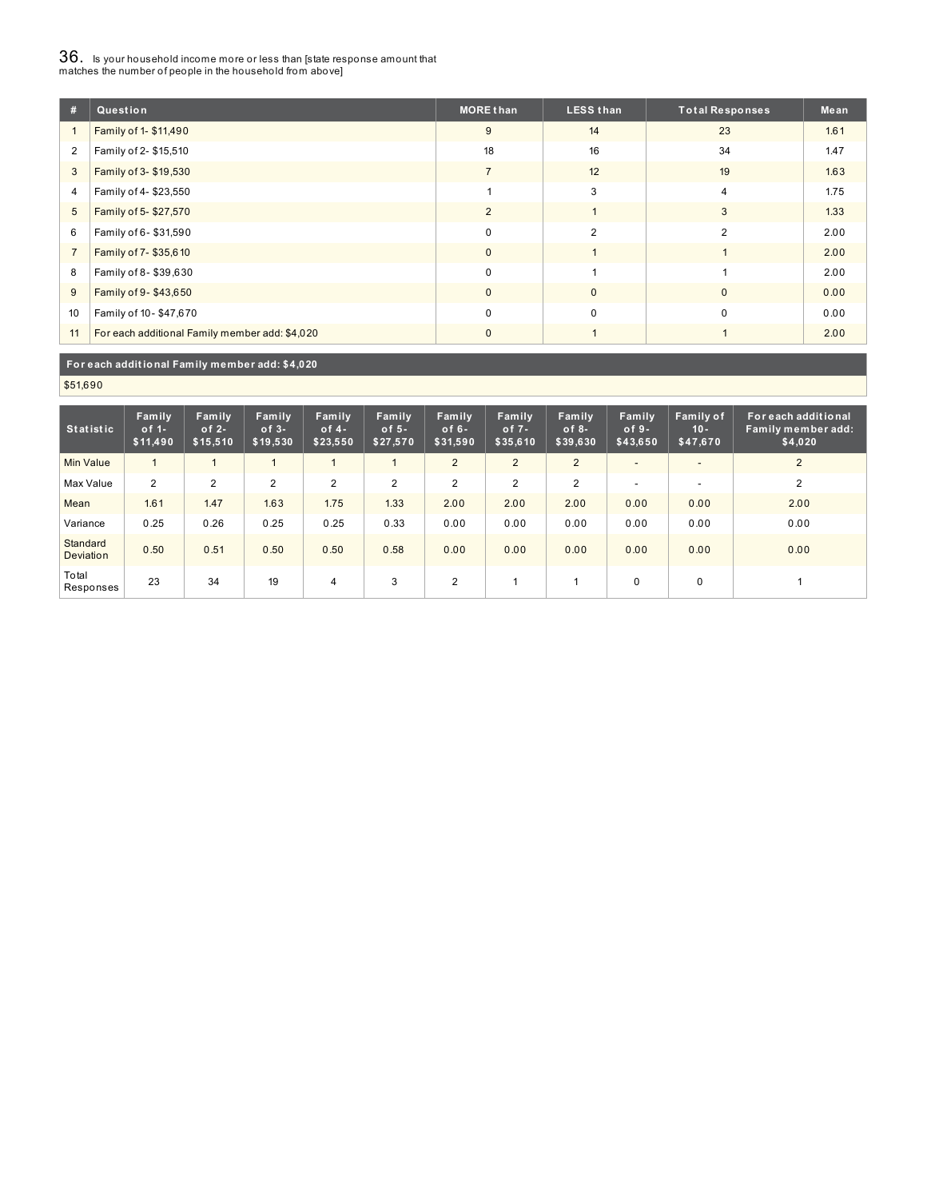# $36_\cdot$  is your household income more or less than [state response amount that<br>matches the number of people in the household from above]

| #              | Question                                       | <b>MORE than</b> | <b>LESS than</b> | <b>Total Responses</b> | Mean |
|----------------|------------------------------------------------|------------------|------------------|------------------------|------|
| $\mathbf{1}$   | Family of 1- \$11,490                          | 9                | 14               | 23                     | 1.61 |
| $\overline{2}$ | Family of 2- \$15,510                          | 18               | 16               | 34                     | 1.47 |
| 3              | Family of 3- \$19,530                          |                  | 12               | 19                     | 1.63 |
| 4              | Family of 4-\$23,550                           |                  | 3                | $\overline{4}$         | 1.75 |
| 5              | Family of 5-\$27,570                           | $\overline{2}$   |                  | 3                      | 1.33 |
| 6              | Family of 6-\$31,590                           | $\mathbf 0$      | $\overline{2}$   | 2                      | 2.00 |
| $\overline{7}$ | Family of 7-\$35,610                           | $\mathbf{0}$     |                  |                        | 2.00 |
| 8              | Family of 8-\$39,630                           | $\mathbf 0$      |                  |                        | 2.00 |
| 9              | Family of 9-\$43,650                           | $\mathbf{0}$     | $\mathbf{0}$     | $\mathbf{0}$           | 0.00 |
| 10             | Family of 10-\$47,670                          | $\mathbf 0$      | $\mathbf 0$      | $\mathbf 0$            | 0.00 |
| 11             | For each additional Family member add: \$4,020 | $\Omega$         |                  |                        | 2.00 |

#### **For each addit ional Family member add: \$4,020**

\$51,690

| <b>Statistic</b>      | Family<br>$of 1-$<br>\$11,490 | Family<br>of $2-$<br>\$15,510 | Family<br>$of 3-$<br>\$19,530 | Family<br>of $4-$<br>\$23,550 | Family<br>of $5-$<br>\$27,570 | Family<br>of $6-$<br>\$31,590 | Family<br>of $7 -$<br>\$35,610 | Family<br>$of 8-$<br>\$39,630 | Family<br>$of 9-$<br>\$43,650 | Family of<br>$10 -$<br>\$47,670 | For each additional<br>Family member add:<br>\$4,020 |
|-----------------------|-------------------------------|-------------------------------|-------------------------------|-------------------------------|-------------------------------|-------------------------------|--------------------------------|-------------------------------|-------------------------------|---------------------------------|------------------------------------------------------|
| <b>Min Value</b>      | $\mathbf{1}$                  | $\overline{ }$                |                               |                               |                               | 2                             | $\overline{2}$                 | 2                             | $\overline{\phantom{0}}$      | $\overline{\phantom{0}}$        | 2                                                    |
| Max Value             | $\overline{2}$                | $\overline{2}$                | $\overline{2}$                | $\overline{2}$                | 2                             | $\overline{2}$                | 2                              | $\overline{2}$                | $\overline{\phantom{a}}$      | -                               | 2                                                    |
| Mean                  | 1.61                          | 1.47                          | 1.63                          | 1.75                          | 1.33                          | 2.00                          | 2.00                           | 2.00                          | 0.00                          | 0.00                            | 2.00                                                 |
| Variance              | 0.25                          | 0.26                          | 0.25                          | 0.25                          | 0.33                          | 0.00                          | 0.00                           | 0.00                          | 0.00                          | 0.00                            | 0.00                                                 |
| Standard<br>Deviation | 0.50                          | 0.51                          | 0.50                          | 0.50                          | 0.58                          | 0.00                          | 0.00                           | 0.00                          | 0.00                          | 0.00                            | 0.00                                                 |
| Total<br>Responses    | 23                            | 34                            | 19                            | $\overline{4}$                | 3                             | $\overline{2}$                |                                |                               | $\mathbf 0$                   | $\mathbf 0$                     |                                                      |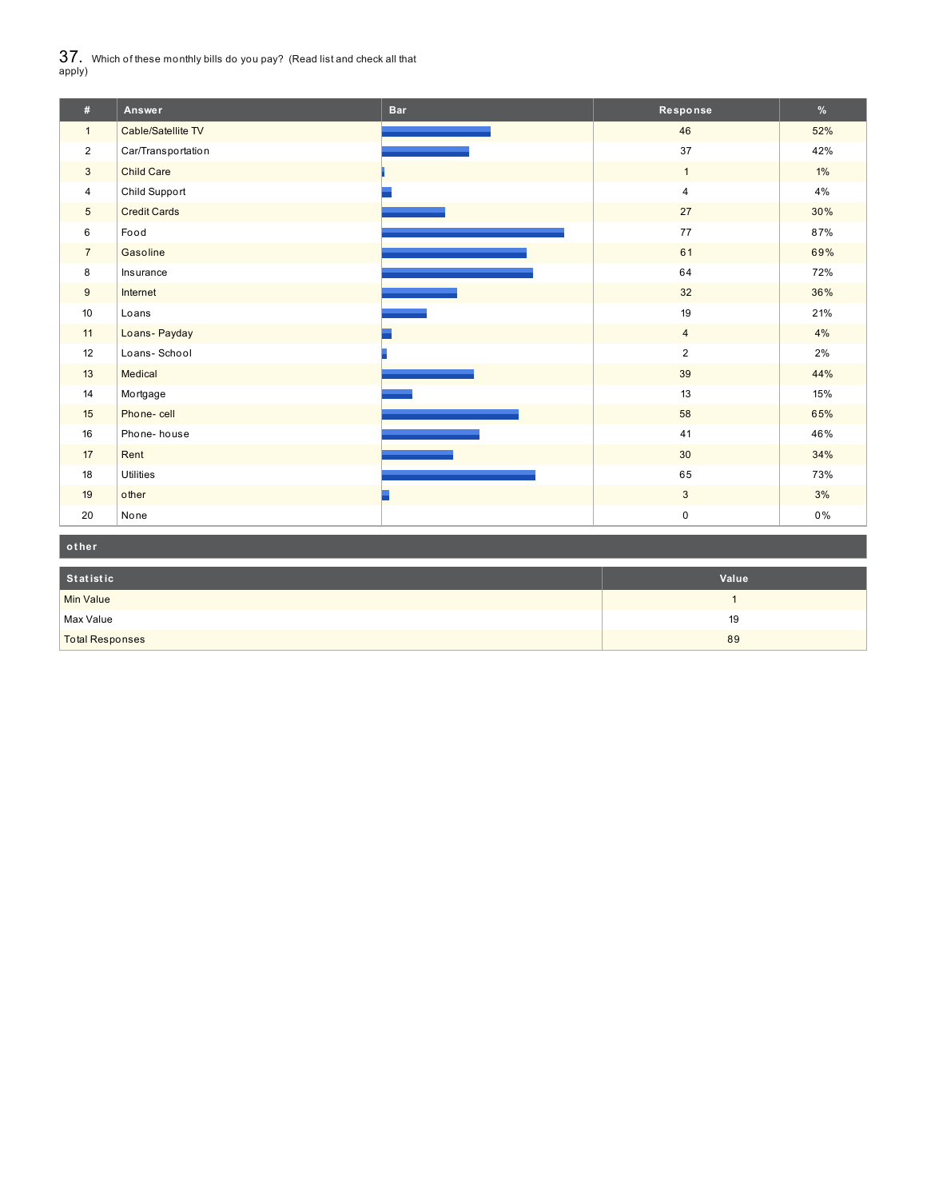$37_\cdot$  Which of these monthly bills do you pay? (Read list and check all that apply)

| #               | Answer              | <b>Bar</b> | Response       | $\%$  |
|-----------------|---------------------|------------|----------------|-------|
| $\mathbf{1}$    | Cable/Satellite TV  |            | 46             | 52%   |
| $\overline{2}$  | Car/Transportation  |            | 37             | 42%   |
| $\mathbf{3}$    | <b>Child Care</b>   |            | $\mathbf{1}$   | $1\%$ |
| 4               | Child Support       |            | $\overline{4}$ | 4%    |
| $5\overline{)}$ | <b>Credit Cards</b> |            | 27             | 30%   |
| 6               | Food                |            | 77             | 87%   |
| $\overline{7}$  | Gasoline            |            | 61             | 69%   |
| 8               | Insurance           |            | 64             | 72%   |
| 9               | Internet            |            | 32             | 36%   |
| 10              | Loans               |            | 19             | 21%   |
| 11              | Loans- Payday       |            | $\overline{4}$ | 4%    |
| 12              | Loans-School        |            | $\overline{2}$ | 2%    |
| 13              | Medical             |            | 39             | 44%   |
| 14              | Mortgage            |            | 13             | 15%   |
| 15              | Phone-cell          |            | 58             | 65%   |
| 16              | Phone-house         |            | 41             | 46%   |
| 17              | Rent                |            | 30             | 34%   |
| 18              | <b>Utilities</b>    |            | 65             | 73%   |
| 19              | other               |            | $\mathbf{3}$   | 3%    |
| 20              | None                |            | $\pmb{0}$      | 0%    |

| other                  |       |
|------------------------|-------|
| Statistic              | Value |
| Min Value              |       |
| Max Value              | 19    |
| <b>Total Responses</b> | 89    |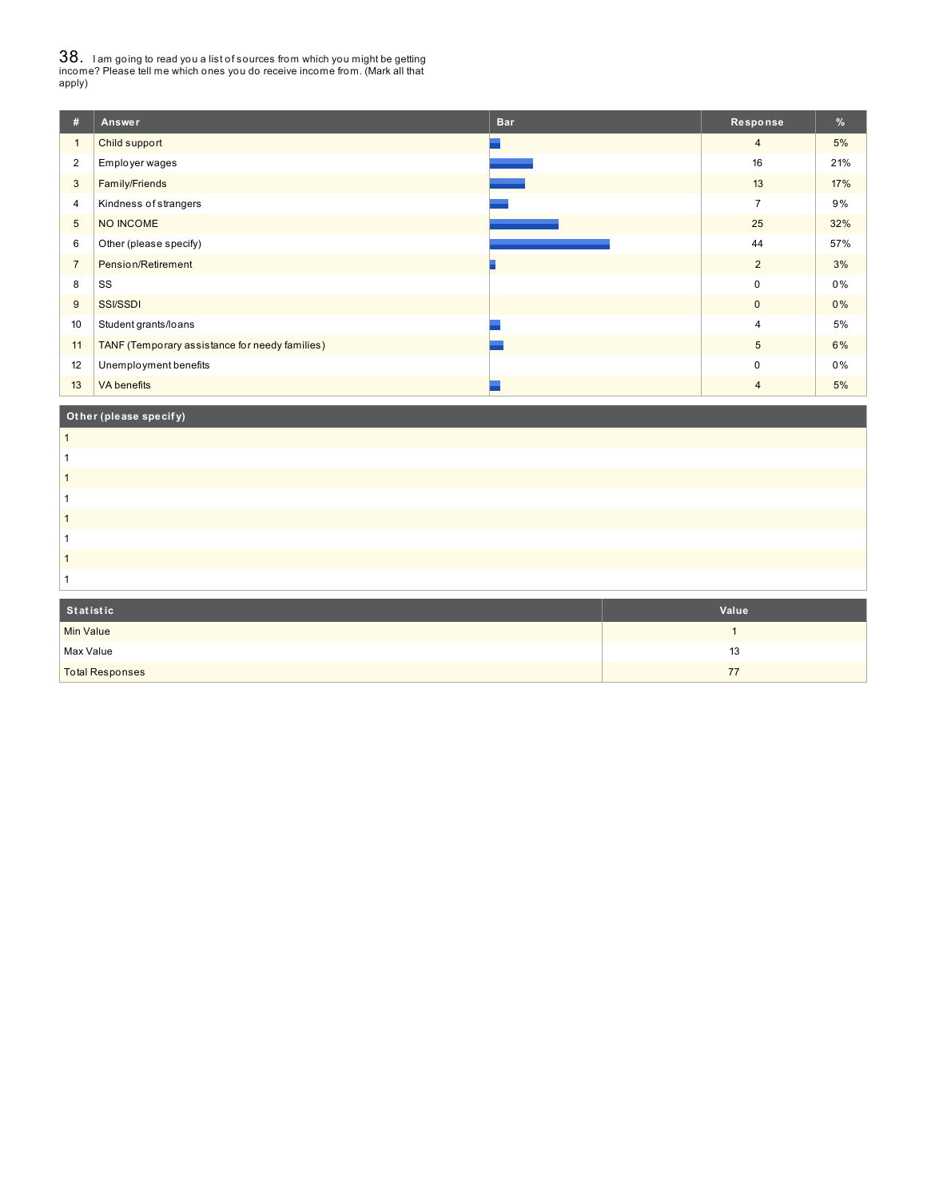38. <sup>I</sup> am going to read you <sup>a</sup> list of sources from which you might be getting income? Please tell me which ones you do receive income from. (Mark all that apply)

| #              | Answer                                         | <b>Bar</b> | Response       | $\frac{9}{6}$ |
|----------------|------------------------------------------------|------------|----------------|---------------|
| $\overline{1}$ | Child support                                  |            | $\overline{4}$ | 5%            |
| $\overline{2}$ | Employer wages                                 |            | 16             | 21%           |
| 3              | Family/Friends                                 |            | 13             | 17%           |
| 4              | Kindness of strangers                          |            | $\overline{7}$ | 9%            |
| 5              | NO INCOME                                      |            | 25             | 32%           |
| 6              | Other (please specify)                         |            | 44             | 57%           |
| $\overline{7}$ | Pension/Retirement                             |            | $\overline{2}$ | 3%            |
| 8              | SS                                             |            | $\pmb{0}$      | 0%            |
| 9              | <b>SSI/SSDI</b>                                |            | $\pmb{0}$      | 0%            |
| 10             | Student grants/loans                           |            | $\overline{4}$ | 5%            |
| 11             | TANF (Temporary assistance for needy families) |            | 5              | 6%            |
| 12             | Unemployment benefits                          |            | $\mathbf 0$    | 0%            |
| 13             | <b>VA</b> benefits                             |            | $\overline{4}$ | 5%            |
|                | Other (please specify)                         |            |                |               |

| Statistic | Value |
|-----------|-------|
|           |       |

| Statistic              | Value |
|------------------------|-------|
| Min Value              |       |
| Max Value              | 13    |
| <b>Total Responses</b> | 77    |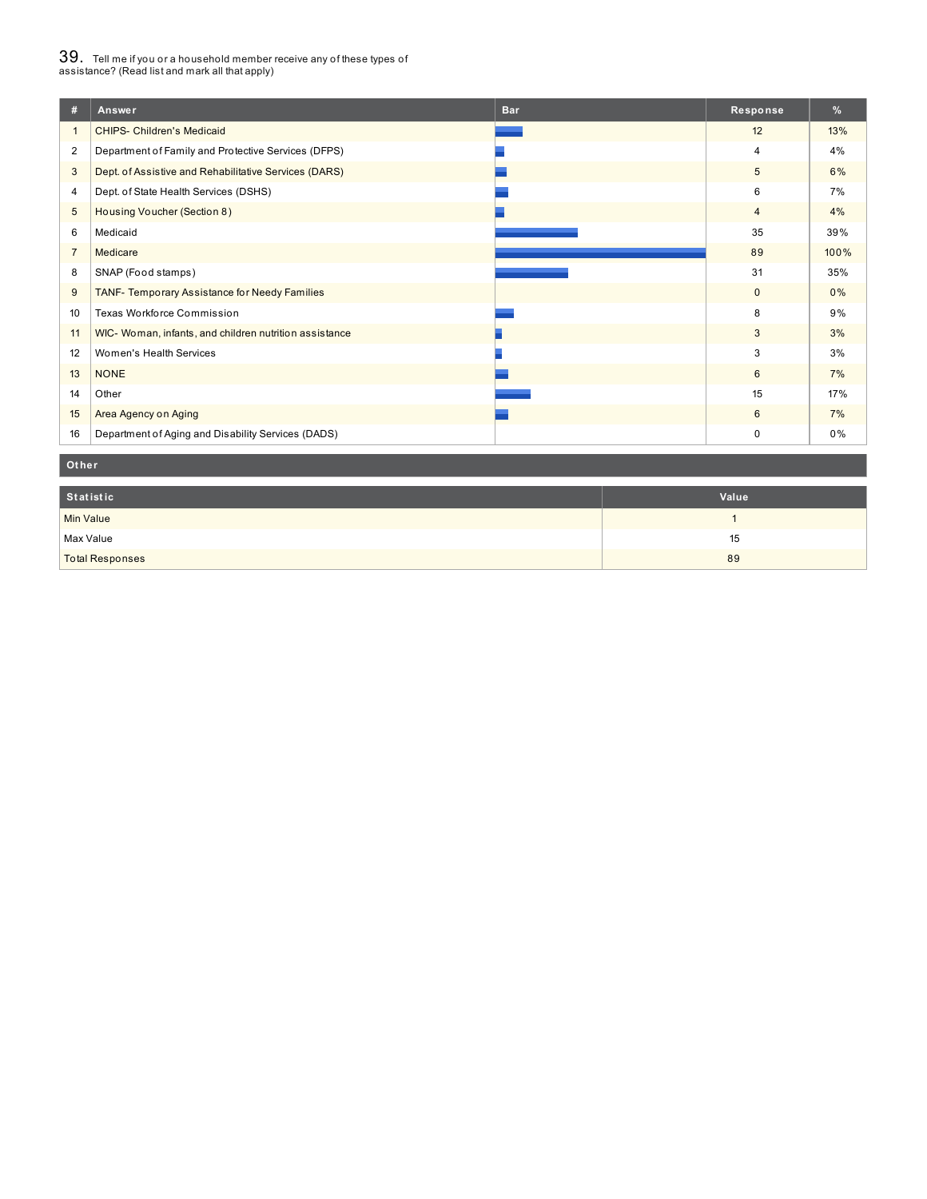# $39_\cdot$  Tell me if you or a household member receive any of these types of<br>assistance? (Read list and mark all that apply)

| #              | <b>Bar</b><br>Answer                                   | Response        | $\%$ |
|----------------|--------------------------------------------------------|-----------------|------|
| $\mathbf{1}$   | <b>CHIPS- Children's Medicaid</b>                      | 12              | 13%  |
| $\overline{2}$ | Department of Family and Protective Services (DFPS)    | 4               | 4%   |
| 3              | Dept. of Assistive and Rehabilitative Services (DARS)  | $5\phantom{.0}$ | 6%   |
| 4              | Dept. of State Health Services (DSHS)                  | 6               | 7%   |
| 5              | Housing Voucher (Section 8)                            | $\overline{4}$  | 4%   |
| 6              | Medicaid                                               | 35              | 39%  |
| $\overline{7}$ | Medicare                                               | 89              | 100% |
| 8              | SNAP (Food stamps)                                     | 31              | 35%  |
| 9              | <b>TANF- Temporary Assistance for Needy Families</b>   | $\mathbf 0$     | 0%   |
| 10             | Texas Workforce Commission                             | 8               | 9%   |
| 11             | WIC- Woman, infants, and children nutrition assistance | 3               | 3%   |
| 12             | Women's Health Services                                | 3               | 3%   |
| 13             | <b>NONE</b>                                            | 6               | 7%   |
| 14             | Other                                                  | 15              | 17%  |
| 15             | Area Agency on Aging                                   | 6               | 7%   |
| 16             | Department of Aging and Disability Services (DADS)     | 0               | 0%   |

#### **Ot her**

| Statistic              | Value |
|------------------------|-------|
| Min Value              |       |
| Max Value              | 15    |
| <b>Total Responses</b> | 89    |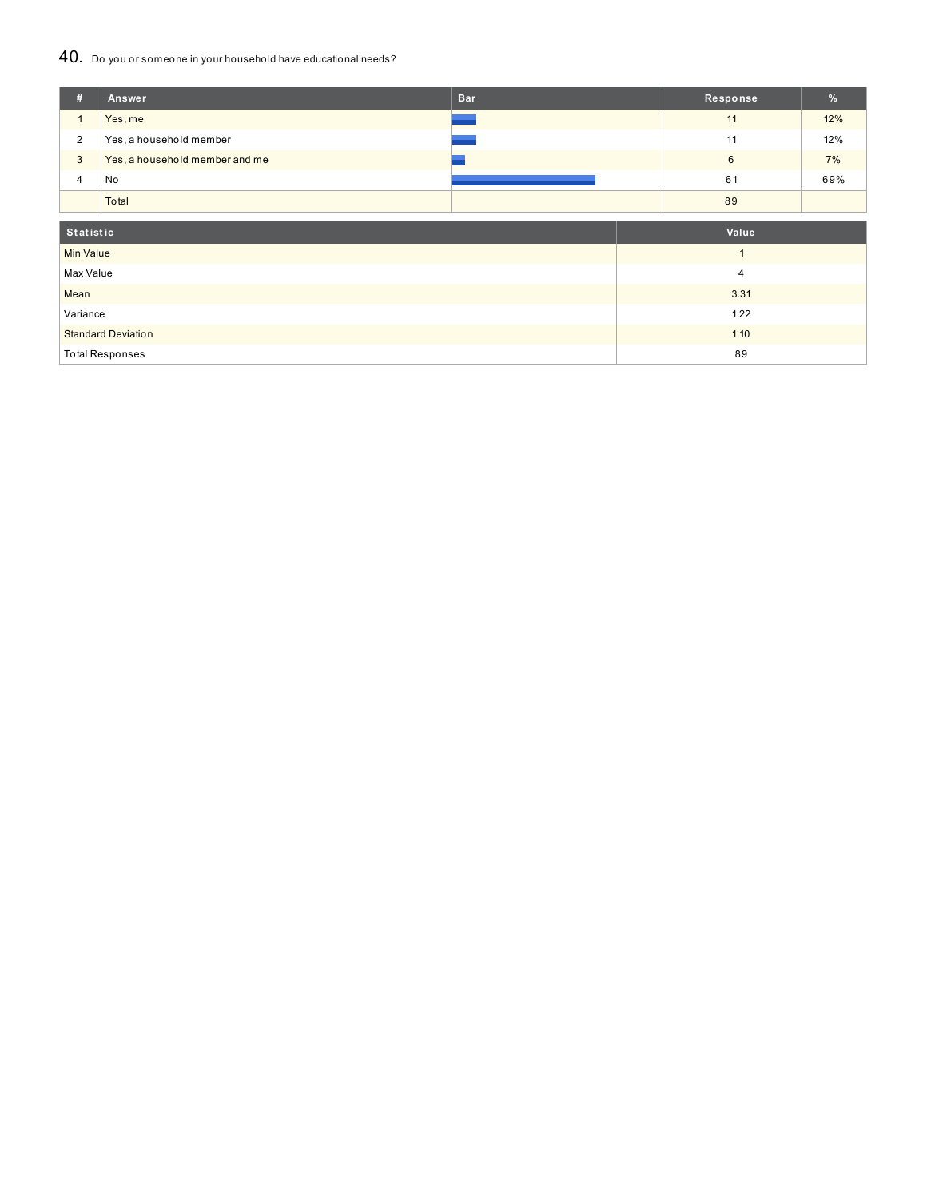### 40. Do you or someone in your household have educational needs?

| #                | Answer                         | <b>Bar</b> | Response       | %   |  |
|------------------|--------------------------------|------------|----------------|-----|--|
| $\mathbf{1}$     | Yes, me                        |            | 11             | 12% |  |
| $\overline{2}$   | Yes, a household member        |            | 11             | 12% |  |
| 3                | Yes, a household member and me |            | $6\phantom{1}$ | 7%  |  |
| 4                | No                             |            | 61             | 69% |  |
|                  | Total                          |            | 89             |     |  |
|                  |                                |            |                |     |  |
| <b>Statistic</b> |                                |            | Value          |     |  |
| <b>Min Value</b> |                                |            | $\mathbf{1}$   |     |  |
| Max Value        |                                |            | 4              |     |  |
| Mean             |                                |            | 3.31           |     |  |
| Variance         |                                |            | 1.22           |     |  |
|                  | <b>Standard Deviation</b>      |            | 1.10           |     |  |
|                  | <b>Total Responses</b>         |            | 89             |     |  |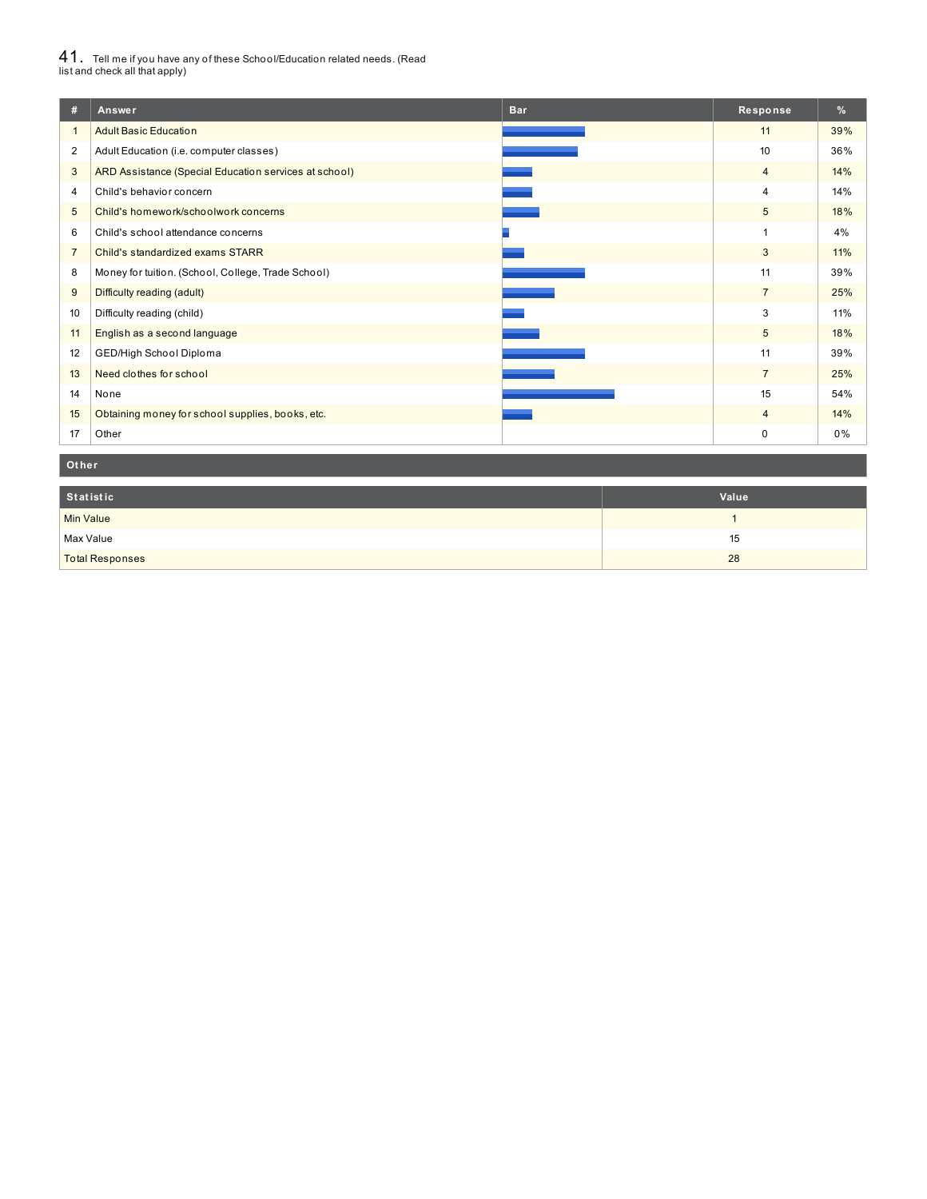# $41_\cdot$  Tell me if you have any of these School/Education related needs. (Read<br>list and check all that apply)

| #              | <b>Bar</b><br>Answer                                  | Response       | $\%$ |
|----------------|-------------------------------------------------------|----------------|------|
| $\mathbf{1}$   | <b>Adult Basic Education</b>                          | 11             | 39%  |
| 2              | Adult Education (i.e. computer classes)               | 10             | 36%  |
| 3              | ARD Assistance (Special Education services at school) | $\overline{4}$ | 14%  |
| 4              | Child's behavior concern                              | 4              | 14%  |
| 5              | Child's homework/schoolwork concerns                  | 5              | 18%  |
| 6              | Child's school attendance concerns                    | 1              | 4%   |
| $\overline{7}$ | Child's standardized exams STARR                      | 3              | 11%  |
| 8              | Money for tuition. (School, College, Trade School)    | 11             | 39%  |
| 9              | Difficulty reading (adult)                            | $\overline{7}$ | 25%  |
| 10             | Difficulty reading (child)                            | 3              | 11%  |
| 11             | English as a second language                          | 5              | 18%  |
| 12             | GED/High School Diploma                               | 11             | 39%  |
| 13             | Need clothes for school                               | $\overline{7}$ | 25%  |
| 14             | None                                                  | 15             | 54%  |
| 15             | Obtaining money for school supplies, books, etc.      | $\overline{4}$ | 14%  |
| 17             | Other                                                 | 0              | 0%   |

#### **Ot her**

| Statistic              | Value |
|------------------------|-------|
| Min Value              |       |
| Max Value              | 15    |
| <b>Total Responses</b> | 28    |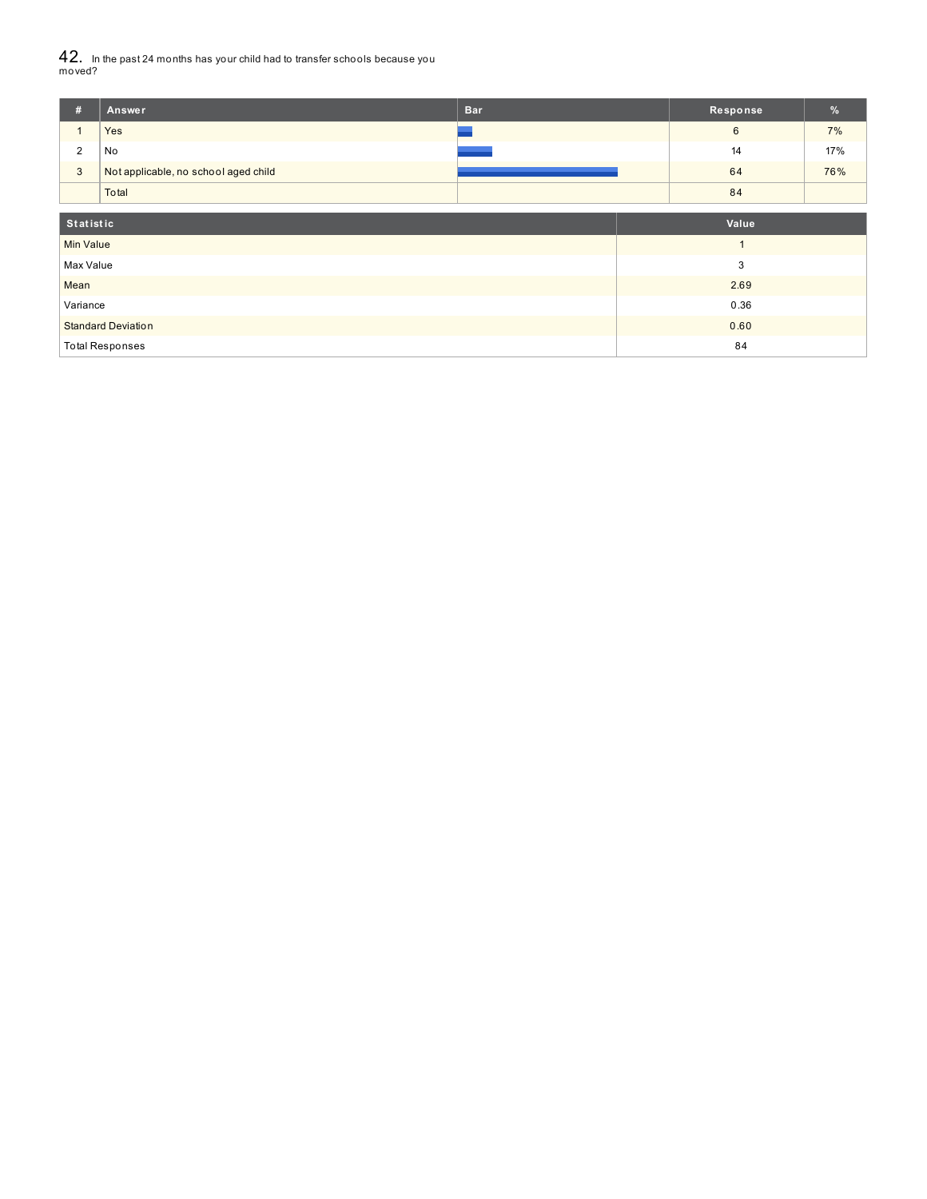$42_\cdot$  In the past 24 months has your child had to transfer schools because you<br>moved?

| #                         | Answer                               | <b>Bar</b> | Response | $\frac{9}{6}$ |
|---------------------------|--------------------------------------|------------|----------|---------------|
|                           | Yes                                  |            | 6        | 7%            |
| $\overline{2}$            | No                                   |            | 14       | 17%           |
| $\mathbf{3}$              | Not applicable, no school aged child |            | 64       | 76%           |
|                           | Total                                |            | 84       |               |
|                           |                                      |            | Value    |               |
| Statistic                 |                                      |            |          |               |
| <b>Min Value</b>          |                                      |            |          |               |
| Max Value                 |                                      |            | 3        |               |
| Mean                      |                                      |            | 2.69     |               |
| Variance                  |                                      |            | 0.36     |               |
| <b>Standard Deviation</b> |                                      |            | 0.60     |               |
| <b>Total Responses</b>    |                                      |            | 84       |               |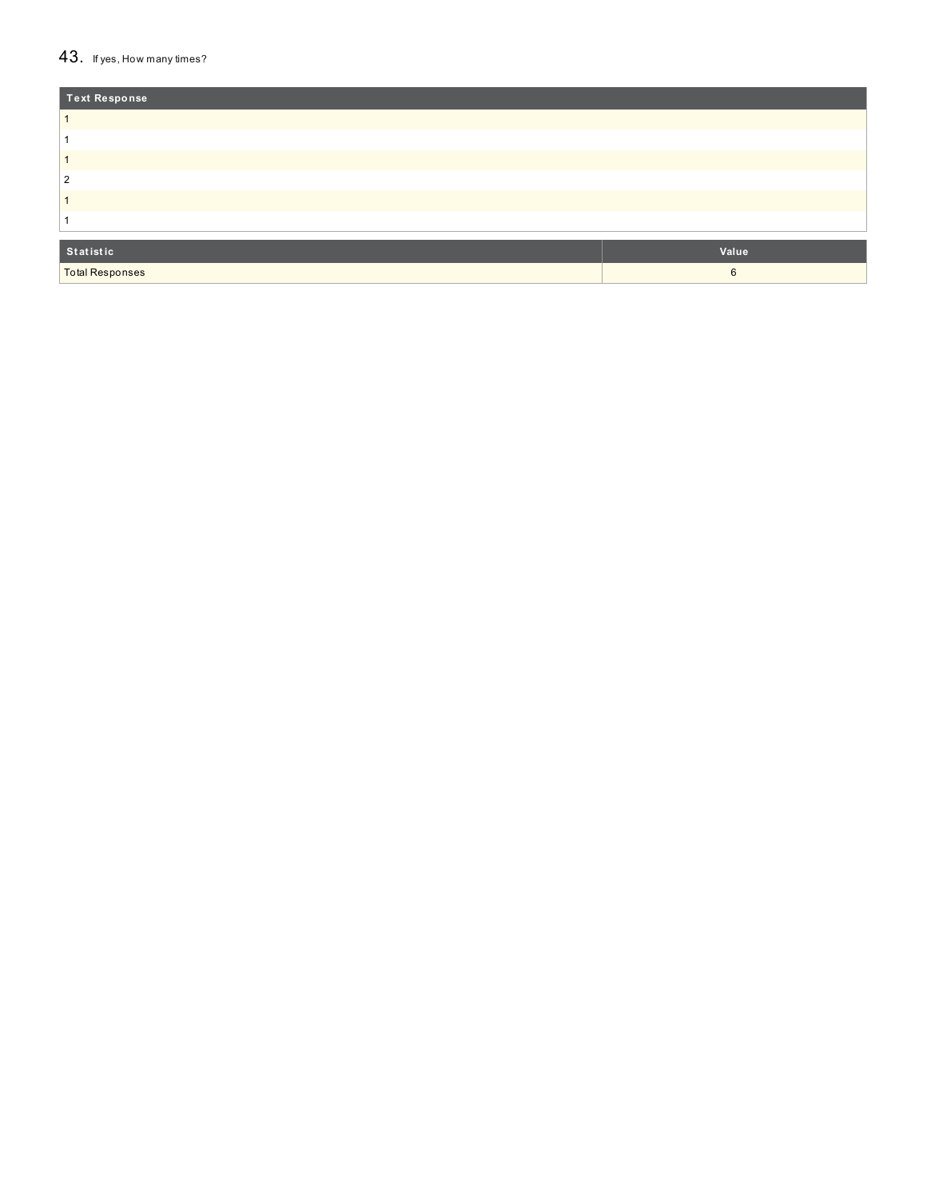### 43. If yes, How many times?

| <b>Text Response</b> |       |
|----------------------|-------|
|                      |       |
|                      |       |
|                      |       |
| 2                    |       |
|                      |       |
|                      |       |
| Statistic            | Value |
| Total Responses      | 6     |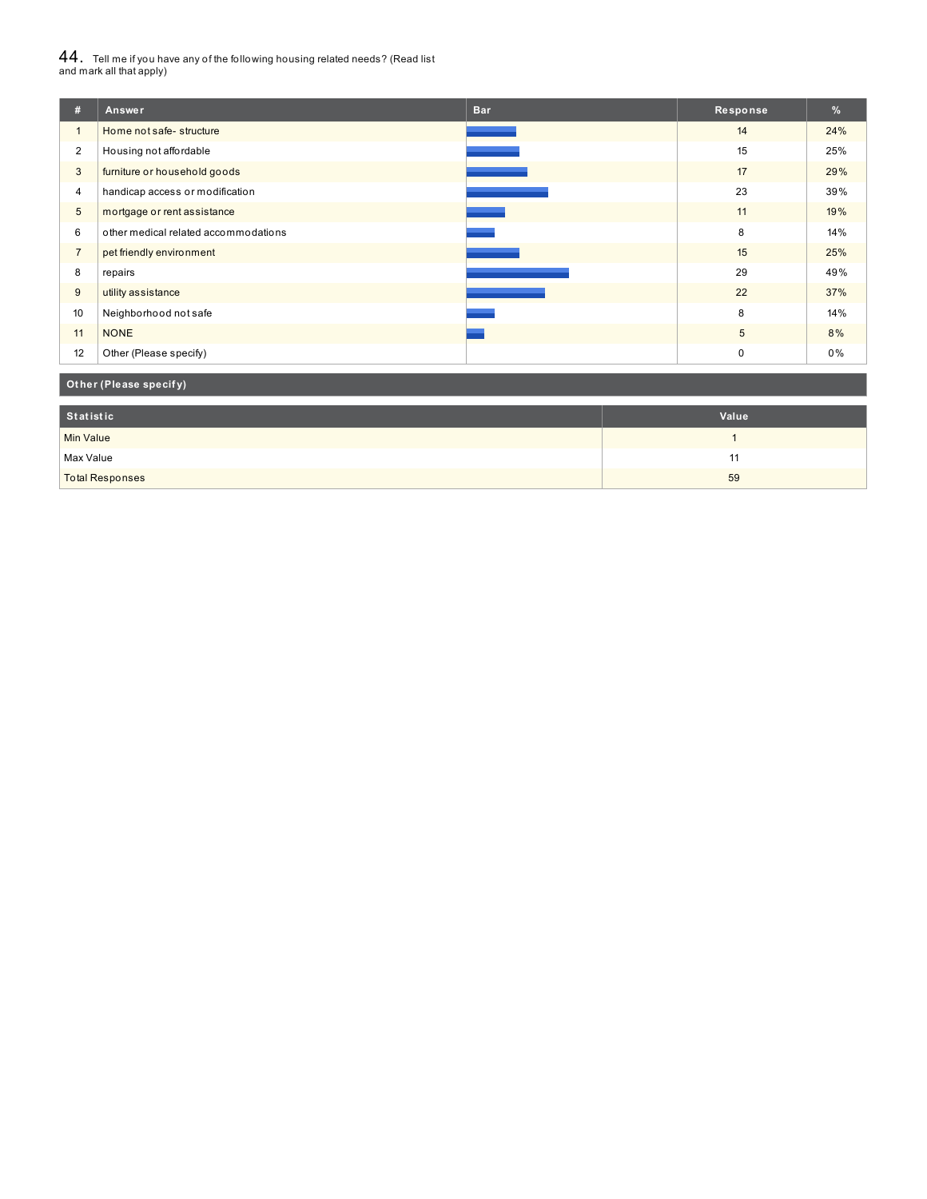# $44_\cdot$  Tell me if you have any of the following housing related needs? (Read list<br>and mark all that apply)

| #              | Answer                               | <b>Bar</b> | Response    | $\%$ |
|----------------|--------------------------------------|------------|-------------|------|
| $\mathbf{1}$   | Home not safe-structure              |            | 14          | 24%  |
| $\overline{2}$ | Housing not affordable               |            | 15          | 25%  |
| 3              | furniture or household goods         |            | 17          | 29%  |
| 4              | handicap access or modification      |            | 23          | 39%  |
| 5              | mortgage or rent assistance          |            | 11          | 19%  |
| 6              | other medical related accommodations |            | 8           | 14%  |
| $\overline{7}$ | pet friendly environment             |            | 15          | 25%  |
| 8              | repairs                              |            | 29          | 49%  |
| 9              | utility assistance                   |            | 22          | 37%  |
| 10             | Neighborhood not safe                |            | 8           | 14%  |
| 11             | <b>NONE</b>                          |            | 5           | 8%   |
| 12             | Other (Please specify)               |            | $\mathbf 0$ | 0%   |

**Ot her (Please specif y)**

| Statistic              | Value |
|------------------------|-------|
| <b>Min Value</b>       |       |
| Max Value              |       |
| <b>Total Responses</b> | 59    |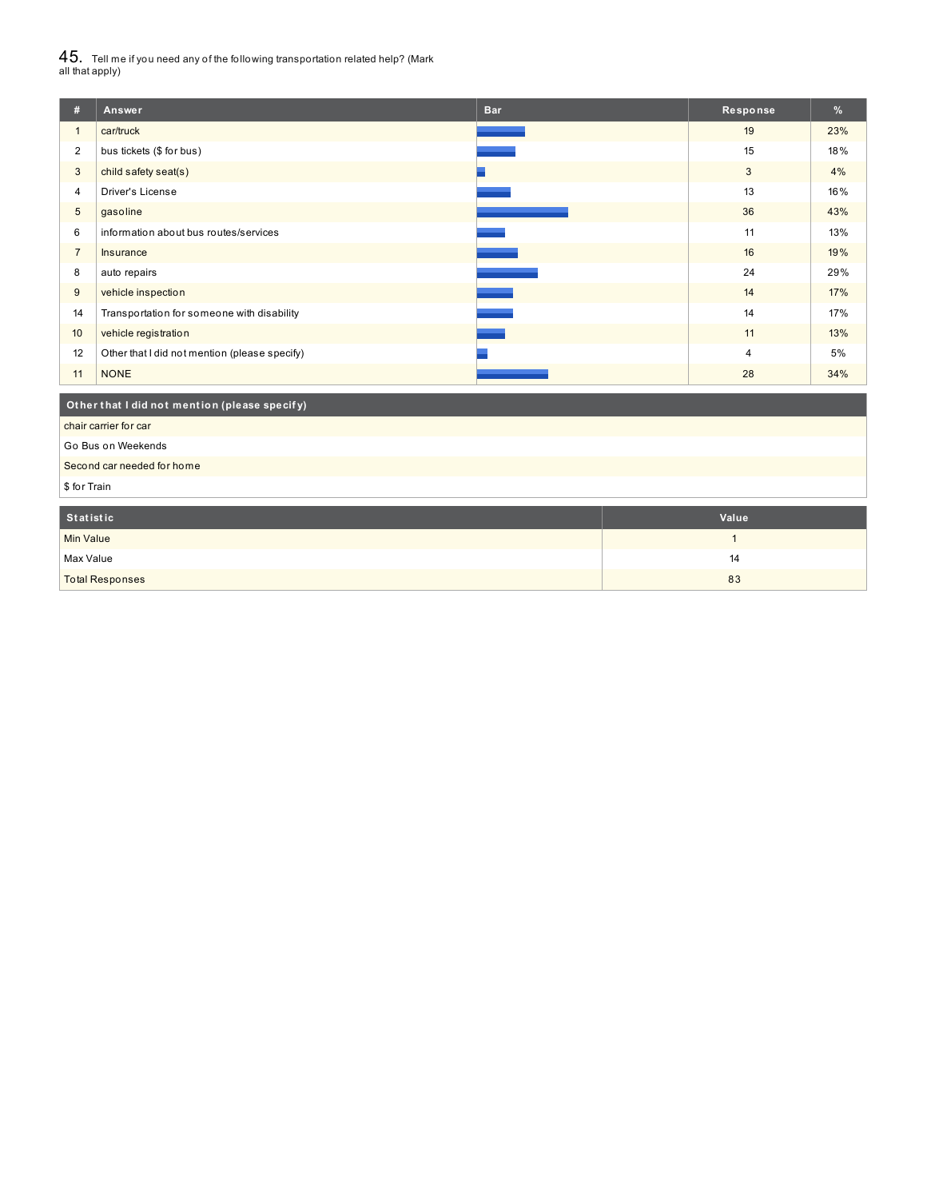$45_\cdot$  Tell me if you need any of the following transportation related help? (Mark<br>all that apply)

| #                          | Answer                                        | <b>Bar</b> | Response       | %   |
|----------------------------|-----------------------------------------------|------------|----------------|-----|
| 1                          | car/truck                                     |            | 19             | 23% |
| 2                          | bus tickets (\$ for bus)                      |            | 15             | 18% |
| 3                          | child safety seat(s)                          |            | 3              | 4%  |
| 4                          | <b>Driver's License</b>                       |            | 13             | 16% |
| 5                          | gasoline                                      |            | 36             | 43% |
| 6                          | information about bus routes/services         |            | 11             | 13% |
| $\overline{7}$             | Insurance                                     |            | 16             | 19% |
| 8                          | auto repairs                                  |            | 24             | 29% |
| 9                          | vehicle inspection                            |            | 14             | 17% |
| 14                         | Transportation for someone with disability    |            | 14             | 17% |
| 10                         | vehicle registration                          |            | 11             | 13% |
| 12                         | Other that I did not mention (please specify) |            | $\overline{4}$ | 5%  |
| 11                         | <b>NONE</b>                                   |            | 28             | 34% |
|                            | Other that I did not mention (please specify) |            |                |     |
|                            | chair carrier for car                         |            |                |     |
|                            | Go Bus on Weekends                            |            |                |     |
| Second car needed for home |                                               |            |                |     |
| \$ for Train               |                                               |            |                |     |
|                            |                                               |            |                |     |

| Statistic              | Value |
|------------------------|-------|
| Min Value              |       |
| Max Value              | 14    |
| <b>Total Responses</b> | 83    |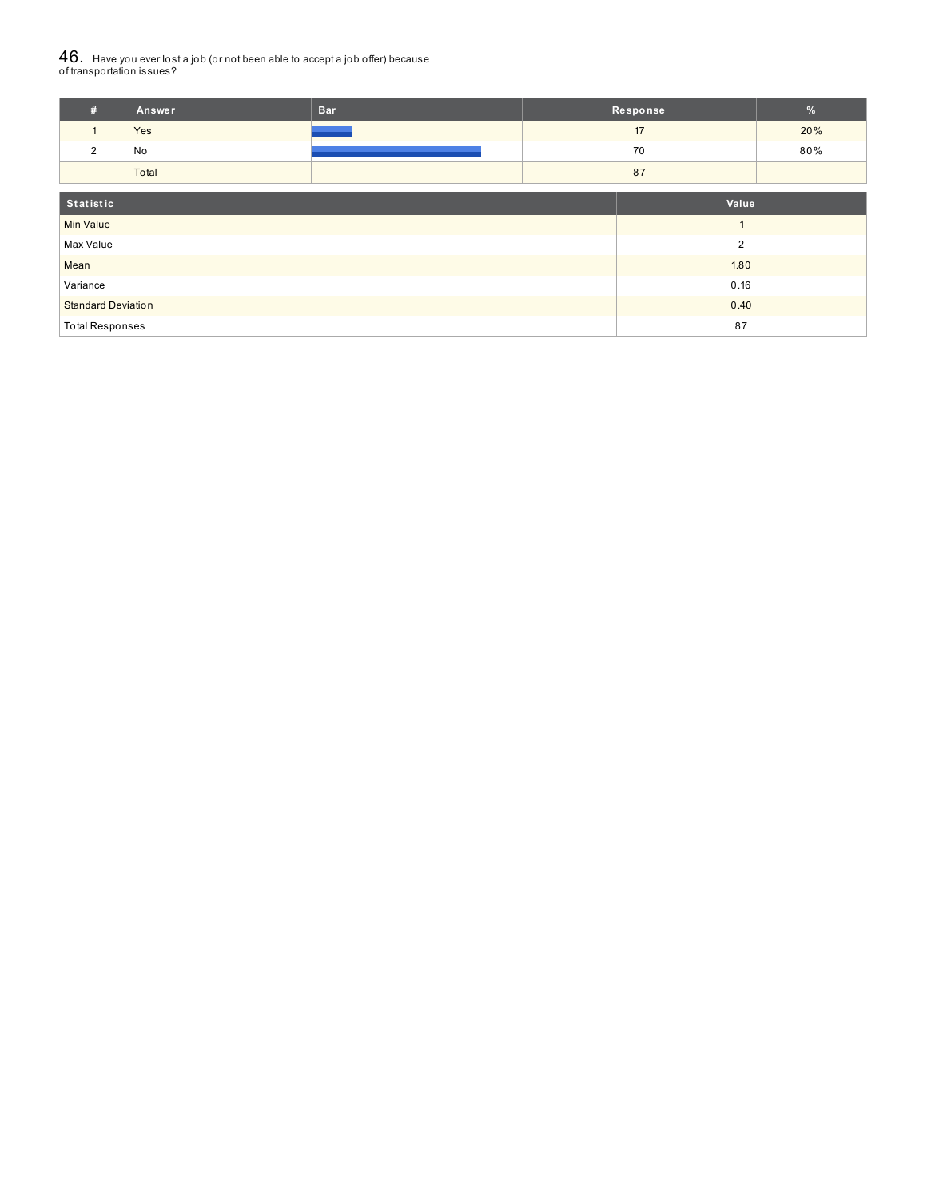# ${\bf 46}_{\cdot}\,$  Have you ever lost a job (or not been able to accept a job offer) because<br>of transportation issues?

| #                         | <b>Answer</b> | <b>Bar</b>     |       | Response       | $\%$ |
|---------------------------|---------------|----------------|-------|----------------|------|
| $\mathbf{1}$              | Yes           |                |       | 17             | 20%  |
| 2                         | No            |                |       | 70             | 80%  |
|                           | Total         |                |       | 87             |      |
|                           |               |                |       |                |      |
| Statistic                 |               |                | Value |                |      |
| <b>Min Value</b>          |               |                |       | $\overline{ }$ |      |
| Max Value                 |               | $\overline{2}$ |       |                |      |
| Mean                      |               | 1.80           |       |                |      |
| Variance                  |               | 0.16           |       |                |      |
| <b>Standard Deviation</b> |               |                | 0.40  |                |      |
| <b>Total Responses</b>    |               |                | 87    |                |      |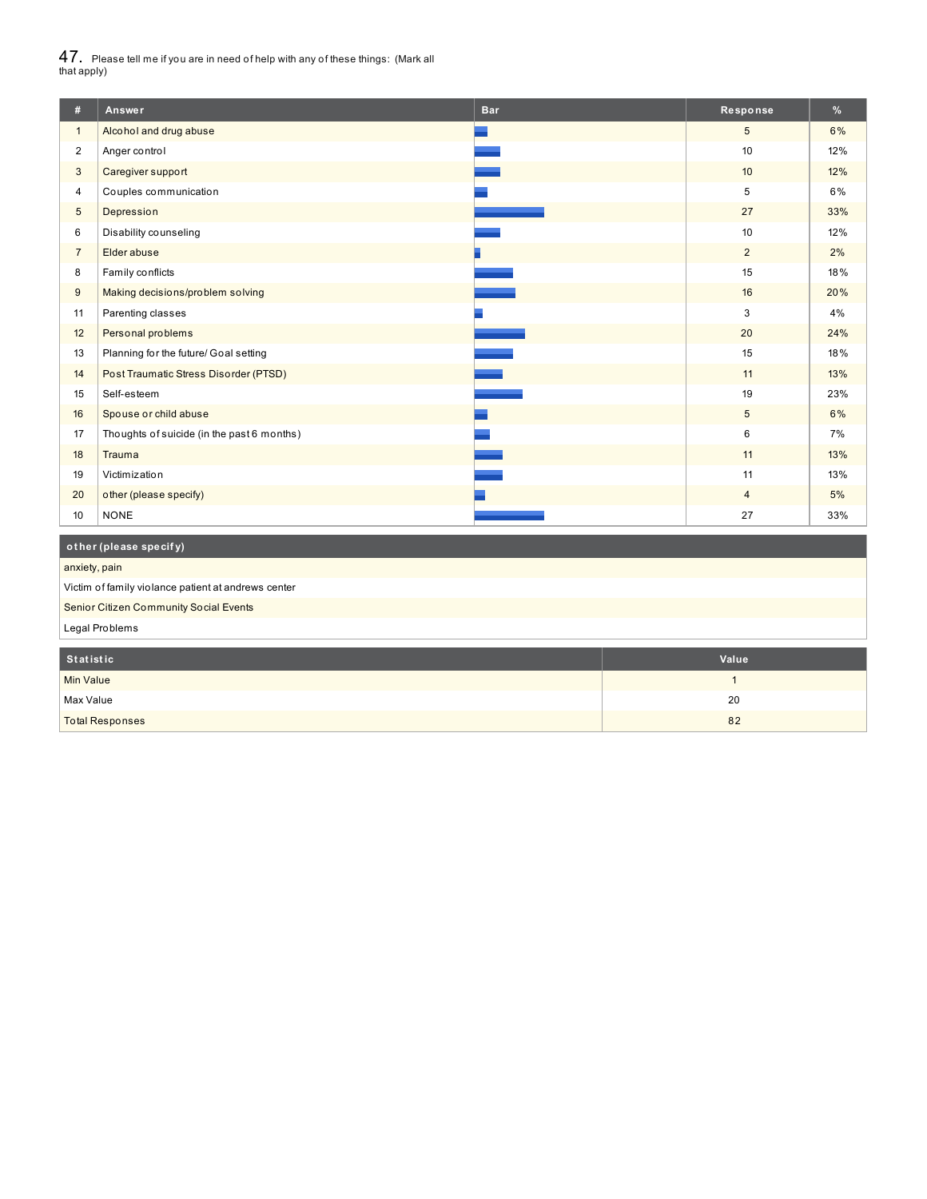$47_\cdot$  Please tell me if you are in need of help with any of these things: (Mark all<br>that apply)

| #                | Answer                                     | <b>Bar</b> | Response       | %   |
|------------------|--------------------------------------------|------------|----------------|-----|
| $\mathbf{1}$     | Alcohol and drug abuse                     |            | 5              | 6%  |
| $\overline{2}$   | Anger control                              |            | 10             | 12% |
| 3                | Caregiver support                          |            | 10             | 12% |
| 4                | Couples communication                      |            | 5              | 6%  |
| 5                | Depression                                 |            | 27             | 33% |
| 6                | Disability counseling                      |            | 10             | 12% |
| $\overline{7}$   | Elder abuse                                |            | $\overline{2}$ | 2%  |
| 8                | Family conflicts                           |            | 15             | 18% |
| $\boldsymbol{9}$ | Making decisions/problem solving           |            | 16             | 20% |
| 11               | Parenting classes                          |            | 3              | 4%  |
| 12               | Personal problems                          |            | 20             | 24% |
| 13               | Planning for the future/ Goal setting      |            | 15             | 18% |
| 14               | Post Traumatic Stress Disorder (PTSD)      |            | 11             | 13% |
| 15               | Self-esteem                                |            | 19             | 23% |
| 16               | Spouse or child abuse                      |            | 5              | 6%  |
| 17               | Thoughts of suicide (in the past 6 months) |            | 6              | 7%  |
| 18               | Trauma                                     |            | 11             | 13% |
| 19               | Victimization                              |            | 11             | 13% |
| 20               | other (please specify)                     |            | $\overline{4}$ | 5%  |
| 10               | <b>NONE</b>                                |            | 27             | 33% |
|                  |                                            |            |                |     |
|                  | other (please specify)                     |            |                |     |

anxiety, pain

Victim of family violance patient at andrews center

Senior Citizen Community Social Events

Legal Problems

| Statistic              | Value |
|------------------------|-------|
| <b>Min Value</b>       |       |
| Max Value              | 20    |
| <b>Total Responses</b> | 82    |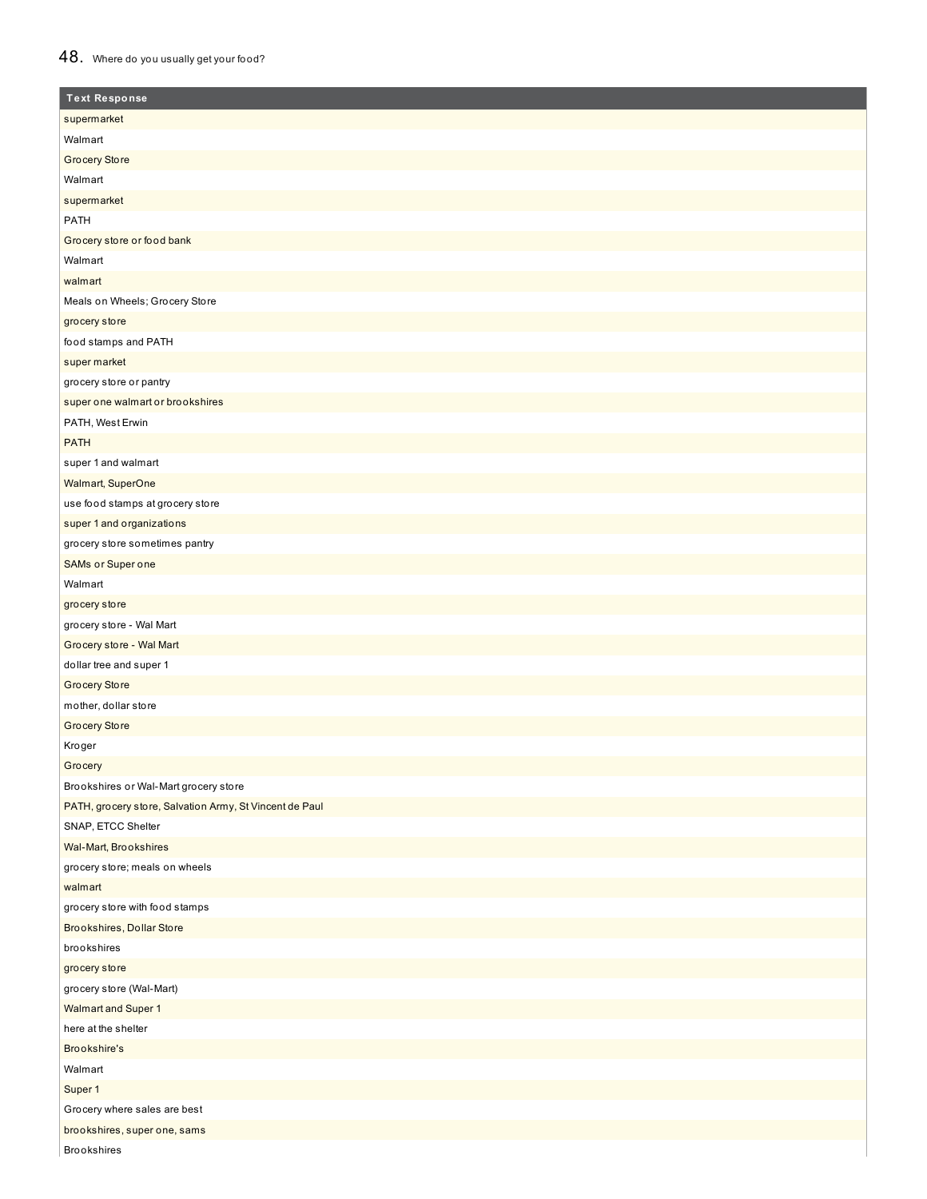## 48. Where do you usually get your food?

| <b>Text Response</b>                                    |
|---------------------------------------------------------|
| supermarket                                             |
| Walmart                                                 |
| Grocery Store                                           |
| Walmart                                                 |
| supermarket                                             |
| PATH                                                    |
| Grocery store or food bank                              |
| Walmart                                                 |
| walmart                                                 |
| Meals on Wheels; Grocery Store                          |
| grocery store                                           |
| food stamps and PATH                                    |
| super market                                            |
| grocery store or pantry                                 |
| super one walmart or brookshires                        |
| PATH, West Erwin                                        |
| <b>PATH</b>                                             |
| super 1 and walmart                                     |
| Walmart, SuperOne                                       |
| use food stamps at grocery store                        |
| super 1 and organizations                               |
| grocery store sometimes pantry                          |
| SAMs or Super one                                       |
| Walmart                                                 |
| grocery store                                           |
| grocery store - Wal Mart                                |
| Grocery store - Wal Mart                                |
| dollar tree and super 1                                 |
| Grocery Store                                           |
| mother, dollar store                                    |
| <b>Grocery Store</b>                                    |
| Kroger                                                  |
| Grocery                                                 |
| Brookshires or Wal-Mart grocery store                   |
| PATH, grocery store, Salvation Army, St Vincent de Paul |
| SNAP, ETCC Shelter                                      |
| Wal-Mart, Brookshires                                   |
| grocery store; meals on wheels                          |
| walmart                                                 |
| grocery store with food stamps                          |
| Brookshires, Dollar Store                               |
| brookshires                                             |
| grocery store                                           |
| grocery store (Wal-Mart)                                |
| Walmart and Super 1                                     |
| here at the shelter                                     |
| Brookshire's                                            |
| Walmart                                                 |
| Super 1                                                 |
| Grocery where sales are best                            |
| brookshires, super one, sams                            |
| <b>Brookshires</b>                                      |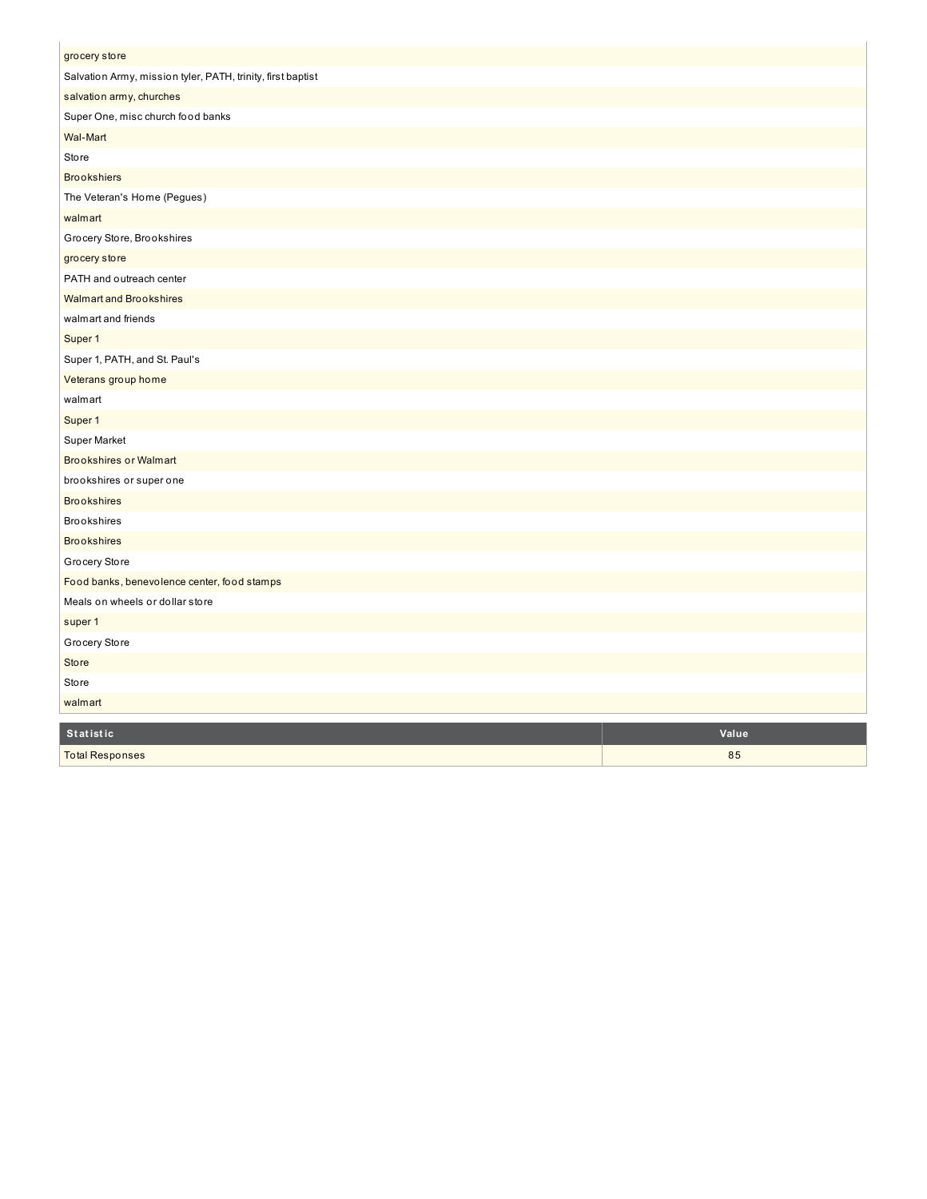| grocery store                                               |       |
|-------------------------------------------------------------|-------|
| Salvation Army, mission tyler, PATH, trinity, first baptist |       |
| salvation army, churches                                    |       |
| Super One, misc church food banks                           |       |
| Wal-Mart                                                    |       |
| <b>Store</b>                                                |       |
| <b>Brookshiers</b>                                          |       |
| The Veteran's Home (Pegues)                                 |       |
| walmart                                                     |       |
| Grocery Store, Brookshires                                  |       |
| grocery store                                               |       |
| PATH and outreach center                                    |       |
| <b>Walmart and Brookshires</b>                              |       |
| walmart and friends                                         |       |
| Super 1                                                     |       |
| Super 1, PATH, and St. Paul's                               |       |
| Veterans group home                                         |       |
| walmart                                                     |       |
| Super 1                                                     |       |
| Super Market                                                |       |
| <b>Brookshires or Walmart</b>                               |       |
| brookshires or super one                                    |       |
| <b>Brookshires</b>                                          |       |
| <b>Brookshires</b>                                          |       |
| <b>Brookshires</b>                                          |       |
| Grocery Store                                               |       |
| Food banks, benevolence center, food stamps                 |       |
| Meals on wheels or dollar store                             |       |
| super 1                                                     |       |
| Grocery Store                                               |       |
| <b>Store</b>                                                |       |
| <b>Store</b>                                                |       |
| walmart                                                     |       |
| Statistic                                                   | Value |

8 5

Total Responses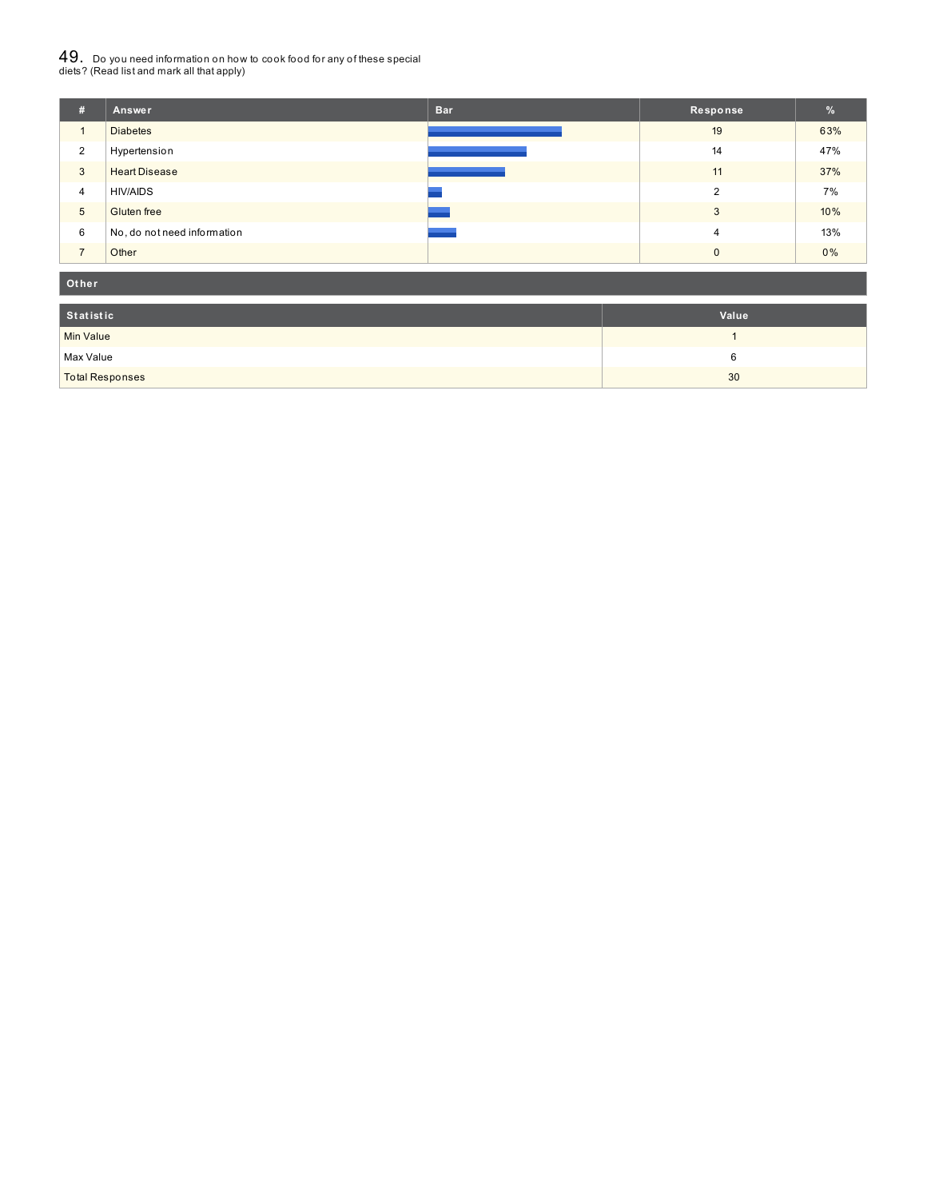# $49_\cdot$  Do you need information on how to cook food for any of these special<br>diets? (Read list and mark all that apply)

| #              | Answer                      | <b>Bar</b> | Response      | %     |
|----------------|-----------------------------|------------|---------------|-------|
| $\mathbf{1}$   | <b>Diabetes</b>             |            | 19            | 63%   |
| 2              | Hypertension                |            | 14            | 47%   |
| 3              | <b>Heart Disease</b>        |            | 11            | 37%   |
| $\overline{4}$ | <b>HIV/AIDS</b>             |            | $\mathcal{P}$ | 7%    |
| 5              | <b>Gluten</b> free          |            | 3             | 10%   |
| 6              | No, do not need information |            | 4             | 13%   |
| $\overline{ }$ | Other                       |            | $\Omega$      | $0\%$ |

#### **Ot her**

| Statistic              | Value |
|------------------------|-------|
| Min Value              |       |
| Max Value              |       |
| <b>Total Responses</b> | 30    |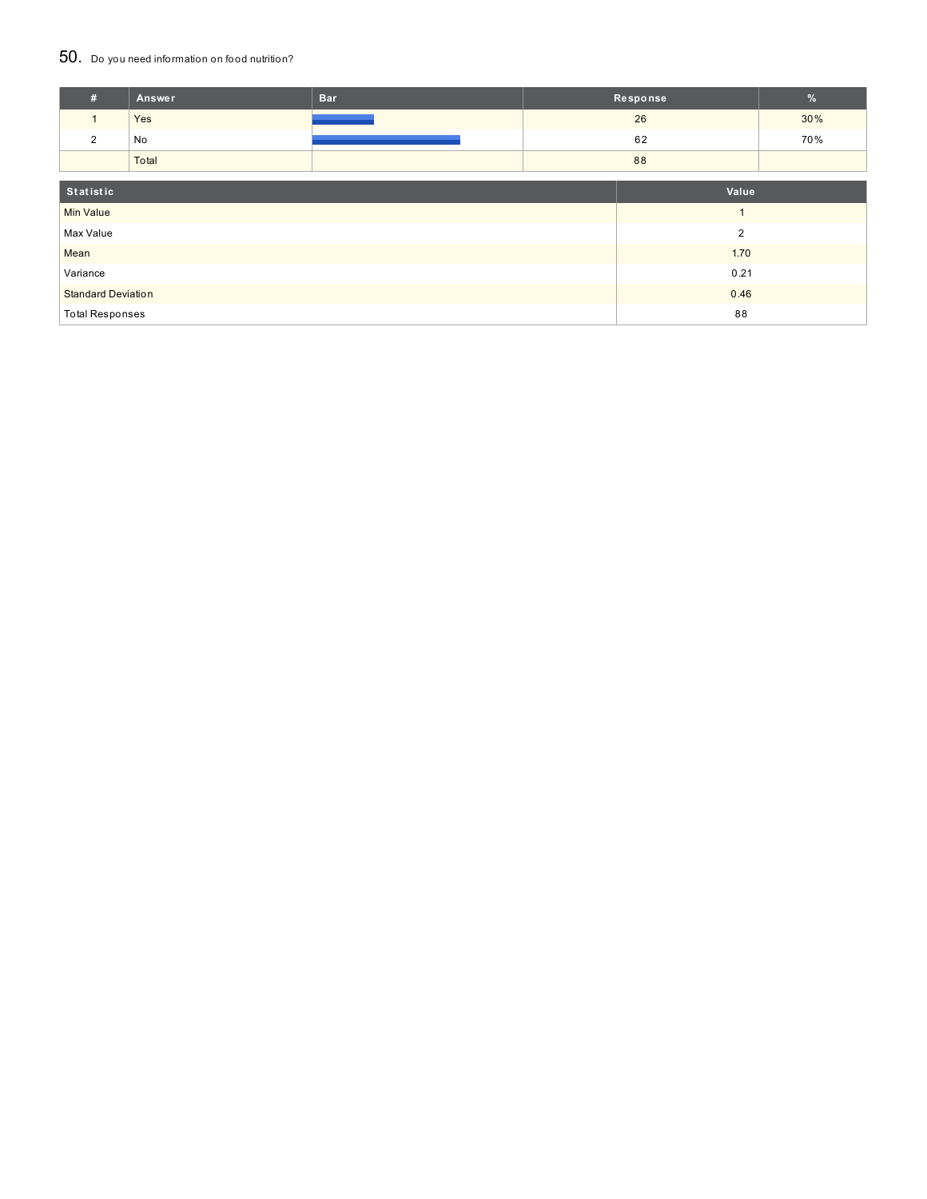#### 50. Do you need information on food nutrition?

| #                         | Answer    | <b>Bar</b>     |                | Response | $\frac{9}{6}$ |
|---------------------------|-----------|----------------|----------------|----------|---------------|
| $\mathbf{1}$              | Yes       |                | 26             |          | 30%           |
| 2                         | No        |                |                | 62       | 70%           |
|                           | Total     |                |                | 88       |               |
|                           |           |                |                |          |               |
|                           | Statistic |                |                | Value    |               |
| <b>Min Value</b>          |           | $\overline{1}$ |                |          |               |
| Max Value                 |           |                | $\overline{2}$ |          |               |
| Mean                      |           |                |                | 1.70     |               |
| Variance                  |           | 0.21           |                |          |               |
| <b>Standard Deviation</b> |           |                |                | 0.46     |               |
| <b>Total Responses</b>    |           |                |                | 88       |               |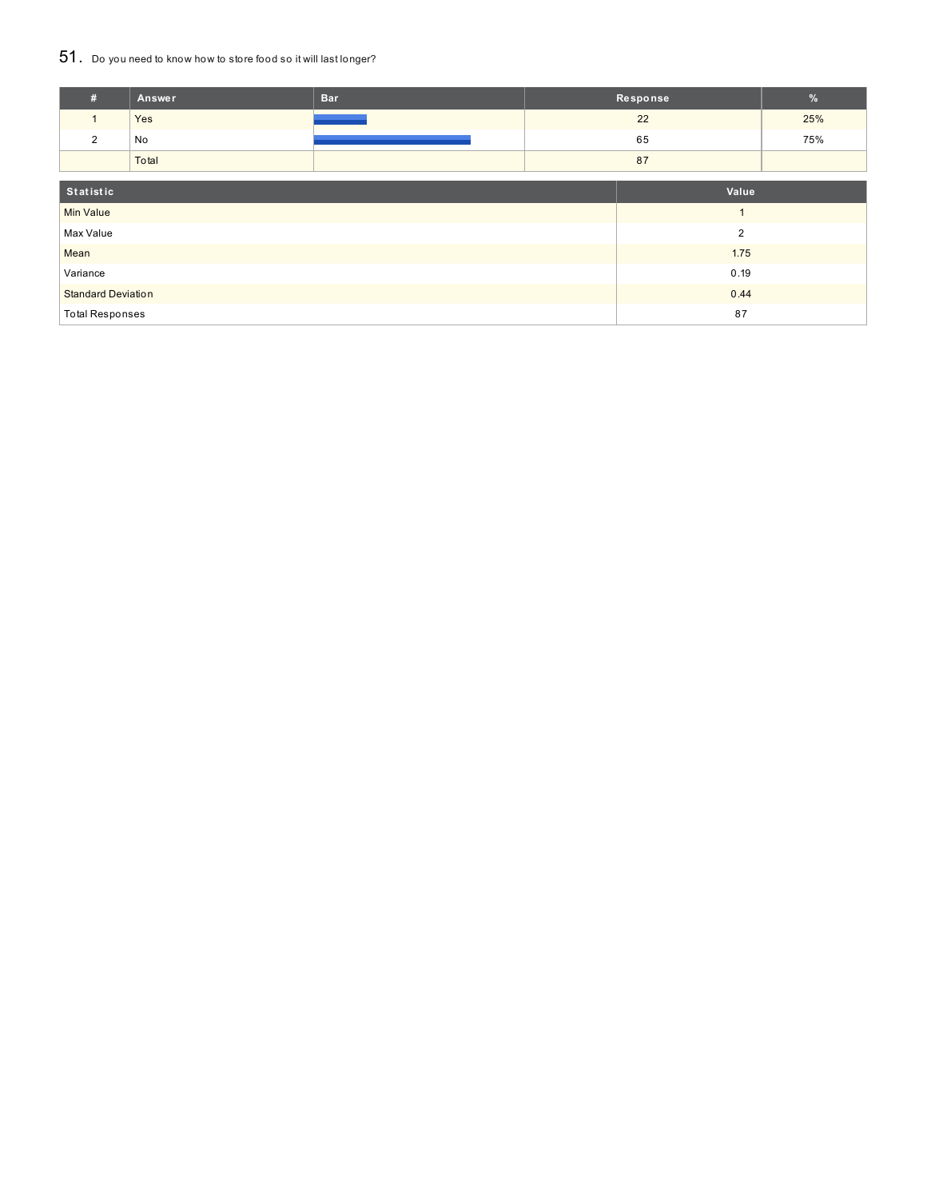## 51. Do you need to know how to store food so it will last longer?

| #                         | Answer    | <b>Bar</b>     |      | Response | $\%$ |
|---------------------------|-----------|----------------|------|----------|------|
| $\mathbf{1}$              | Yes       |                |      | 22       | 25%  |
| $\overline{2}$            | No        |                |      | 65       | 75%  |
|                           | Total     |                |      | 87       |      |
|                           |           |                |      |          |      |
|                           | Statistic |                |      | Value    |      |
| <b>Min Value</b>          |           |                |      |          |      |
| Max Value                 |           | $\overline{2}$ |      |          |      |
| Mean                      |           |                |      | 1.75     |      |
| Variance                  |           |                | 0.19 |          |      |
| <b>Standard Deviation</b> |           | 0.44           |      |          |      |
| <b>Total Responses</b>    |           |                | 87   |          |      |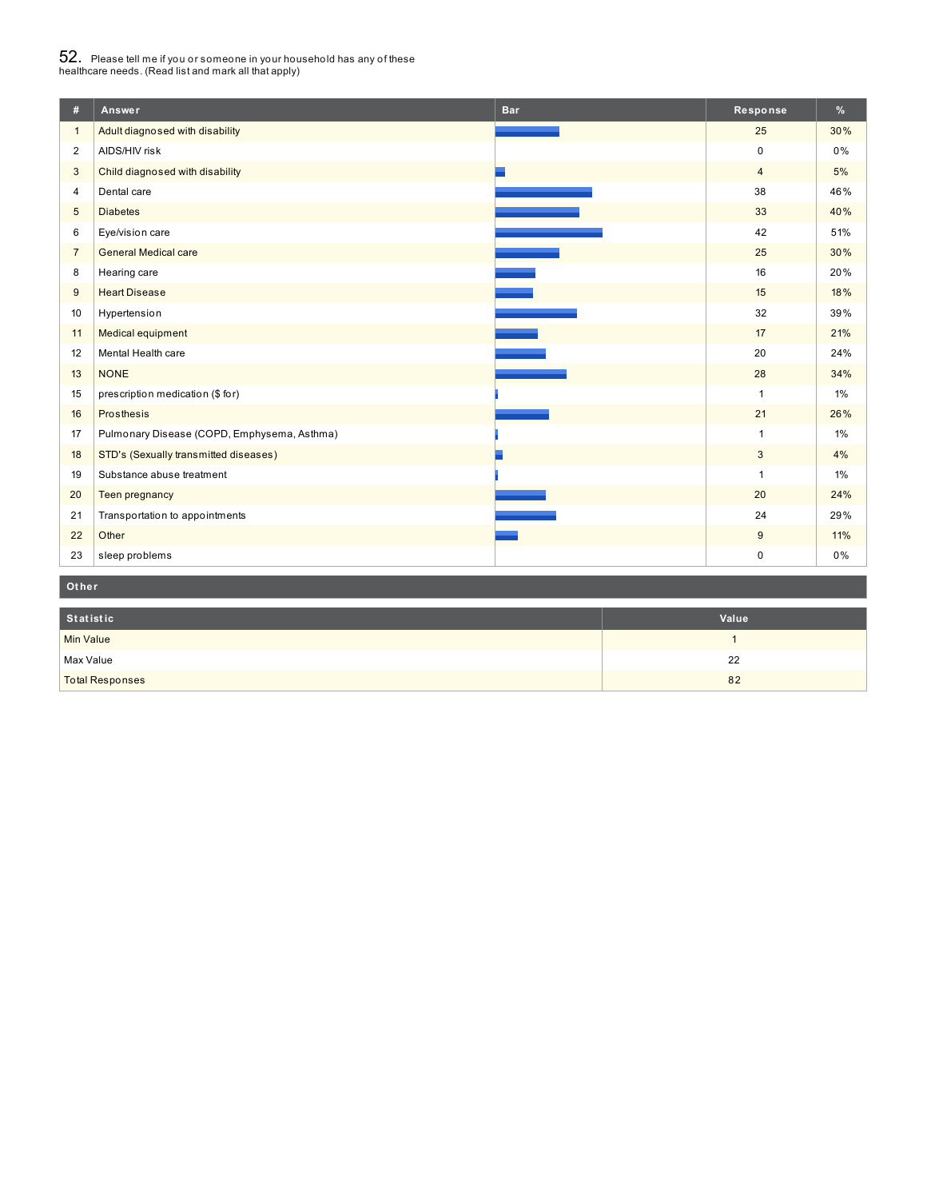# $52_\cdot$  Please tell me if you or someone in your household has any of these<br>healthcare needs. (Read list and mark all that apply)

| #              | Answer                                      | <b>Bar</b> | Response       | %     |
|----------------|---------------------------------------------|------------|----------------|-------|
| $\mathbf{1}$   | Adult diagnosed with disability             |            | 25             | 30%   |
| 2              | AIDS/HIV risk                               |            | $\mathbf 0$    | $0\%$ |
| $\mathbf{3}$   | Child diagnosed with disability             |            | $\overline{4}$ | 5%    |
| $\overline{4}$ | Dental care                                 |            | 38             | 46%   |
| $\sqrt{5}$     | <b>Diabetes</b>                             |            | 33             | 40%   |
| 6              | Eye/vision care                             |            | 42             | 51%   |
| $\overline{7}$ | <b>General Medical care</b>                 |            | 25             | 30%   |
| 8              | Hearing care                                |            | 16             | 20%   |
| 9              | <b>Heart Disease</b>                        |            | 15             | 18%   |
| 10             | Hypertension                                |            | 32             | 39%   |
| 11             | Medical equipment                           |            | 17             | 21%   |
| 12             | Mental Health care                          |            | 20             | 24%   |
| 13             | <b>NONE</b>                                 |            | 28             | 34%   |
| 15             | prescription medication (\$ for)            |            | $\mathbf{1}$   | $1\%$ |
| 16             | Prosthesis                                  |            | 21             | 26%   |
| 17             | Pulmonary Disease (COPD, Emphysema, Asthma) |            | $\mathbf{1}$   | 1%    |
| 18             | STD's (Sexually transmitted diseases)       |            | 3              | 4%    |
| 19             | Substance abuse treatment                   |            | $\mathbf{1}$   | 1%    |
| 20             | Teen pregnancy                              |            | 20             | 24%   |
| 21             | Transportation to appointments              |            | 24             | 29%   |
| 22             | Other                                       |            | 9              | 11%   |
| 23             | sleep problems                              |            | $\mathbf 0$    | 0%    |
| Other          |                                             |            |                |       |

| Statistic              | Value |
|------------------------|-------|
| <b>Min Value</b>       |       |
| Max Value              | 22    |
| <b>Total Responses</b> | 82    |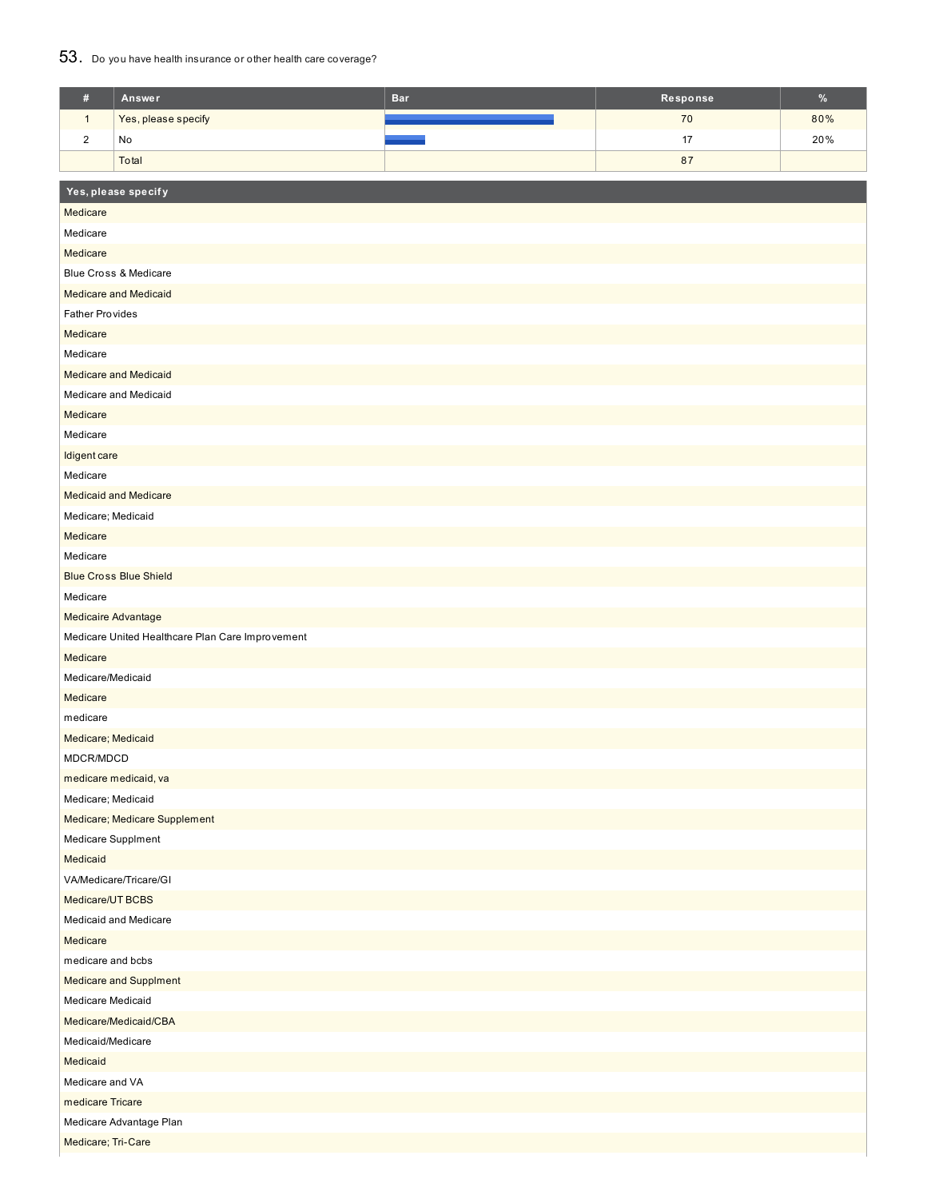#### 53. Do you have health insurance or other health care coverage?

| $\#$                           | Answer                                           | <b>Bar</b> | Response | $\%$ |  |  |  |  |
|--------------------------------|--------------------------------------------------|------------|----------|------|--|--|--|--|
| $\mathbf{1}$                   | Yes, please specify                              |            | 70       | 80%  |  |  |  |  |
| $\sqrt{2}$                     | No                                               |            | 17       | 20%  |  |  |  |  |
|                                | Total                                            |            | 87       |      |  |  |  |  |
|                                |                                                  |            |          |      |  |  |  |  |
|                                | Yes, please specify                              |            |          |      |  |  |  |  |
| Medicare                       |                                                  |            |          |      |  |  |  |  |
| Medicare                       |                                                  |            |          |      |  |  |  |  |
|                                | Medicare                                         |            |          |      |  |  |  |  |
|                                | Blue Cross & Medicare                            |            |          |      |  |  |  |  |
|                                | <b>Medicare and Medicaid</b>                     |            |          |      |  |  |  |  |
| <b>Father Provides</b>         |                                                  |            |          |      |  |  |  |  |
| Medicare                       |                                                  |            |          |      |  |  |  |  |
| Medicare                       |                                                  |            |          |      |  |  |  |  |
|                                | <b>Medicare and Medicaid</b>                     |            |          |      |  |  |  |  |
|                                | Medicare and Medicaid                            |            |          |      |  |  |  |  |
| Medicare                       |                                                  |            |          |      |  |  |  |  |
| Medicare                       |                                                  |            |          |      |  |  |  |  |
| Idigent care<br>Medicare       |                                                  |            |          |      |  |  |  |  |
|                                |                                                  |            |          |      |  |  |  |  |
|                                | <b>Medicaid and Medicare</b>                     |            |          |      |  |  |  |  |
| Medicare; Medicaid<br>Medicare |                                                  |            |          |      |  |  |  |  |
| Medicare                       |                                                  |            |          |      |  |  |  |  |
|                                | <b>Blue Cross Blue Shield</b>                    |            |          |      |  |  |  |  |
| Medicare                       |                                                  |            |          |      |  |  |  |  |
| <b>Medicaire Advantage</b>     |                                                  |            |          |      |  |  |  |  |
|                                | Medicare United Healthcare Plan Care Improvement |            |          |      |  |  |  |  |
| Medicare                       |                                                  |            |          |      |  |  |  |  |
| Medicare/Medicaid              |                                                  |            |          |      |  |  |  |  |
| Medicare                       |                                                  |            |          |      |  |  |  |  |
| medicare                       |                                                  |            |          |      |  |  |  |  |
| Medicare; Medicaid             |                                                  |            |          |      |  |  |  |  |
| MDCR/MDCD                      |                                                  |            |          |      |  |  |  |  |
|                                | medicare medicaid, va                            |            |          |      |  |  |  |  |
| Medicare; Medicaid             |                                                  |            |          |      |  |  |  |  |
|                                | Medicare; Medicare Supplement                    |            |          |      |  |  |  |  |
| Medicare Supplment             |                                                  |            |          |      |  |  |  |  |
| Medicaid                       |                                                  |            |          |      |  |  |  |  |
|                                | VA/Medicare/Tricare/GI                           |            |          |      |  |  |  |  |
| Medicare/UT BCBS               |                                                  |            |          |      |  |  |  |  |
|                                | Medicaid and Medicare                            |            |          |      |  |  |  |  |
| Medicare                       |                                                  |            |          |      |  |  |  |  |
|                                | medicare and bcbs                                |            |          |      |  |  |  |  |
|                                | Medicare and Supplment                           |            |          |      |  |  |  |  |
| Medicare Medicaid              |                                                  |            |          |      |  |  |  |  |
|                                | Medicare/Medicaid/CBA                            |            |          |      |  |  |  |  |
|                                | Medicaid/Medicare                                |            |          |      |  |  |  |  |
| Medicaid                       |                                                  |            |          |      |  |  |  |  |
| Medicare and VA                |                                                  |            |          |      |  |  |  |  |
| medicare Tricare               |                                                  |            |          |      |  |  |  |  |
|                                | Medicare Advantage Plan                          |            |          |      |  |  |  |  |
| Medicare; Tri-Care             |                                                  |            |          |      |  |  |  |  |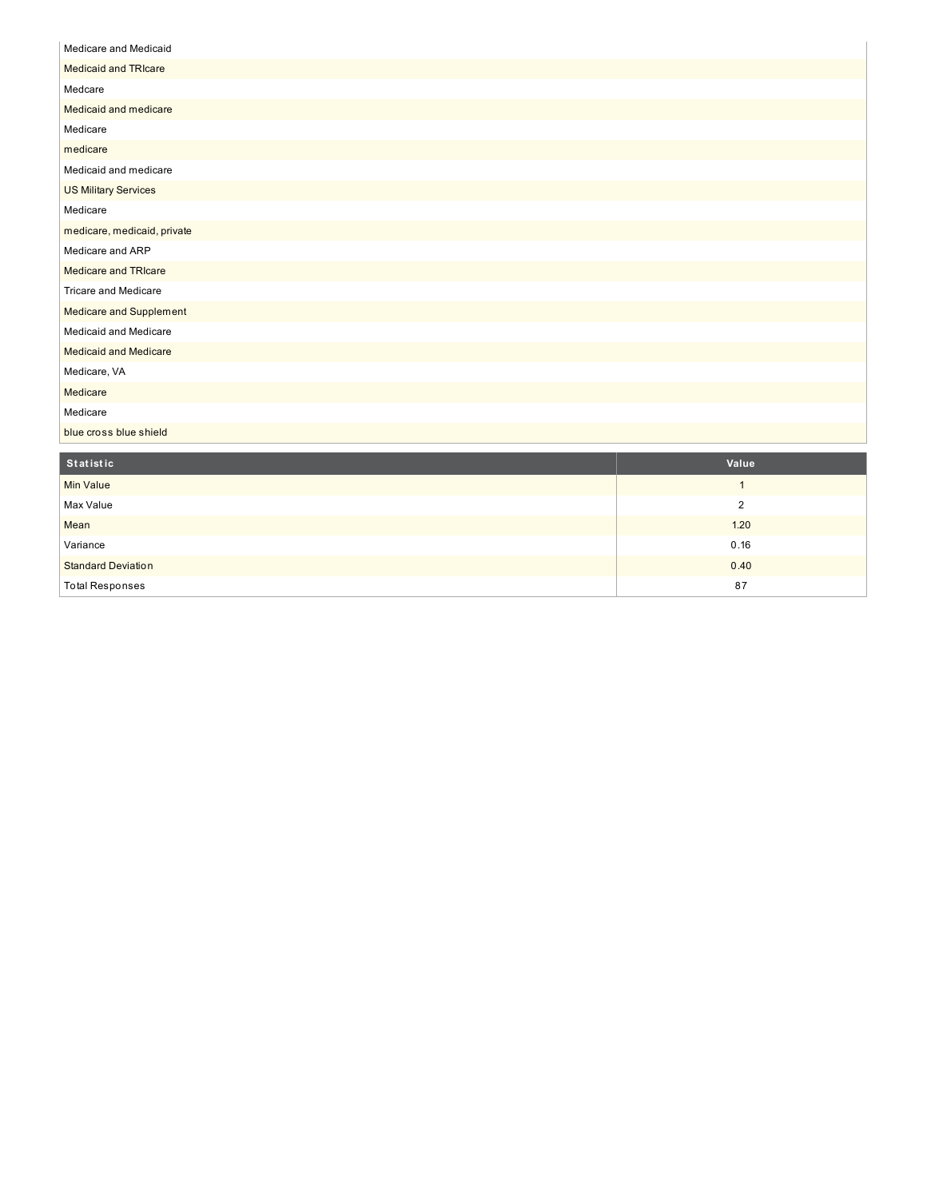| Medicare and Medicaid          |
|--------------------------------|
| <b>Medicaid and TRIcare</b>    |
| Medcare                        |
| Medicaid and medicare          |
| Medicare                       |
| medicare                       |
| Medicaid and medicare          |
| <b>US Military Services</b>    |
| Medicare                       |
| medicare, medicaid, private    |
| Medicare and ARP               |
| Medicare and TRIcare           |
| <b>Tricare and Medicare</b>    |
| <b>Medicare and Supplement</b> |
| Medicaid and Medicare          |
| <b>Medicaid and Medicare</b>   |
| Medicare, VA                   |
| Medicare                       |
| Medicare                       |
| blue cross blue shield         |

| Statistic                 | Value |
|---------------------------|-------|
| Min Value                 |       |
| Max Value                 | ົ     |
| Mean                      | 1.20  |
| Variance                  | 0.16  |
| <b>Standard Deviation</b> | 0.40  |
| <b>Total Responses</b>    | 87    |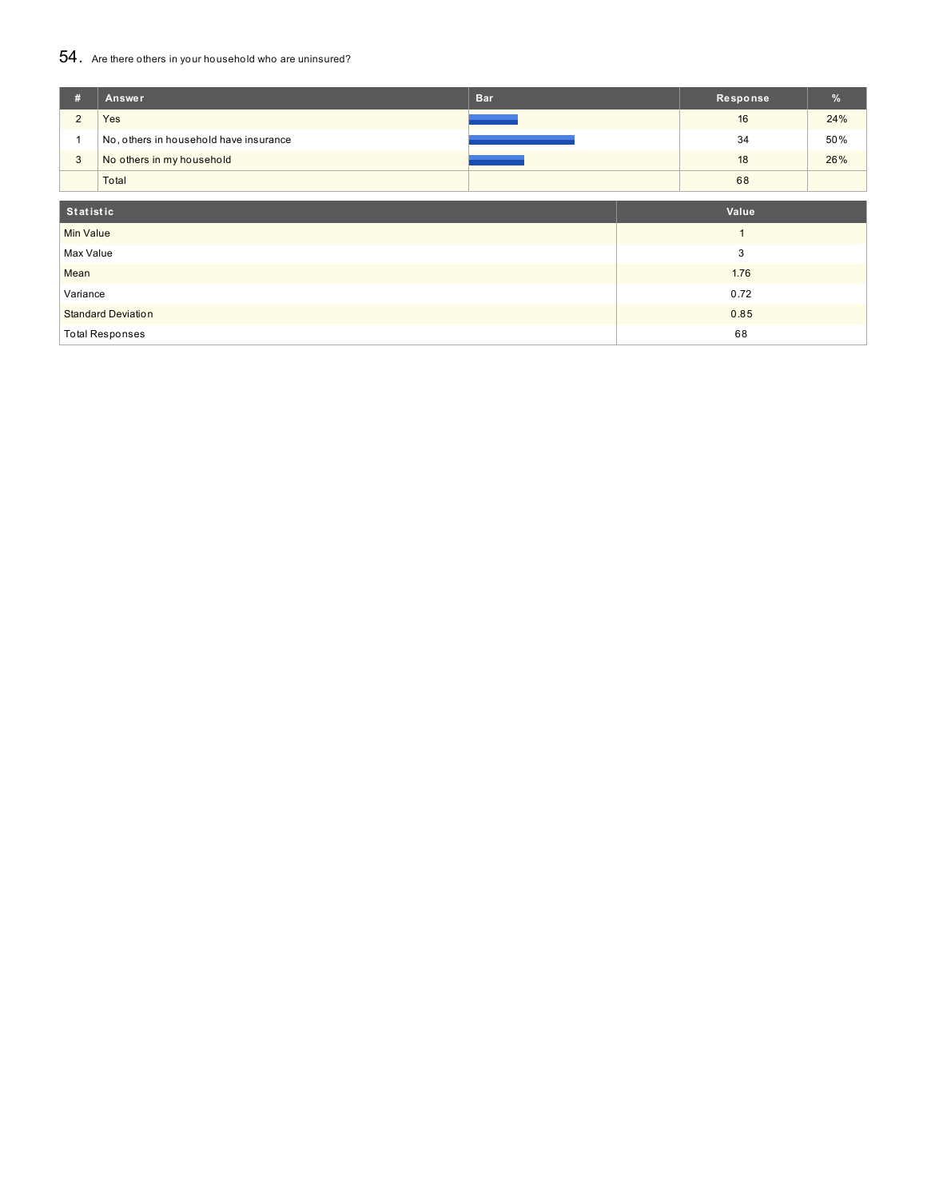## 54. Are there others in your household who are uninsured?

| #                         | Answer                                 | <b>Bar</b> |      | Response | %   |
|---------------------------|----------------------------------------|------------|------|----------|-----|
| $\overline{2}$            | Yes                                    |            |      | 16       | 24% |
|                           | No, others in household have insurance |            |      | 34       | 50% |
| $\mathbf{3}$              | No others in my household              |            |      | 18       | 26% |
|                           | Total                                  |            |      | 68       |     |
|                           |                                        |            |      |          |     |
| Statistic                 |                                        |            |      | Value    |     |
| <b>Min Value</b>          |                                        |            |      |          |     |
| Max Value                 |                                        |            |      | 3        |     |
| Mean                      |                                        |            | 1.76 |          |     |
| Variance                  |                                        |            | 0.72 |          |     |
| <b>Standard Deviation</b> |                                        |            | 0.85 |          |     |
|                           | <b>Total Responses</b>                 |            |      | 68       |     |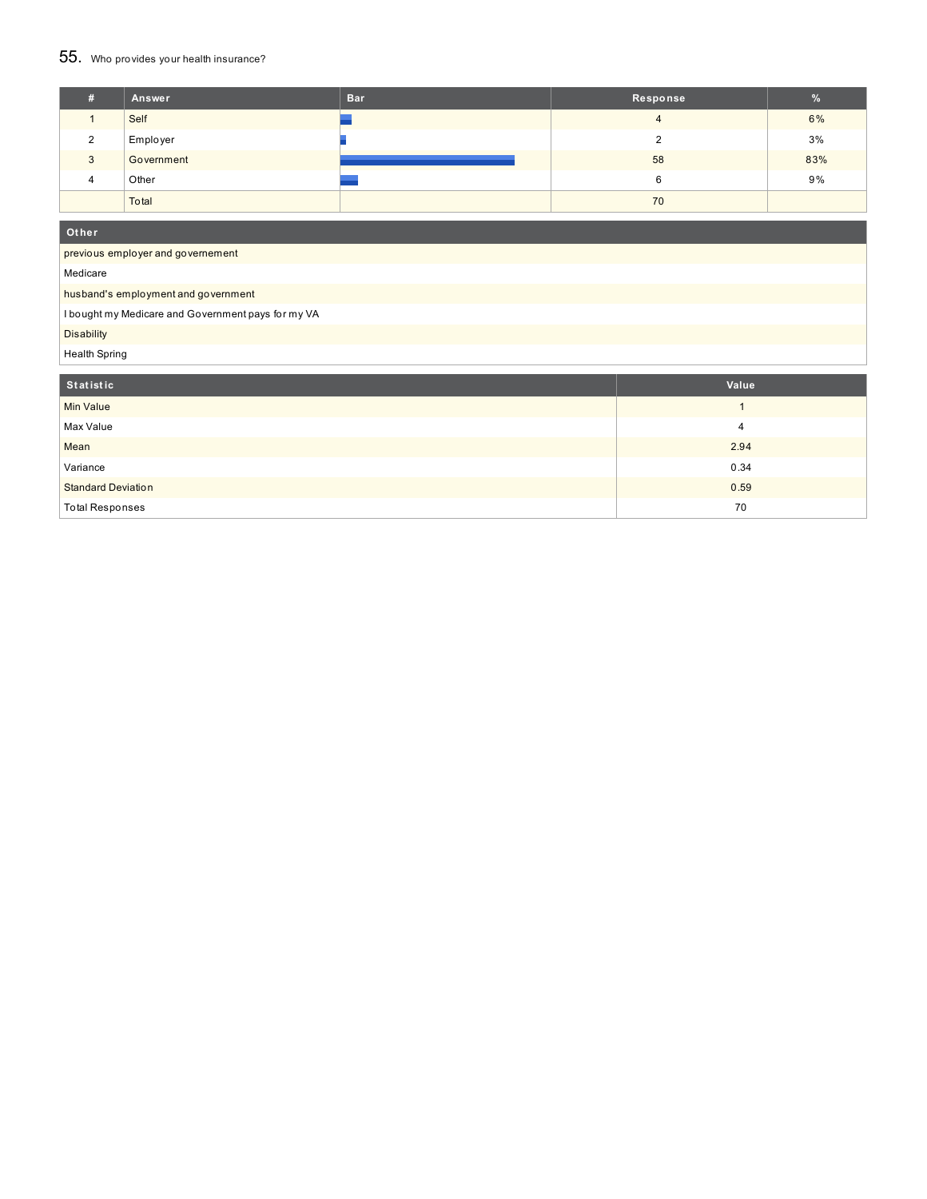## 55. Who provides your health insurance?

| Ŧ.       | Answer     | <b>Bar</b> | Response | %   |
|----------|------------|------------|----------|-----|
|          | Self       |            | 4        | 6%  |
| $\Omega$ | Employer   |            |          | 3%  |
| 3        | Government |            | 58       | 83% |
| 4        | Other      |            | 6        | 9%  |
|          | Total      |            | 70       |     |

**Ot her**

previous employer and governement

Medicare

#### husband's employment and government

I bought my Medicare and Government pays for my VA

Disability

Health Spring

| Statistic                 | Value |
|---------------------------|-------|
| <b>Min Value</b>          |       |
| Max Value                 |       |
| Mean                      | 2.94  |
| Variance                  | 0.34  |
| <b>Standard Deviation</b> | 0.59  |
| <b>Total Responses</b>    | 70    |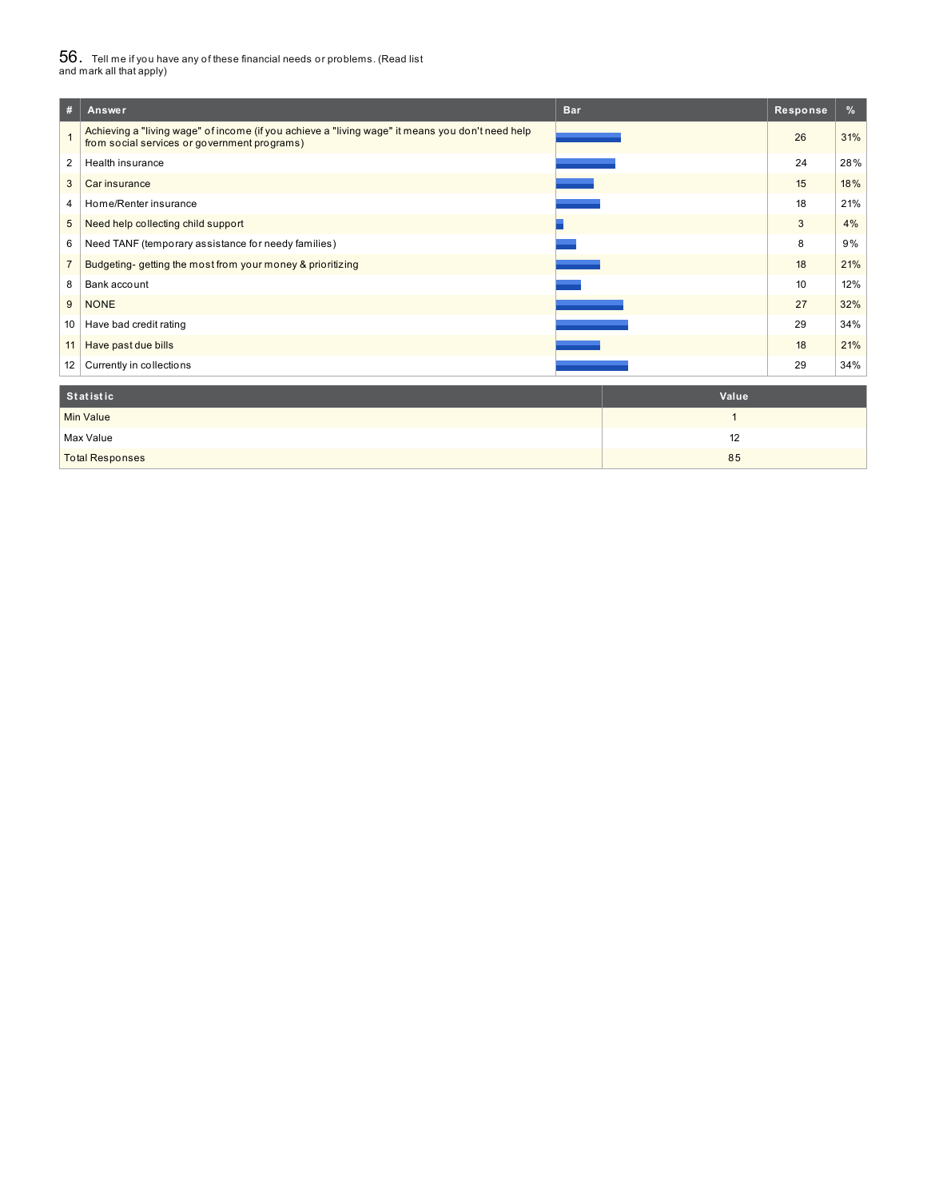# $56_\cdot$  Tell me if you have any of these financial needs or problems. (Read list<br>and mark all that apply)

| #              | <b>Bar</b><br>Answer                                                                                                                             | Response | %   |
|----------------|--------------------------------------------------------------------------------------------------------------------------------------------------|----------|-----|
|                | Achieving a "living wage" of income (if you achieve a "living wage" it means you don't need help<br>from social services or government programs) | 26       | 31% |
| 2              | Health insurance                                                                                                                                 | 24       | 28% |
| 3              | Car insurance                                                                                                                                    | 15       | 18% |
| 4              | Home/Renter insurance                                                                                                                            | 18       | 21% |
| 5              | Need help collecting child support                                                                                                               | 3        | 4%  |
| 6              | Need TANF (temporary assistance for needy families)                                                                                              | 8        | 9%  |
| $\overline{7}$ | Budgeting-getting the most from your money & prioritizing                                                                                        | 18       | 21% |
| 8              | Bank account                                                                                                                                     | 10       | 12% |
| 9              | <b>NONE</b>                                                                                                                                      | 27       | 32% |
| 10             | Have bad credit rating                                                                                                                           | 29       | 34% |
| 11             | Have past due bills                                                                                                                              | 18       | 21% |
| 12             | Currently in collections                                                                                                                         | 29       | 34% |
|                |                                                                                                                                                  |          |     |

| Statistic              | Value |
|------------------------|-------|
| <b>Min Value</b>       |       |
| Max Value              | 12    |
| <b>Total Responses</b> | 85    |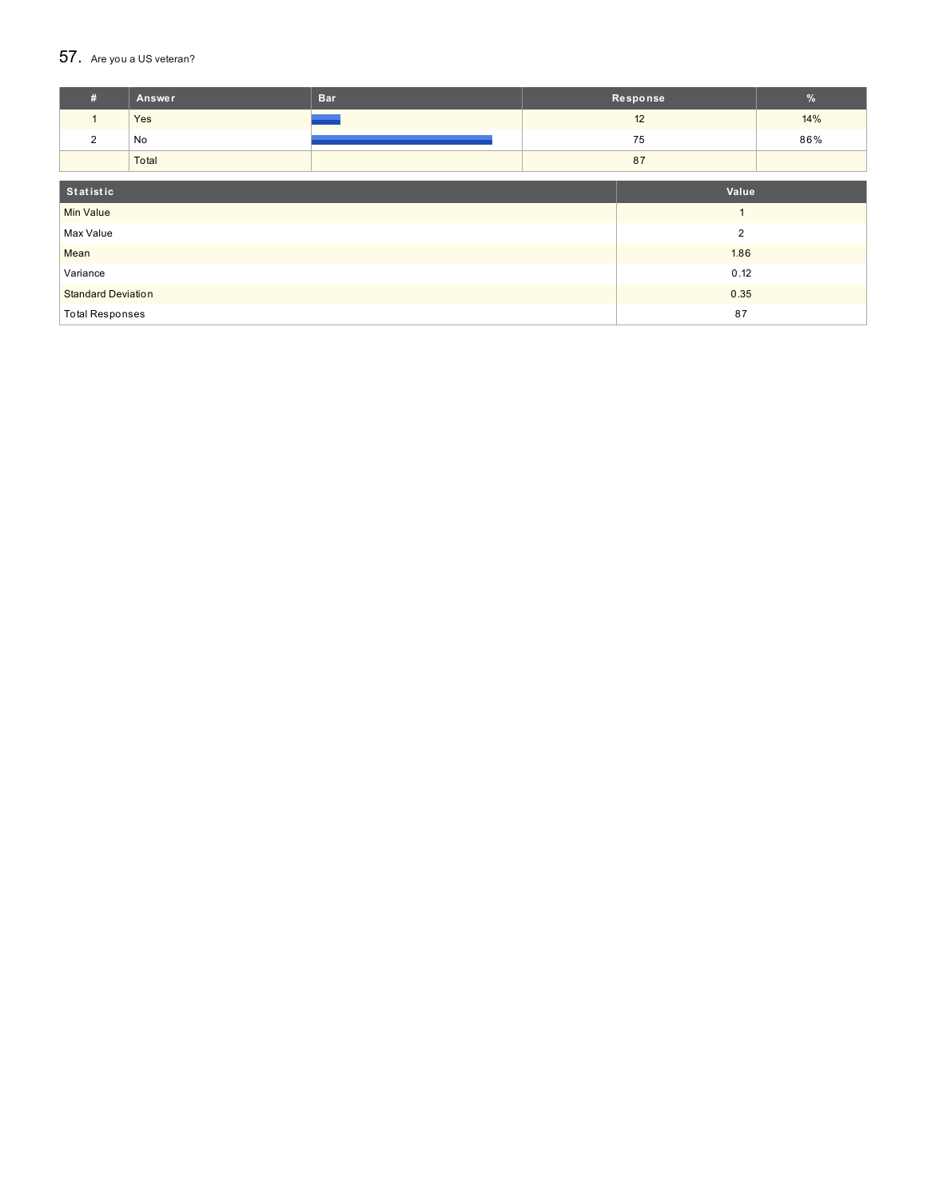## 57. Are you a US veteran?

| #                         | Answer         | <b>Bar</b> |      | Response | $\%$ |
|---------------------------|----------------|------------|------|----------|------|
| $\mathbf{1}$              | Yes            |            |      | 12       | 14%  |
| 2                         | No             |            |      | 75       | 86%  |
|                           | Total          |            |      | 87       |      |
|                           |                |            |      |          |      |
| Statistic<br>Value        |                |            |      |          |      |
| <b>Min Value</b>          |                |            |      |          |      |
| Max Value                 | $\overline{2}$ |            |      |          |      |
| Mean                      |                |            |      | 1.86     |      |
| Variance                  |                |            | 0.12 |          |      |
| <b>Standard Deviation</b> |                |            | 0.35 |          |      |
| <b>Total Responses</b>    |                |            | 87   |          |      |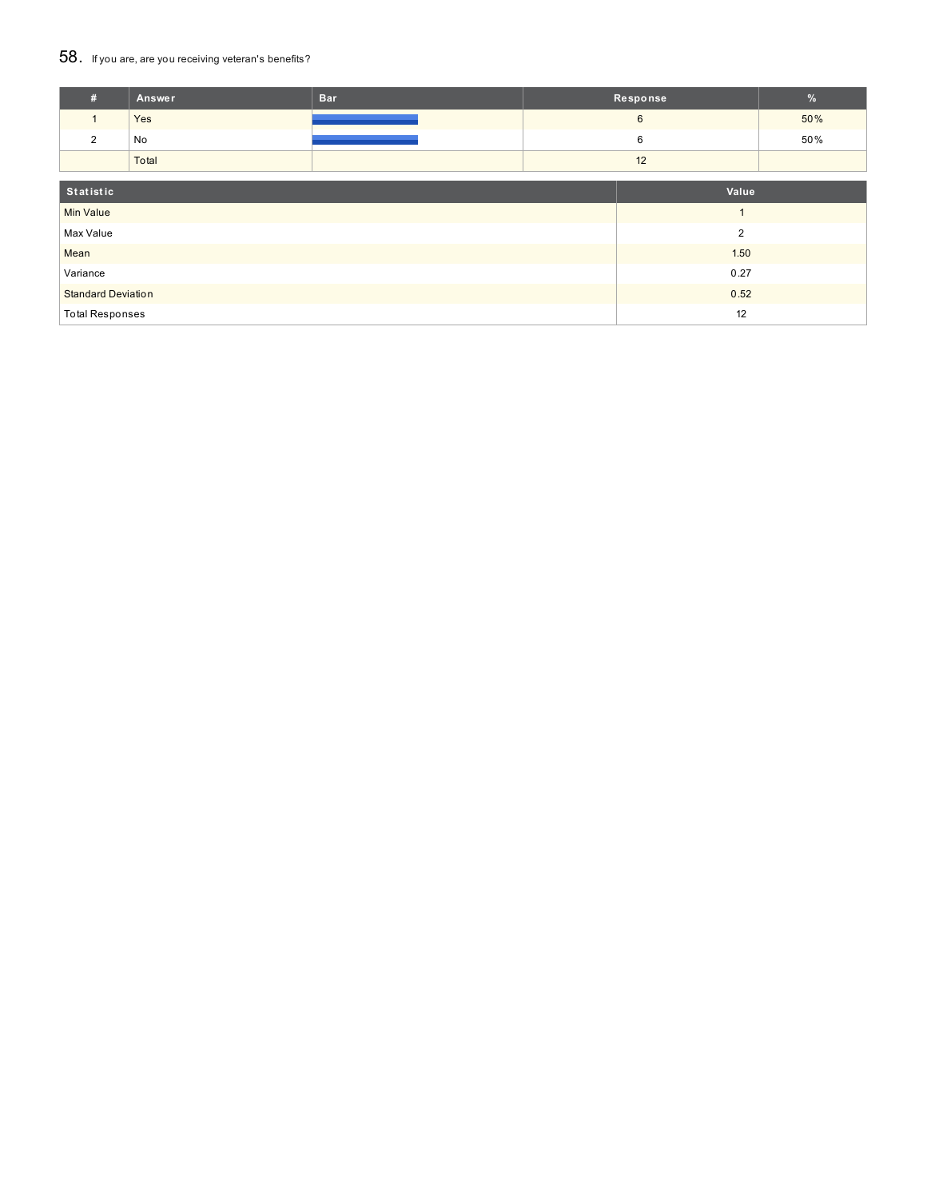#### 58. If you are, are you receiving veteran's benefits?

| #                           | Answer         | <b>Bar</b> |      | Response        | $\frac{9}{6}$ |
|-----------------------------|----------------|------------|------|-----------------|---------------|
| $\mathbf{1}$                | Yes            |            |      | $6\phantom{1}6$ | 50%           |
| $\overline{2}$              | No             |            |      | 6               | 50%           |
|                             | Total          |            |      | 12              |               |
| Statistic                   |                |            |      | Value           |               |
| <b>Min Value</b>            | $\overline{ }$ |            |      |                 |               |
| Max Value<br>$\overline{2}$ |                |            |      |                 |               |
| Mean                        |                |            |      | 1.50            |               |
| Variance                    |                |            | 0.27 |                 |               |
| <b>Standard Deviation</b>   |                |            |      | 0.52            |               |
| <b>Total Responses</b>      |                |            | 12   |                 |               |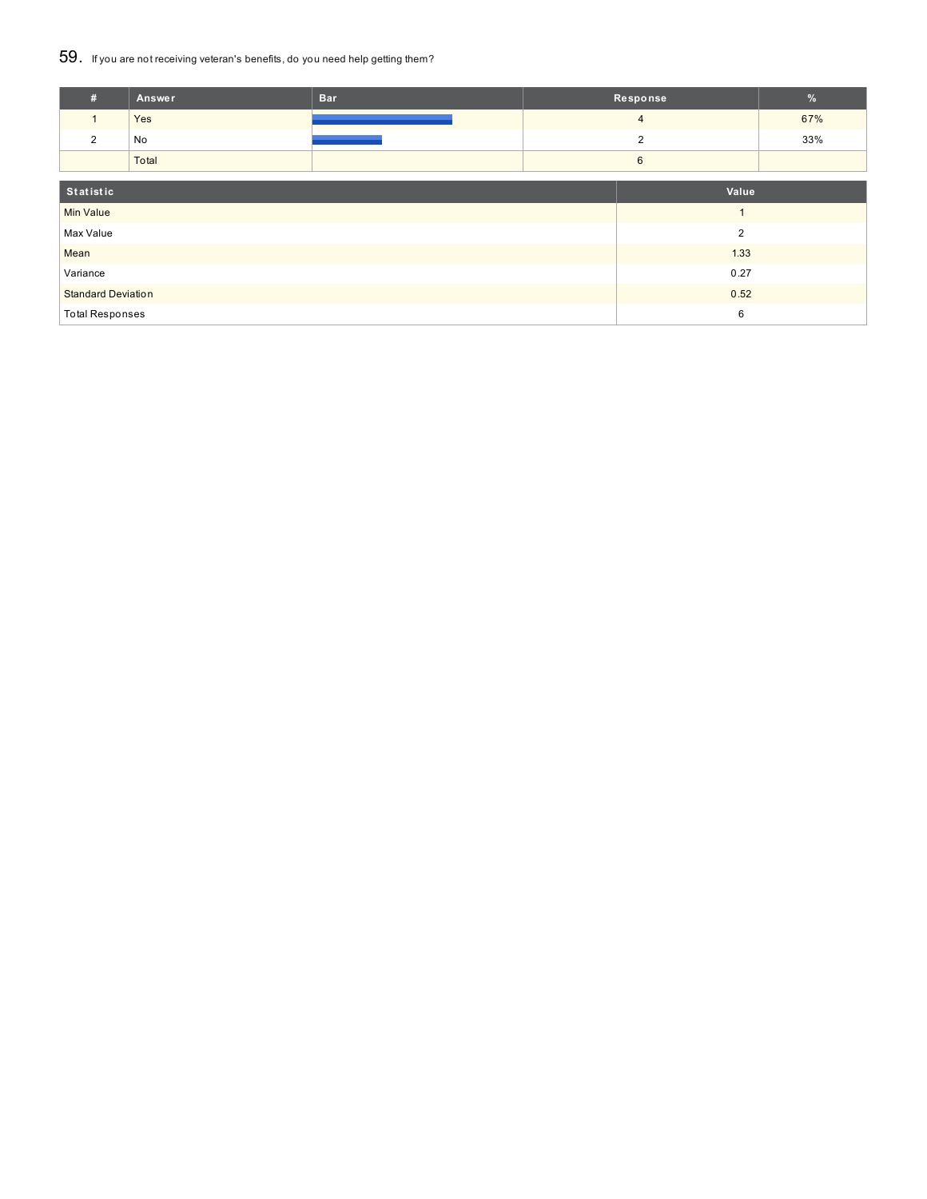#### 59. If you are not receiving veteran's benefits, do you need help getting them?

| #                           | Answer | <b>Bar</b> |      | Response       | $\%$ |
|-----------------------------|--------|------------|------|----------------|------|
|                             | Yes    |            |      | $\overline{4}$ | 67%  |
| $\overline{2}$              | No     |            |      | $\overline{2}$ | 33%  |
|                             | Total  |            |      | 6              |      |
| Statistic                   |        |            |      | Value          |      |
| <b>Min Value</b>            |        |            |      |                |      |
| Max Value<br>$\overline{2}$ |        |            |      |                |      |
| Mean                        |        |            |      | 1.33           |      |
| Variance                    |        | 0.27       |      |                |      |
| <b>Standard Deviation</b>   |        |            | 0.52 |                |      |
| <b>Total Responses</b>      |        |            | 6    |                |      |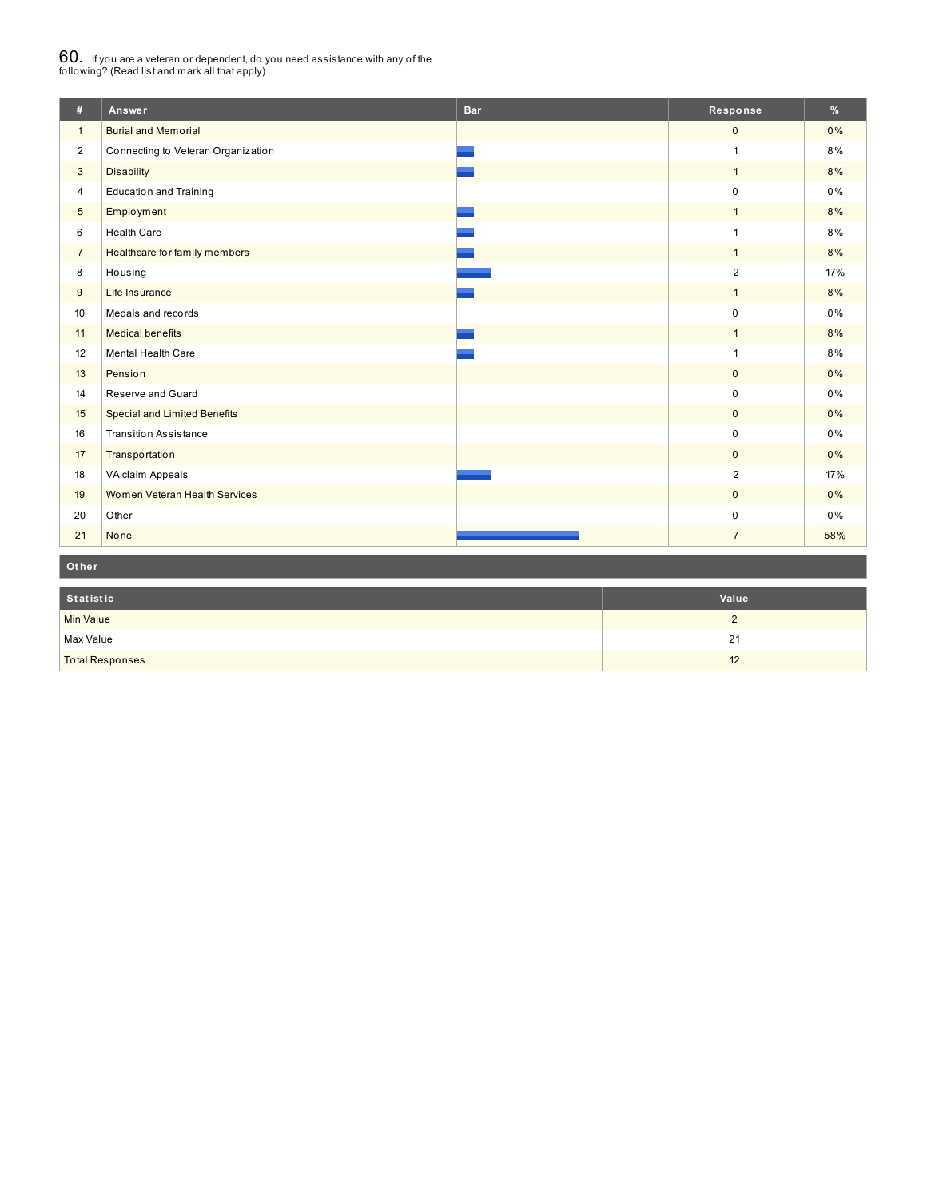# $60_\cdot$  If you are a veteran or dependent, do you need assistance with any of the<br>following? (Read list and mark all that apply)

| #                | Answer                              | <b>Bar</b> | Response       | $\frac{9}{6}$ |
|------------------|-------------------------------------|------------|----------------|---------------|
| $\mathbf{1}$     | <b>Burial and Memorial</b>          |            | $\mathbf{0}$   | 0%            |
| $\overline{2}$   | Connecting to Veteran Organization  |            | $\mathbf{1}$   | 8%            |
| 3                | <b>Disability</b>                   |            | $\mathbf{1}$   | 8%            |
| $\overline{4}$   | <b>Education and Training</b>       |            | $\mathbf 0$    | $0\%$         |
| 5                | <b>Employment</b>                   |            | $\mathbf{1}$   | 8%            |
| 6                | <b>Health Care</b>                  |            | $\overline{1}$ | 8%            |
| $\overline{7}$   | Healthcare for family members       |            | $\mathbf{1}$   | 8%            |
| 8                | Housing                             |            | $\overline{2}$ | 17%           |
| 9                | Life Insurance                      |            | $\mathbf{1}$   | 8%            |
| 10 <sup>10</sup> | Medals and records                  |            | $\mathbf 0$    | 0%            |
| 11               | <b>Medical benefits</b>             |            | $\mathbf{1}$   | 8%            |
| 12               | Mental Health Care                  |            | $\mathbf{1}$   | 8%            |
| 13               | Pension                             |            | $\mathbf{0}$   | $0\%$         |
| 14               | Reserve and Guard                   |            | $\mathbf 0$    | 0%            |
| 15               | <b>Special and Limited Benefits</b> |            | $\mathbf{0}$   | 0%            |
| 16               | <b>Transition Assistance</b>        |            | $\mathbf 0$    | 0%            |
| 17               | Transportation                      |            | $\mathbf{0}$   | 0%            |
| 18               | VA claim Appeals                    |            | $\overline{2}$ | 17%           |
| 19               | Women Veteran Health Services       |            | $\mathbf{0}$   | 0%            |
| 20               | Other                               |            | $\pmb{0}$      | 0%            |
| 21               | None                                |            | $\overline{7}$ | 58%           |

**Ot her**

| Statistic              | Value |
|------------------------|-------|
| <b>Min Value</b>       |       |
| Max Value              | 21    |
| <b>Total Responses</b> | 12    |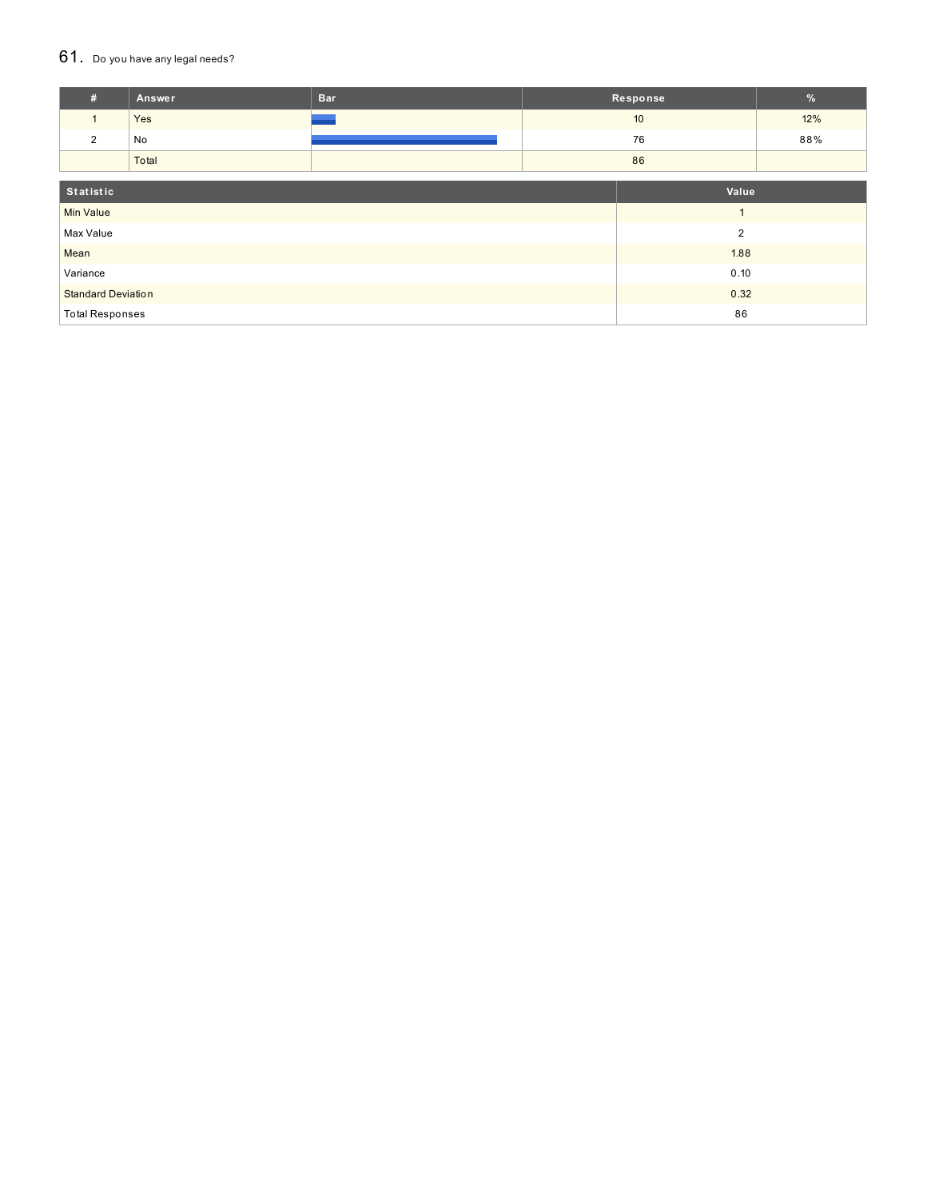#### 61. Do you have any legal needs?

| #                           | Answer | <b>Bar</b> |      | Response | $\frac{9}{6}$ |
|-----------------------------|--------|------------|------|----------|---------------|
| $\mathbf{1}$                | Yes    |            |      | 10       | 12%           |
| 2                           | No     |            |      | 76       | 88%           |
|                             | Total  |            |      | 86       |               |
|                             |        |            |      |          |               |
| Statistic                   |        |            |      | Value    |               |
| <b>Min Value</b>            |        |            |      |          |               |
| Max Value<br>$\overline{2}$ |        |            |      |          |               |
| Mean                        |        |            | 1.88 |          |               |
| Variance                    |        |            |      | 0.10     |               |
| <b>Standard Deviation</b>   |        |            |      | 0.32     |               |
| <b>Total Responses</b>      |        |            |      | 86       |               |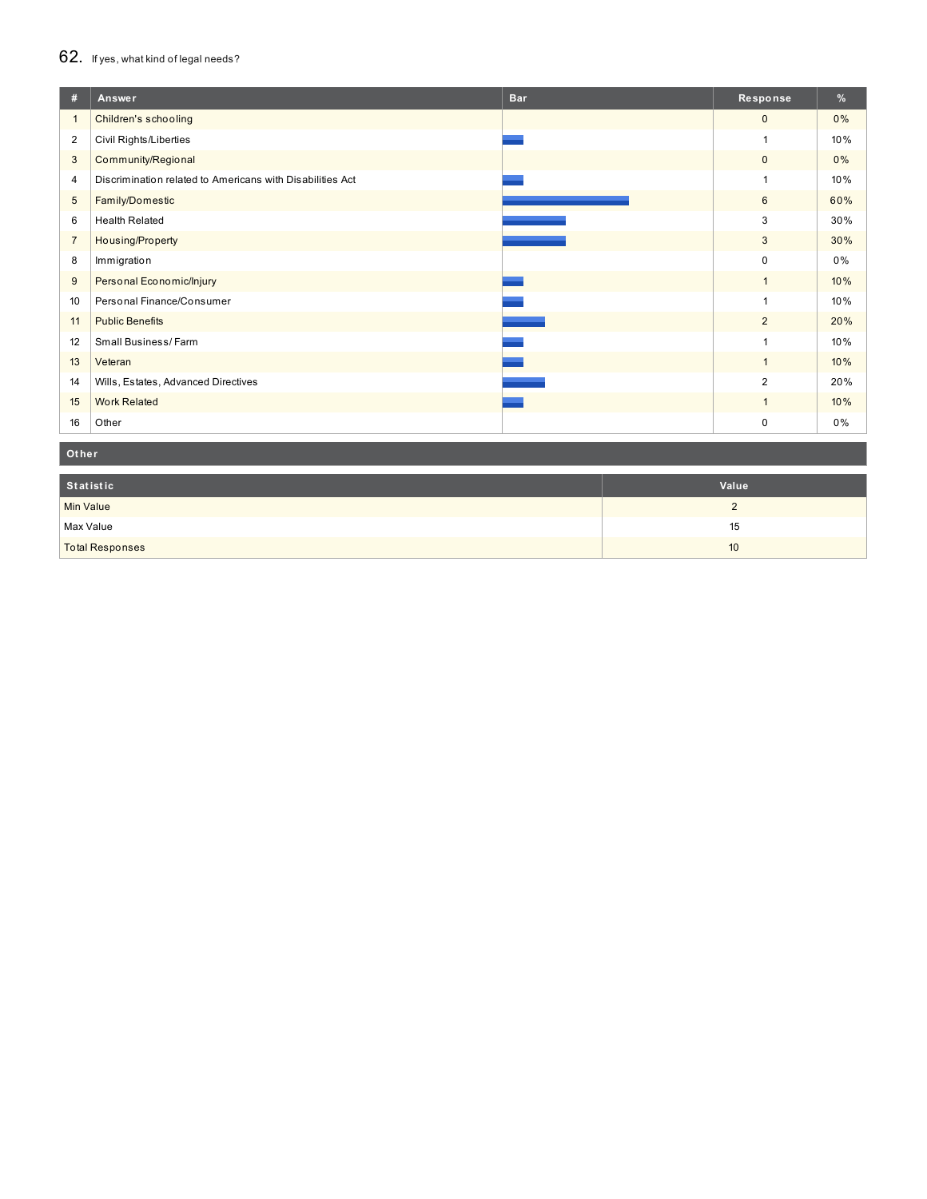#### 62. If yes, what kind of legal needs?

| #               | Answer<br><b>Bar</b>                                      | Response       | %   |
|-----------------|-----------------------------------------------------------|----------------|-----|
| $\mathbf{1}$    | Children's schooling                                      | $\mathbf{0}$   | 0%  |
| 2               | Civil Rights/Liberties                                    | 1              | 10% |
| 3               | Community/Regional                                        | $\mathbf 0$    | 0%  |
| 4               | Discrimination related to Americans with Disabilities Act | 1              | 10% |
| $5\phantom{.0}$ | Family/Domestic                                           | 6              | 60% |
| 6               | <b>Health Related</b>                                     | 3              | 30% |
| $\overline{7}$  | Housing/Property                                          | 3              | 30% |
| 8               | Immigration                                               | $\mathbf 0$    | 0%  |
| 9               | Personal Economic/Injury                                  | $\mathbf{1}$   | 10% |
| 10              | Personal Finance/Consumer                                 | 1              | 10% |
| 11              | <b>Public Benefits</b>                                    | $\overline{2}$ | 20% |
| 12              | Small Business/Farm                                       | 1              | 10% |
| 13              | Veteran                                                   | $\overline{1}$ | 10% |
| 14              | Wills, Estates, Advanced Directives                       | 2              | 20% |
| 15              | <b>Work Related</b>                                       | $\mathbf{1}$   | 10% |
| 16              | Other                                                     | $\mathbf 0$    | 0%  |

**Ot her**

| Statistic              | Value |
|------------------------|-------|
| <b>Min Value</b>       | ▃     |
| Max Value              | 15    |
| <b>Total Responses</b> | 10    |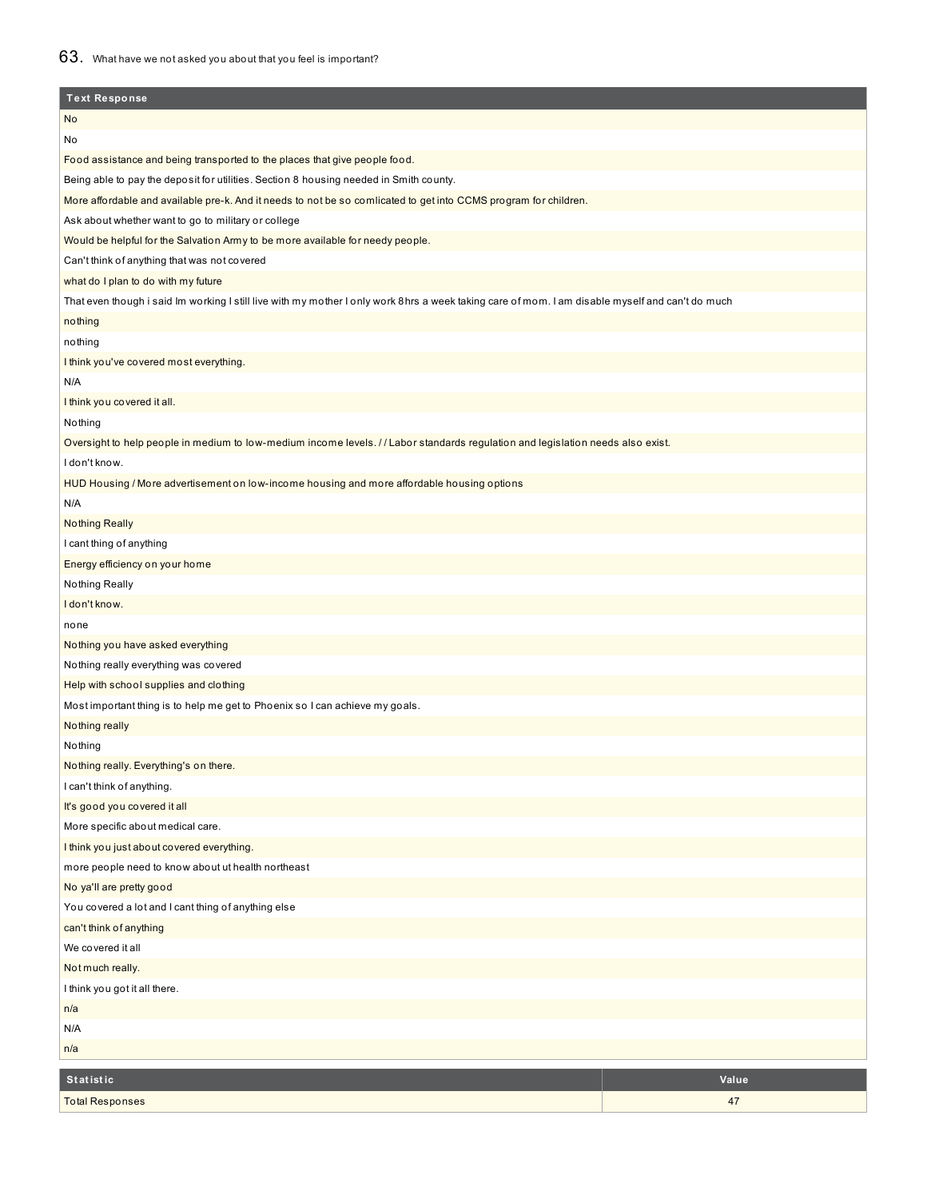| <b>Text Response</b>                                                                                                                             |       |
|--------------------------------------------------------------------------------------------------------------------------------------------------|-------|
| No                                                                                                                                               |       |
| No                                                                                                                                               |       |
| Food assistance and being transported to the places that give people food.                                                                       |       |
| Being able to pay the deposit for utilities. Section 8 housing needed in Smith county.                                                           |       |
| More affordable and available pre-k. And it needs to not be so comlicated to get into CCMS program for children.                                 |       |
| Ask about whether want to go to military or college                                                                                              |       |
| Would be helpful for the Salvation Army to be more available for needy people.                                                                   |       |
| Can't think of anything that was not covered                                                                                                     |       |
| what do I plan to do with my future                                                                                                              |       |
| That even though i said Im working I still live with my mother I only work 8hrs a week taking care of mom. I am disable myself and can't do much |       |
| nothing                                                                                                                                          |       |
| nothing                                                                                                                                          |       |
| I think you've covered most everything.                                                                                                          |       |
| N/A                                                                                                                                              |       |
| I think you covered it all.                                                                                                                      |       |
| Nothing                                                                                                                                          |       |
| Oversight to help people in medium to low-medium income levels. // Labor standards regulation and legislation needs also exist.                  |       |
| I don't know.                                                                                                                                    |       |
| HUD Housing / More advertisement on low-income housing and more affordable housing options                                                       |       |
| N/A                                                                                                                                              |       |
| <b>Nothing Really</b>                                                                                                                            |       |
| I cant thing of anything                                                                                                                         |       |
| Energy efficiency on your home                                                                                                                   |       |
| Nothing Really                                                                                                                                   |       |
| I don't know.                                                                                                                                    |       |
| none                                                                                                                                             |       |
| Nothing you have asked everything                                                                                                                |       |
| Nothing really everything was covered                                                                                                            |       |
| Help with school supplies and clothing                                                                                                           |       |
| Most important thing is to help me get to Phoenix so I can achieve my goals.                                                                     |       |
| Nothing really                                                                                                                                   |       |
| Nothing                                                                                                                                          |       |
| Nothing really. Everything's on there.                                                                                                           |       |
| I can't think of anything.                                                                                                                       |       |
| It's good you covered it all                                                                                                                     |       |
| More specific about medical care.                                                                                                                |       |
| I think you just about covered everything.                                                                                                       |       |
| more people need to know about ut health northeast                                                                                               |       |
| No ya'll are pretty good                                                                                                                         |       |
| You covered a lot and I cant thing of anything else                                                                                              |       |
| can't think of anything                                                                                                                          |       |
| We covered it all                                                                                                                                |       |
| Not much really.                                                                                                                                 |       |
| I think you got it all there.                                                                                                                    |       |
| n/a                                                                                                                                              |       |
| N/A                                                                                                                                              |       |
| n/a                                                                                                                                              |       |
|                                                                                                                                                  |       |
| Statistic                                                                                                                                        | Value |
| <b>Total Responses</b>                                                                                                                           | 47    |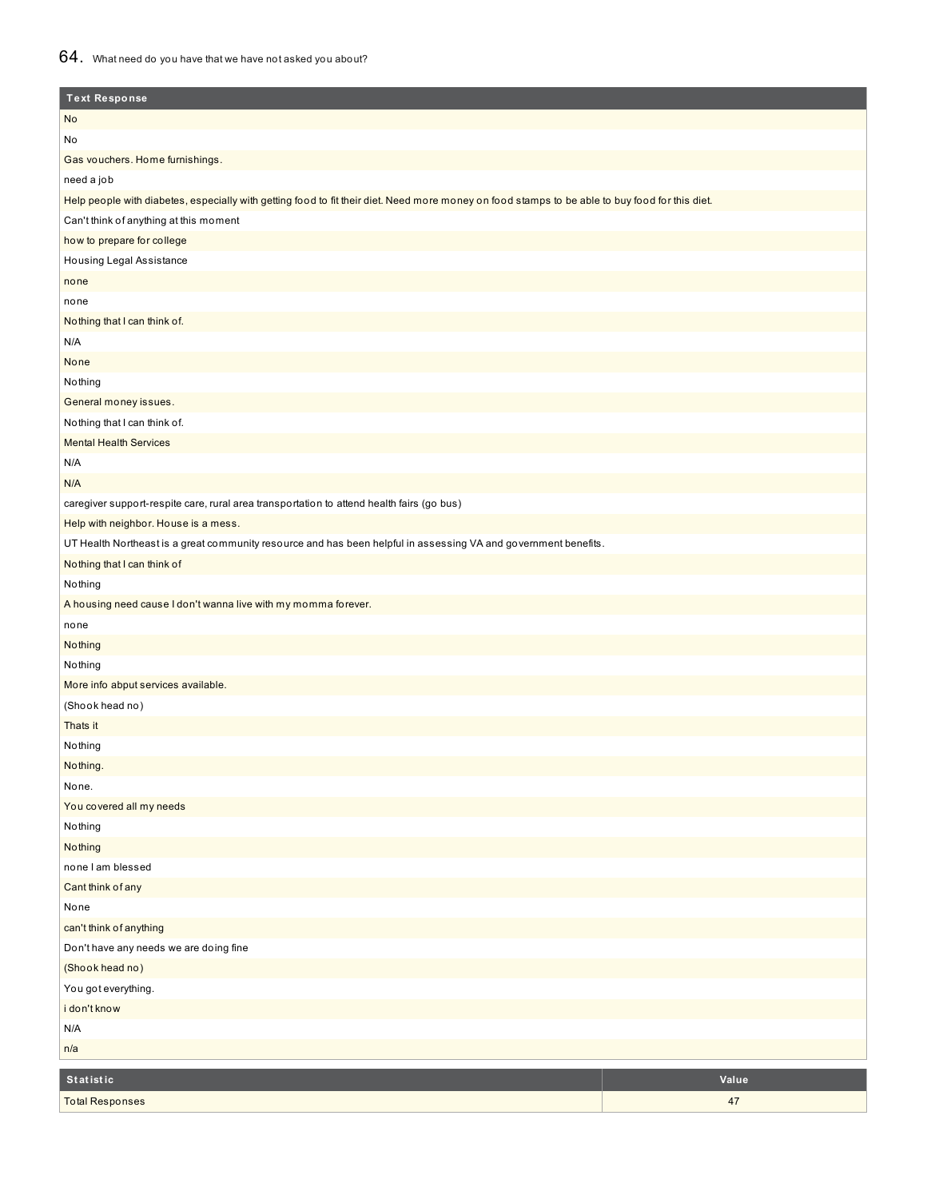### 64. What need do you have that we have not asked you about?

| <b>Text Response</b>                                                                                                                            |       |
|-------------------------------------------------------------------------------------------------------------------------------------------------|-------|
| No                                                                                                                                              |       |
| No                                                                                                                                              |       |
| Gas vouchers. Home furnishings.                                                                                                                 |       |
| need a job                                                                                                                                      |       |
| Help people with diabetes, especially with getting food to fit their diet. Need more money on food stamps to be able to buy food for this diet. |       |
| Can't think of anything at this moment                                                                                                          |       |
| how to prepare for college                                                                                                                      |       |
| Housing Legal Assistance                                                                                                                        |       |
| none                                                                                                                                            |       |
| none                                                                                                                                            |       |
| Nothing that I can think of.                                                                                                                    |       |
| N/A                                                                                                                                             |       |
| None                                                                                                                                            |       |
| Nothing                                                                                                                                         |       |
| General money issues.                                                                                                                           |       |
| Nothing that I can think of.                                                                                                                    |       |
| <b>Mental Health Services</b>                                                                                                                   |       |
| N/A                                                                                                                                             |       |
| N/A                                                                                                                                             |       |
| caregiver support-respite care, rural area transportation to attend health fairs (go bus)                                                       |       |
| Help with neighbor. House is a mess.                                                                                                            |       |
| UT Health Northeast is a great community resource and has been helpful in assessing VA and government benefits.                                 |       |
| Nothing that I can think of                                                                                                                     |       |
| Nothing                                                                                                                                         |       |
| A housing need cause I don't wanna live with my momma forever.                                                                                  |       |
| none                                                                                                                                            |       |
| Nothing                                                                                                                                         |       |
| Nothing                                                                                                                                         |       |
| More info abput services available.                                                                                                             |       |
| (Shook head no)                                                                                                                                 |       |
| Thats it                                                                                                                                        |       |
| Nothing                                                                                                                                         |       |
| Nothing.                                                                                                                                        |       |
| None.                                                                                                                                           |       |
| You covered all my needs                                                                                                                        |       |
| Nothing                                                                                                                                         |       |
| Nothing                                                                                                                                         |       |
| none I am blessed                                                                                                                               |       |
| Cant think of any                                                                                                                               |       |
| None                                                                                                                                            |       |
| can't think of anything                                                                                                                         |       |
| Don't have any needs we are doing fine                                                                                                          |       |
| (Shook head no)                                                                                                                                 |       |
| You got everything.                                                                                                                             |       |
| i don't know                                                                                                                                    |       |
| N/A                                                                                                                                             |       |
| n/a                                                                                                                                             |       |
| <b>Statistic</b>                                                                                                                                | Value |
| <b>Total Responses</b>                                                                                                                          | 47    |